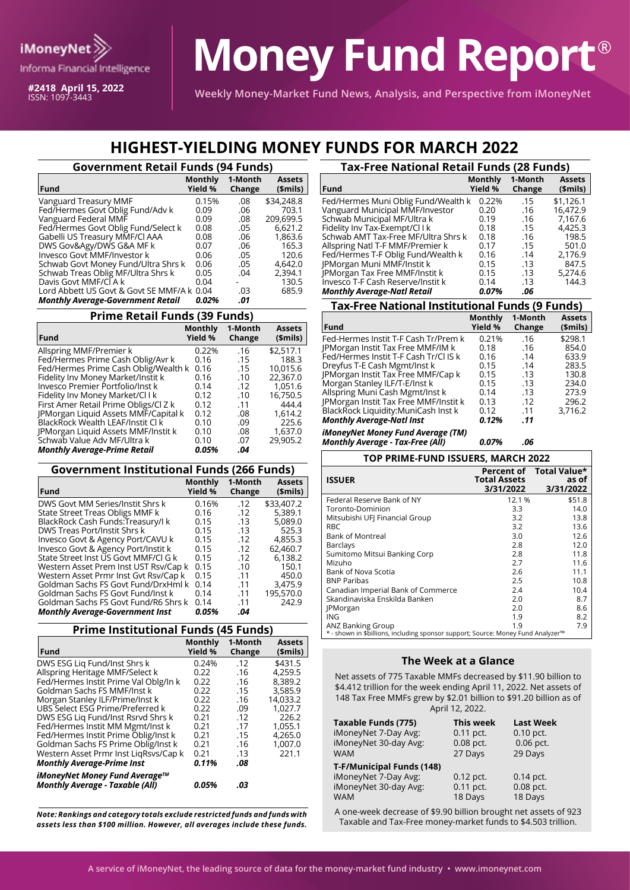

**#2418 April 15, 2022** ISSN: 1097-3443

# **Money Fund Report**®

**Weekly Money-Market Fund News, Analysis, and Perspective from iMoneyNet**

## **HIGHEST-YIELDING MONEY FUNDS FOR MARCH 2022**

| <b>Government Retail Funds (94 Funds)</b>                                                                |                |            |                           |
|----------------------------------------------------------------------------------------------------------|----------------|------------|---------------------------|
| <b>Fund</b>                                                                                              | <b>Monthly</b> | 1-Month    | <b>Assets</b>             |
|                                                                                                          | Yield %        | Change     | \$mils)                   |
| Vanguard Treasury MMF                                                                                    | 0.15%          | .08        | \$34,248.8                |
| Fed/Hermes Govt Oblig Fund/Adv k                                                                         | 0.09           | .06        | 703.1                     |
| Vanguard Federal MMF                                                                                     | 0.09           | .08        | 209,699.5                 |
| Fed/Hermes Govt Oblig Fund/Select k                                                                      | 0.08           | .05        | 6,621.2                   |
| Gabelli US Treasury MMF/Cl AAA                                                                           | 0.08           | .06        | 1,863.6                   |
| DWS Gov&Agy/DWS G&A MF k                                                                                 | 0.07           | .06        | 165.3                     |
| Invesco Govt MMF/Investor k                                                                              | 0.06           | .05        | 120.6                     |
| Schwab Govt Money Fund/Ultra Shrs k                                                                      | 0.06           | .05        | 4.642.0                   |
| Schwab Treas Oblig MF/Ultra Shrs k<br>Davis Govt MMF/CLA k<br>Lord Abbett US Govt & Govt SE MMF/A k 0.04 | 0.05<br>0.04   | .04<br>.03 | 2,394.1<br>130.5<br>685.9 |
| <b>Monthly Average-Government Retail</b>                                                                 | 0.02%          | .01        |                           |

### **Prime Retail Funds (39 Funds)**

| Fund                                  | Monthly<br>Yield % | 1-Month<br>Change | <b>Assets</b><br>\$mils) |
|---------------------------------------|--------------------|-------------------|--------------------------|
| Allspring MMF/Premier k               | 0.22%              | .16               | \$2,517.1                |
| Fed/Hermes Prime Cash Oblig/Avr k     | 0.16               | .15               | 188.3                    |
| Fed/Hermes Prime Cash Oblig/Wealth k  | 0.16               | .15               | 10,015.6                 |
| Fidelity Inv Money Market/Instit k    | 0.16               | .10               | 22.367.0                 |
| Invesco Premier Portfolio/Inst k      | 0.14               | .12               | 1,051.6                  |
| Fidelity Inv Money Market/Cl I k      | 0.12               | .10               | 16.750.5                 |
| First Amer Retail Prime Obligs/Cl Z k | 0.12               | .11               | 444.4                    |
| JPMorgan Liquid Assets MMF/Capital k  | 0.12               | .08               | 1.614.2                  |
| BlackRock Wealth LEAF/Instit Cl k     | 0.10               | .09               | 225.6                    |
| JPMorgan Liquid Assets MMF/Instit k   | 0.10               | .08               | 1,637.0                  |
| Schwab Value Adv MF/Ultra k           | 0.10               | .07               | 29.905.2                 |
| <b>Monthly Average-Prime Retail</b>   | 0.05%              | .04               |                          |

#### **Government Institutional Funds (266 Funds)**

| <b>Fund</b>                            | <b>Monthly</b><br>Yield % | 1-Month<br>Change | <b>Assets</b><br>\$mils) |
|----------------------------------------|---------------------------|-------------------|--------------------------|
| DWS Govt MM Series/Instit Shrs k       | 0.16%                     | .12               | \$33,407.2               |
| State Street Treas Obligs MMF k        | 0.16                      | .12               | 5,389.1                  |
| BlackRock Cash Funds: Treasury/I k     | 0.15                      | .13               | 5.089.0                  |
| DWS Treas Port/Instit Shrs k           | 0.15                      | .13               | 525.3                    |
| Invesco Govt & Agency Port/CAVU k      | 0.15                      | .12               | 4,855.3                  |
| Invesco Govt & Agency Port/Instit k    | 0.15                      | .12               | 62,460.7                 |
| State Street Inst US Govt MMF/Cl G k   | 0.15                      | .12               | 6,138.2                  |
| Western Asset Prem Inst UST Rsv/Cap k  | 0.15                      | .10               | 150.1                    |
| Western Asset Prmr Inst Gvt Rsv/Cap k  | 0.15                      | .11               | 450.0                    |
| Goldman Sachs FS Govt Fund/DrxHml k    | 0.14                      | .11               | 3,475.9                  |
| Goldman Sachs FS Govt Fund/Inst k      | 0.14                      | .11               | 195,570.0                |
| Goldman Sachs FS Govt Fund/R6 Shrs k   | 0.14                      | .11               | 242.9                    |
| <b>Monthly Average-Government Inst</b> | 0.05%                     | .04               |                          |

#### **Prime Institutional Funds (45 Funds)**

| Fund                                   | <b>Monthly</b><br>Yield % | 1-Month<br>Change | <b>Assets</b><br>(\$mils) |
|----------------------------------------|---------------------------|-------------------|---------------------------|
| DWS ESG Lig Fund/Inst Shrs k           | 0.24%                     | .12               | \$431.5                   |
| Allspring Heritage MMF/Select k        | 0.22                      | .16               | 4.259.5                   |
| Fed/Hermes Instit Prime Val Oblg/In k  | 0.22                      | .16               | 8.389.2                   |
| Goldman Sachs FS MMF/Inst k            | 0.22                      | .15               | 3,585.9                   |
| Morgan Stanley ILF/Prime/Inst k        | 0.22                      | .16               | 14.033.2                  |
| UBS Select ESG Prime/Preferred k       | 0.22                      | .09               | 1.027.7                   |
| DWS ESG Lig Fund/Inst Rsrvd Shrs k     | 0.21                      | .12               | 226.2                     |
| Fed/Hermes Instit MM Mgmt/Inst k       | 0.21                      | .17               | 1.055.1                   |
| Fed/Hermes Instit Prime Oblig/Inst k   | 0.21                      | .15               | 4.265.0                   |
| Goldman Sachs FS Prime Oblig/Inst k    | 0.21                      | .16               | 1.007.0                   |
| Western Asset Prmr Inst LiqRsvs/Cap k  | 0.21                      | .13               | 221.1                     |
| <b>Monthly Average-Prime Inst</b>      | 0.11%                     | .08               |                           |
| iMoneyNet Money Fund Average™          |                           |                   |                           |
| <b>Monthly Average - Taxable (All)</b> | 0.05%                     | .03               |                           |

Note: Rankings and category totals exclude restricted funds and funds with A one-week decrease of \$9.90 billion brought net assets of 92.<br>Taxable and Tax-Free money-market funds to \$4.503 trillion. *assets less than \$100 million. However, all averages include these funds.*

| <b>Tax-Free National Retail Funds (28 Funds)</b> |                           |                   |           |  |  |
|--------------------------------------------------|---------------------------|-------------------|-----------|--|--|
| Fund                                             | <b>Monthly</b><br>Yield % | 1-Month<br>Change |           |  |  |
| Fed/Hermes Muni Oblig Fund/Wealth k              | 0.22%                     | .15               | \$1,126.1 |  |  |
| Vanguard Municipal MMF/Investor                  | 0.20                      | .16               | 16.472.9  |  |  |
| Schwab Municipal MF/Ultra k                      | 0.19                      | .16               | 7.167.6   |  |  |
| Fidelity Inv Tax-Exempt/Cl I k                   | 0.18                      | .15               | 4,425.3   |  |  |
| Schwab AMT Tax-Free MF/Ultra Shrs k              | 0.18                      | .16               | 198.5     |  |  |
| Allspring Natl T-F MMF/Premier k                 | 0.17                      | .15               | 501.0     |  |  |
| Fed/Hermes T-F Oblig Fund/Wealth k               | 0.16                      | .14               | 2,176.9   |  |  |
| JPMorgan Muni MMF/Instit k                       | 0.15                      | .13               | 847.5     |  |  |
| <b>IPMorgan Tax Free MMF/Instit k</b>            | 0.15                      | .13               | 5,274.6   |  |  |
| Invesco T-F Cash Reserve/Instit k                | 0.14                      | .13               | 144.3     |  |  |
| <b>Monthly Average-Natl Retail</b>               | 0.07%                     | .06               |           |  |  |

#### **Tax-Free National Institutional Funds (9 Funds)**

| <b>Fund</b>                               | Monthly<br>Yield % | 1-Month<br>Change | <b>Assets</b><br>(\$mils) |
|-------------------------------------------|--------------------|-------------------|---------------------------|
| Fed-Hermes Instit T-F Cash Tr/Prem k      | 0.21%              | .16               | \$298.1                   |
| <b>IPMorgan Instit Tax Free MMF/IM k</b>  | 0.18               | .16               | 854.0                     |
| Fed/Hermes Instit T-F Cash Tr/Cl IS k     | 0.16               | .14               | 633.9                     |
| Dreyfus T-E Cash Mgmt/Inst k              | 0.15               | .14               | 283.5                     |
| <b>IPMorgan Instit Tax Free MMF/Cap k</b> | 0.15               | .13               | 130.8                     |
| Morgan Stanley ILF/T-E/Inst k             | 0.15               | .13               | 234.0                     |
| Allspring Muni Cash Mgmt/Inst k           | 0.14               | .13               | 273.9                     |
| JPMorgan Instit Tax Free MMF/Instit k     | 0.13               | .12               | 296.2                     |
| BlackRock Liquidity:MuniCash Inst k       | 0.12               | .11               | 3.716.2                   |
| <b>Monthly Average-Natl Inst</b>          | 0.12%              | .11               |                           |
| iMoneyNet Money Fund Average (TM)         |                    |                   |                           |

*Monthly Average - Tax-Free (All) 0.07% .06*

| TOP PRIME-FUND ISSUERS, MARCH 2022                                               |                                  |                                               |  |  |  |  |  |  |  |
|----------------------------------------------------------------------------------|----------------------------------|-----------------------------------------------|--|--|--|--|--|--|--|
| <b>ISSUER</b>                                                                    | <b>Total Assets</b><br>3/31/2022 | Percent of Total Value*<br>as of<br>3/31/2022 |  |  |  |  |  |  |  |
| Federal Reserve Bank of NY                                                       | 12.1 %                           | \$51.8                                        |  |  |  |  |  |  |  |
| Toronto-Dominion                                                                 | 3.3                              | 14.0                                          |  |  |  |  |  |  |  |
| Mitsubishi UFI Financial Group                                                   | 3.2                              | 13.8                                          |  |  |  |  |  |  |  |
| <b>RBC</b>                                                                       | 3.2                              | 13.6                                          |  |  |  |  |  |  |  |
| <b>Bank of Montreal</b>                                                          | 3.0                              | 12.6                                          |  |  |  |  |  |  |  |
| <b>Barclays</b>                                                                  | 2.8                              | 12.0                                          |  |  |  |  |  |  |  |
| Sumitomo Mitsui Banking Corp                                                     | 2.8                              | 11.8                                          |  |  |  |  |  |  |  |
| Mizuho                                                                           | 2.7                              | 11.6                                          |  |  |  |  |  |  |  |
| Bank of Nova Scotia                                                              | 2.6                              | 11.1                                          |  |  |  |  |  |  |  |
| <b>BNP Paribas</b>                                                               | 2.5                              | 10.8                                          |  |  |  |  |  |  |  |
| Canadian Imperial Bank of Commerce                                               | 2.4                              | 10.4                                          |  |  |  |  |  |  |  |
| Skandinaviska Enskilda Banken                                                    | 2.0                              | 8.7                                           |  |  |  |  |  |  |  |
| <b>PMorgan</b>                                                                   | 2.0                              | 8.6                                           |  |  |  |  |  |  |  |
| <b>ING</b>                                                                       | 1.9                              | 8.2                                           |  |  |  |  |  |  |  |
| ANZ Banking Group                                                                | 1.9                              | 7.9                                           |  |  |  |  |  |  |  |
| * - shown in \$billions, including sponsor support; Source: Money Fund Analyzer™ |                                  |                                               |  |  |  |  |  |  |  |

#### **The Week at a Glance**

Net assets of 775 Taxable MMFs decreased by \$11.90 billion to \$4.412 trillion for the week ending April 11, 2022. Net assets of 148 Tax Free MMFs grew by \$2.01 billion to \$91.20 billion as of April 12, 2022.

| Taxable Funds (775)       | This week | <b>Last Week</b> |
|---------------------------|-----------|------------------|
| iMoneyNet 7-Day Avg:      | 0.11 pct. | $0.10$ pct.      |
| iMoneyNet 30-day Avg:     | 0.08 pct. | 0.06 pct.        |
| <b>WAM</b>                | 27 Days   | 29 Days          |
| T-F/Municipal Funds (148) |           |                  |
| iMoneyNet 7-Day Avg:      | 0.12 pct. | $0.14$ pct.      |
| iMoneyNet 30-day Avg:     | 0.11 pct. | 0.08 pct.        |
| <b>WAM</b>                | 18 Days   | 18 Days          |

A one-week decrease of \$9.90 billion brought net assets of 923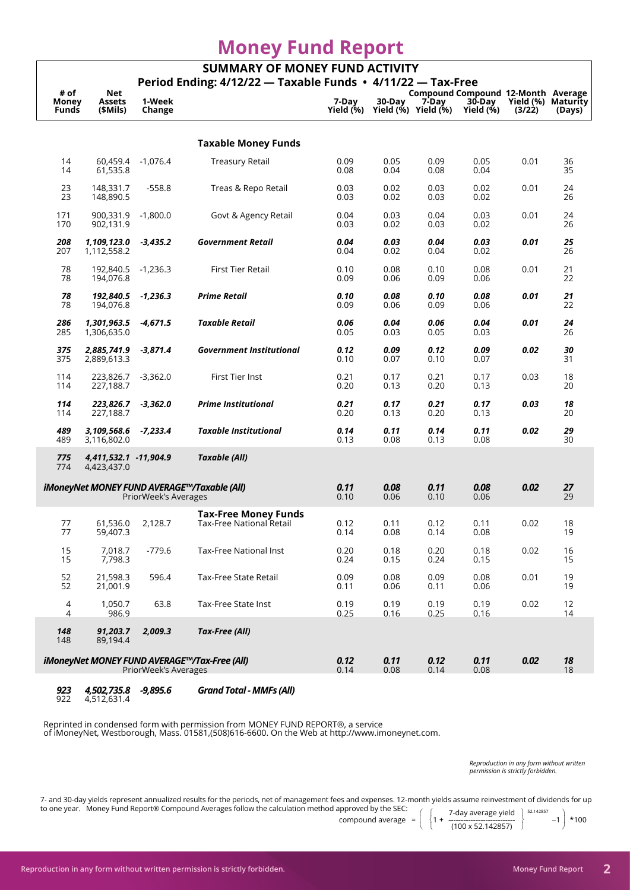# **Money Fund Report**

| <b>SUMMARY OF MONEY FUND ACTIVITY</b><br>Period Ending: 4/12/22 - Taxable Funds • 4/11/22 - Tax-Free |                                      |                      |                                                                |                    |                                                       |              |                     |                              |          |  |  |  |
|------------------------------------------------------------------------------------------------------|--------------------------------------|----------------------|----------------------------------------------------------------|--------------------|-------------------------------------------------------|--------------|---------------------|------------------------------|----------|--|--|--|
| # of                                                                                                 | <b>Net</b>                           |                      |                                                                |                    | Compound Compound 12-Month Average                    |              |                     |                              |          |  |  |  |
| Money<br><b>Funds</b>                                                                                | Assets<br>(\$Mils)                   | 1-Week<br>Change     |                                                                | 7-Day<br>Yield (%) | 30-Day<br>Yield $(\mathcal{N})$ Yield $(\mathcal{N})$ | 7-Day        | 30-Day<br>Yield (%) | Yield (%) Maturity<br>(3/22) | (Days)   |  |  |  |
|                                                                                                      |                                      |                      |                                                                |                    |                                                       |              |                     |                              |          |  |  |  |
|                                                                                                      |                                      |                      | <b>Taxable Money Funds</b>                                     |                    |                                                       |              |                     |                              |          |  |  |  |
| 14<br>14                                                                                             | 60,459.4<br>61,535.8                 | $-1,076.4$           | <b>Treasury Retail</b>                                         | 0.09<br>0.08       | 0.05<br>0.04                                          | 0.09<br>0.08 | 0.05<br>0.04        | 0.01                         | 36<br>35 |  |  |  |
| 23<br>23                                                                                             | 148,331.7<br>148,890.5               | $-558.8$             | Treas & Repo Retail                                            | 0.03<br>0.03       | 0.02<br>0.02                                          | 0.03<br>0.03 | 0.02<br>0.02        | 0.01                         | 24<br>26 |  |  |  |
| 171<br>170                                                                                           | 900,331.9<br>902,131.9               | $-1,800.0$           | Govt & Agency Retail                                           | 0.04<br>0.03       | 0.03<br>0.02                                          | 0.04<br>0.03 | 0.03<br>0.02        | 0.01                         | 24<br>26 |  |  |  |
| 208<br>207                                                                                           | 1,109,123.0<br>1,112,558.2           | $-3,435.2$           | <b>Government Retail</b>                                       | 0.04<br>0.04       | 0.03<br>0.02                                          | 0.04<br>0.04 | 0.03<br>0.02        | 0.01                         | 25<br>26 |  |  |  |
| 78<br>78                                                                                             | 192,840.5<br>194.076.8               | $-1,236.3$           | <b>First Tier Retail</b>                                       | 0.10<br>0.09       | 0.08<br>0.06                                          | 0.10<br>0.09 | 0.08<br>0.06        | 0.01                         | 21<br>22 |  |  |  |
| 78<br>78                                                                                             | 192,840.5<br>194,076.8               | $-1,236.3$           | <b>Prime Retail</b>                                            | 0.10<br>0.09       | 0.08<br>0.06                                          | 0.10<br>0.09 | 0.08<br>0.06        | 0.01                         | 21<br>22 |  |  |  |
| 286<br>285                                                                                           | 1,301,963.5<br>1,306,635.0           | $-4,671.5$           | <b>Taxable Retail</b>                                          | 0.06<br>0.05       | 0.04<br>0.03                                          | 0.06<br>0.05 | 0.04<br>0.03        | 0.01                         | 24<br>26 |  |  |  |
| 375<br>375                                                                                           | 2,885,741.9<br>2,889,613.3           | $-3,871.4$           | <b>Government Institutional</b>                                | 0.12<br>0.10       | 0.09<br>0.07                                          | 0.12<br>0.10 | 0.09<br>0.07        | 0.02                         | 30<br>31 |  |  |  |
| 114<br>114                                                                                           | 223,826.7<br>227,188.7               | $-3,362.0$           | First Tier Inst                                                | 0.21<br>0.20       | 0.17<br>0.13                                          | 0.21<br>0.20 | 0.17<br>0.13        | 0.03                         | 18<br>20 |  |  |  |
| 114<br>114                                                                                           | 223,826.7<br>227,188.7               | $-3,362.0$           | <b>Prime Institutional</b>                                     | 0.21<br>0.20       | 0.17<br>0.13                                          | 0.21<br>0.20 | 0.17<br>0.13        | 0.03                         | 18<br>20 |  |  |  |
| 489<br>489                                                                                           | 3,109,568.6<br>3,116,802.0           | $-7,233.4$           | <b>Taxable Institutional</b>                                   | 0.14<br>0.13       | 0.11<br>0.08                                          | 0.14<br>0.13 | 0.11<br>0.08        | 0.02                         | 29<br>30 |  |  |  |
| 775<br>774                                                                                           | 4,411,532.1 -11,904.9<br>4,423,437.0 |                      | <b>Taxable (All)</b>                                           |                    |                                                       |              |                     |                              |          |  |  |  |
|                                                                                                      |                                      | PriorWeek's Averages | iMoneyNet MONEY FUND AVERAGE™/Taxable (All)                    | 0.11<br>0.10       | 0.08<br>0.06                                          | 0.11<br>0.10 | 0.08<br>0.06        | 0.02                         | 27<br>29 |  |  |  |
| 77<br>77                                                                                             | 61,536.0<br>59,407.3                 | 2,128.7              | <b>Tax-Free Money Funds</b><br><b>Tax-Free National Retail</b> | 0.12<br>0.14       | 0.11<br>0.08                                          | 0.12<br>0.14 | 0.11<br>0.08        | 0.02                         | 18<br>19 |  |  |  |
| 15<br>15                                                                                             | 7,018.7<br>7,798.3                   | $-779.6$             | Tax-Free National Inst                                         | 0.20<br>0.24       | 0.18<br>0.15                                          | 0.20<br>0.24 | 0.18<br>0.15        | 0.02                         | 16<br>15 |  |  |  |
| 52<br>52                                                                                             | 21.598.3<br>21,001.9                 | 596.4                | Tax-Free State Retail                                          | 0.09<br>0.11       | 0.08<br>0.06                                          | 0.09<br>0.11 | 0.08<br>0.06        | 0.01                         | 19<br>19 |  |  |  |
| 4<br>4                                                                                               | 1,050.7<br>986.9                     | 63.8                 | Tax-Free State Inst                                            | 0.19<br>0.25       | 0.19<br>0.16                                          | 0.19<br>0.25 | 0.19<br>0.16        | 0.02                         | 12<br>14 |  |  |  |
| 148<br>148                                                                                           | 91,203.7<br>89,194.4                 | 2,009.3              | Tax-Free (All)                                                 |                    |                                                       |              |                     |                              |          |  |  |  |
|                                                                                                      |                                      | PriorWeek's Averages | iMoneyNet MONEY FUND AVERAGE™/Tax-Free (All)                   | 0.12<br>0.14       | 0.11<br>0.08                                          | 0.12<br>0.14 | 0.11<br>0.08        | 0.02                         | 18<br>18 |  |  |  |
|                                                                                                      |                                      |                      |                                                                |                    |                                                       |              |                     |                              |          |  |  |  |

 *923 4,502,735.8 -9,895.6 Grand Total - MMFs (All)* 4,512,631.4

Reprinted in condensed form with permission from MONEY FUND REPORT®, a service of iMoneyNet, Westborough, Mass. 01581,(508)616-6600. On the Web at http://www.imoneynet.com.

> *Reproduction in any form without written permission is strictly forbidden.*

7- and 30-day yields represent annualized results for the periods, net of management fees and expenses. 12-month yields assume reinvestment of dividends for up to one year. Money Fund Report® Compound Averages follow the calculation method approved by the SEC:  $\overline{7}$ 

$$
compound average = \left(\begin{array}{c} 7\text{-day average yield} \\ 1 + \frac{11}{1100 \times 52.142857} \end{array}\right)^{52.142857} - 1\right) * 100
$$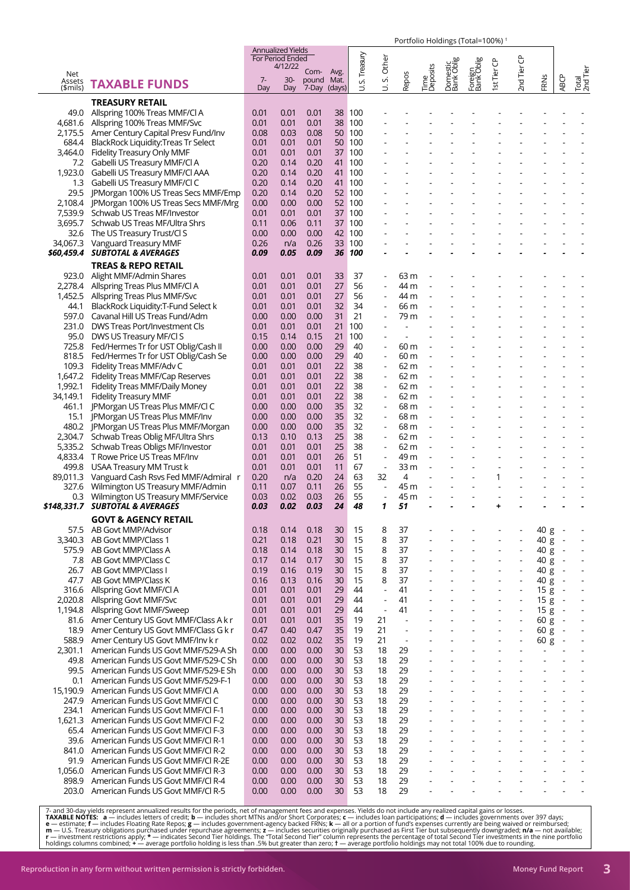|                     |                                                                              |              | Annualized Yields<br>For Period Ended |                            |                       |             |                                                      |                          |                  |                        |                          |                          |                      |              |                                                      |                          |
|---------------------|------------------------------------------------------------------------------|--------------|---------------------------------------|----------------------------|-----------------------|-------------|------------------------------------------------------|--------------------------|------------------|------------------------|--------------------------|--------------------------|----------------------|--------------|------------------------------------------------------|--------------------------|
| Net                 |                                                                              | $7-$         | 4/12/22                               | Com-                       | Avg.                  | S. Treasury | Other<br>vi                                          |                          | Time<br>Deposits | Domestic<br>Bank Oblig | Foreign<br>Bank Oblig    | Ist Tier CP              | 2nd Tier CP          |              |                                                      | Total<br>2nd Tier        |
| Assets<br>$$$ mils) | <b>TAXABLE FUNDS</b>                                                         | Day          | $30-$<br>Day                          | pound Mat.<br>7-Day (days) |                       | ゔ           | Б                                                    | <b>Repos</b>             |                  |                        |                          |                          |                      | FRNs         | <b>ABCP</b>                                          |                          |
|                     | <b>TREASURY RETAIL</b>                                                       |              |                                       |                            |                       |             |                                                      |                          |                  |                        |                          |                          |                      |              |                                                      |                          |
| 49.0                | Allspring 100% Treas MMF/Cl A                                                | 0.01         | 0.01                                  | 0.01                       |                       | 38 100      |                                                      |                          |                  |                        |                          |                          |                      |              |                                                      |                          |
| 4,681.6             | Allspring 100% Treas MMF/Svc<br>2,175.5 Amer Century Capital Presv Fund/Inv  | 0.01<br>0.08 | 0.01<br>0.03                          | 0.01<br>0.08               | 38<br>50 <sup>°</sup> | 100<br>100  |                                                      |                          |                  |                        |                          |                          |                      |              |                                                      |                          |
| 684.4               | <b>BlackRock Liquidity: Treas Tr Select</b>                                  | 0.01         | 0.01                                  | 0.01                       | 50                    | 100         |                                                      |                          |                  |                        |                          |                          |                      |              |                                                      |                          |
| 3.464.0             | Fidelity Treasury Only MMF                                                   | 0.01         | 0.01                                  | 0.01                       | 37                    | 100         |                                                      |                          |                  |                        |                          |                          |                      |              |                                                      |                          |
| 7.2                 | Gabelli US Treasury MMF/Cl A                                                 | 0.20         | 0.14                                  | 0.20                       | 41                    | 100         |                                                      |                          |                  |                        |                          |                          |                      |              |                                                      |                          |
| 1,923.0             | Gabelli US Treasury MMF/Cl AAA                                               | 0.20         | 0.14                                  | 0.20                       | 41                    | 100         |                                                      |                          |                  |                        |                          |                          |                      |              |                                                      |                          |
| $1.3\,$             | Gabelli US Treasury MMF/Cl C                                                 | 0.20         | 0.14                                  | 0.20                       | 41                    | 100         |                                                      |                          |                  |                        |                          |                          |                      |              |                                                      |                          |
|                     | 29.5 JPMorgan 100% US Treas Secs MMF/Emp                                     | 0.20         | 0.14                                  | 0.20                       | 52                    | 100         |                                                      |                          |                  |                        |                          |                          |                      |              |                                                      |                          |
| 2,108.4<br>7,539.9  | JPMorgan 100% US Treas Secs MMF/Mrg<br>Schwab US Treas MF/Investor           | 0.00<br>0.01 | 0.00<br>0.01                          | 0.00<br>0.01               | 52<br>37              | 100<br>100  |                                                      |                          |                  |                        |                          |                          |                      |              |                                                      |                          |
| 3,695.7             | Schwab US Treas MF/Ultra Shrs                                                | 0.11         | 0.06                                  | 0.11                       | 37 <sup>2</sup>       | 100         |                                                      |                          |                  |                        |                          |                          |                      |              |                                                      |                          |
| 32.6                | The US Treasury Trust/Cl S                                                   | 0.00         | 0.00                                  | 0.00                       |                       | 42 100      |                                                      |                          |                  |                        |                          |                          |                      |              |                                                      |                          |
| 34,067.3            | Vanguard Treasury MMF                                                        | 0.26         | n/a                                   | 0.26                       |                       | 33 100      |                                                      |                          |                  |                        |                          |                          |                      |              |                                                      |                          |
|                     | \$60,459.4 SUBTOTAL & AVERAGES                                               | 0.09         | 0.05                                  | 0.09                       |                       | 36 100      |                                                      |                          |                  |                        |                          |                          |                      |              |                                                      |                          |
|                     | <b>TREAS &amp; REPO RETAIL</b>                                               |              |                                       |                            |                       |             |                                                      |                          |                  |                        |                          |                          |                      |              |                                                      |                          |
| 923.0               | Alight MMF/Admin Shares                                                      | 0.01         | 0.01                                  | 0.01                       | 33                    | 37          |                                                      | 63 m                     |                  |                        |                          |                          |                      |              |                                                      |                          |
|                     | 2,278.4 Allspring Treas Plus MMF/Cl A                                        | 0.01         | 0.01                                  | 0.01                       | 27                    | 56          | $\overline{a}$                                       | 44 m                     |                  |                        |                          |                          |                      |              |                                                      |                          |
| 44.1                | 1,452.5 Allspring Treas Plus MMF/Svc<br>BlackRock Liquidity: T-Fund Select k | 0.01<br>0.01 | 0.01<br>0.01                          | 0.01<br>0.01               | 27<br>32              | 56<br>34    |                                                      | 44 m<br>66 m             |                  |                        |                          |                          |                      |              |                                                      |                          |
| 597.0               | Cavanal Hill US Treas Fund/Adm                                               | 0.00         | 0.00                                  | 0.00                       | 31                    | 21          |                                                      | 79 m                     |                  |                        |                          |                          |                      |              |                                                      |                          |
| 231.0               | DWS Treas Port/Investment Cls                                                | 0.01         | 0.01                                  | 0.01                       | 21                    | 100         |                                                      |                          |                  |                        |                          |                          |                      |              |                                                      |                          |
|                     | 95.0 DWS US Treasury MF/Cl S                                                 | 0.15         | 0.14                                  | 0.15                       | 21                    | 100         | $\overline{\phantom{a}}$                             | $\overline{\phantom{a}}$ |                  |                        |                          |                          |                      |              |                                                      |                          |
|                     | 725.8 Fed/Hermes Tr for UST Oblig/Cash II                                    | 0.00         | 0.00                                  | 0.00                       | 29                    | 40          |                                                      | 60 m                     |                  |                        |                          |                          |                      |              |                                                      |                          |
| 818.5               | Fed/Hermes Tr for UST Oblig/Cash Se                                          | 0.00         | 0.00                                  | 0.00                       | 29                    | 40          | $\blacksquare$                                       | 60 m                     |                  |                        |                          |                          |                      |              |                                                      |                          |
| 109.3               | Fidelity Treas MMF/Adv C                                                     | 0.01         | 0.01                                  | 0.01                       | 22                    | 38          | $\overline{\phantom{a}}$                             | 62 m                     |                  |                        |                          |                          |                      |              |                                                      |                          |
| 1,992.1             | 1,647.2 Fidelity Treas MMF/Cap Reserves<br>Fidelity Treas MMF/Daily Money    | 0.01<br>0.01 | 0.01<br>0.01                          | 0.01<br>0.01               | 22<br>22              | 38<br>38    |                                                      | 62 m<br>62 m             |                  |                        |                          |                          |                      |              |                                                      |                          |
| 34,149.1            | <b>Fidelity Treasury MMF</b>                                                 | 0.01         | 0.01                                  | 0.01                       | 22                    | 38          |                                                      | 62 m                     |                  |                        |                          |                          |                      |              |                                                      |                          |
| 461.1               | JPMorgan US Treas Plus MMF/Cl C                                              | 0.00         | 0.00                                  | 0.00                       | 35                    | 32          | $\overline{\phantom{a}}$                             | 68 m                     |                  |                        |                          |                          |                      |              |                                                      |                          |
| 15.1                | JPMorgan US Treas Plus MMF/Inv                                               | 0.00         | 0.00                                  | 0.00                       | 35                    | 32          |                                                      | 68 m                     |                  |                        |                          |                          |                      |              |                                                      |                          |
|                     | 480.2 JPMorgan US Treas Plus MMF/Morgan                                      | 0.00         | 0.00                                  | 0.00                       | 35                    | 32          |                                                      | 68 m                     |                  |                        |                          |                          |                      |              |                                                      |                          |
|                     | 2,304.7 Schwab Treas Oblig MF/Ultra Shrs                                     | 0.13         | 0.10                                  | 0.13                       | 25                    | 38          | $\overline{a}$                                       | 62 m                     |                  |                        |                          |                          |                      |              |                                                      |                          |
| 5,335.2             | Schwab Treas Obligs MF/Investor<br>4,833.4 T Rowe Price US Treas MF/Inv      | 0.01<br>0.01 | 0.01<br>0.01                          | 0.01<br>0.01               | 25<br>26              | 38<br>51    | $\overline{\phantom{a}}$                             | 62 m<br>49 m             |                  |                        |                          |                          |                      |              |                                                      |                          |
| 499.8               | USAA Treasury MM Trust k                                                     | 0.01         | 0.01                                  | 0.01                       | 11                    | 67          | $\overline{\phantom{a}}$                             | 33 m                     |                  |                        |                          |                          |                      |              |                                                      |                          |
| 89,011.3            | Vanguard Cash Rsvs Fed MMF/Admiral r                                         | 0.20         | n/a                                   | 0.20                       | 24                    | 63          | 32                                                   | 4                        |                  |                        |                          | 1                        |                      |              |                                                      |                          |
| 327.6               | Wilmington US Treasury MMF/Admin                                             | 0.11         | 0.07                                  | 0.11                       | 26                    | 55          | $\blacksquare$                                       | 45 m                     |                  |                        |                          |                          |                      |              |                                                      |                          |
| 0.3                 | Wilmington US Treasury MMF/Service                                           | 0.03         | 0.02                                  | 0.03                       | 26                    | 55          |                                                      | 45 m                     |                  |                        |                          |                          |                      |              |                                                      |                          |
|                     | \$148,331.7 SUBTOTAL & AVERAGES                                              | 0.03         | 0.02                                  | 0.03                       | 24                    | 48          | 1                                                    | 51                       |                  |                        |                          | +                        |                      |              |                                                      |                          |
|                     | <b>GOVT &amp; AGENCY RETAIL</b>                                              |              |                                       |                            |                       |             |                                                      |                          |                  |                        |                          |                          |                      |              |                                                      |                          |
| 57.5<br>3,340.3     | AB Govt MMP/Advisor<br>AB Govt MMP/Class 1                                   | 0.18<br>0.21 | 0.14<br>0.18                          | 0.18<br>0.21               | 30<br>30              | 15<br>15    | 8<br>8                                               | 37<br>37                 |                  |                        |                          |                          |                      | 40 g<br>40 g |                                                      |                          |
| 575.9               | AB Govt MMP/Class A                                                          | 0.18         | 0.14                                  | 0.18                       | 30                    | 15          | 8                                                    | 37                       |                  |                        |                          |                          | ÷,                   | 40 g         | $\overline{\phantom{a}}$<br>$\overline{\phantom{a}}$ | ÷,                       |
| 7.8                 | AB Govt MMP/Class C                                                          | 0.17         | 0.14                                  | 0.17                       | 30                    | 15          | 8                                                    | 37                       |                  |                        |                          |                          | L,                   | 40 g         | $\overline{\phantom{a}}$                             | $\overline{\phantom{a}}$ |
| 26.7                | AB Govt MMP/Class I                                                          | 0.19         | 0.16                                  | 0.19                       | 30                    | 15          | 8                                                    | 37                       |                  |                        |                          |                          | $\ddot{\phantom{1}}$ | 40 g         | $\sim$                                               | $\overline{a}$           |
| 47.7                | AB Govt MMP/Class K                                                          | 0.16         | 0.13                                  | 0.16                       | 30                    | 15          | 8                                                    | 37                       |                  |                        |                          |                          | L,                   | 40 g         | $\overline{\phantom{a}}$                             |                          |
| 316.6               | Allspring Govt MMF/Cl A                                                      | 0.01         | 0.01                                  | 0.01                       | 29                    | 44          | $\blacksquare$                                       | 41                       |                  |                        | $\overline{\phantom{a}}$ | $\overline{\phantom{a}}$ | $\overline{a}$       | 15 g         | $\overline{\phantom{a}}$                             | $\ddot{\phantom{0}}$     |
| 2.020.8<br>1,194.8  | Allspring Govt MMF/Svc<br>Allspring Govt MMF/Sweep                           | 0.01<br>0.01 | 0.01<br>0.01                          | 0.01<br>0.01               | 29<br>29              | 44<br>44    | $\overline{\phantom{a}}$<br>$\overline{\phantom{a}}$ | 41<br>41                 |                  |                        |                          |                          | ÷,<br>÷,             | 15g<br>15g   | $\overline{\phantom{a}}$                             | $\overline{\phantom{a}}$ |
| 81.6                | Amer Century US Govt MMF/Class A k r                                         | 0.01         | 0.01                                  | 0.01                       | 35                    | 19          | 21                                                   | ÷,                       |                  |                        |                          |                          | $\overline{a}$       | 60 g         | $\sim$<br>$\overline{\phantom{a}}$                   | $\overline{\phantom{a}}$ |
| 18.9                | Amer Century US Govt MMF/Class G k r                                         | 0.47         | 0.40                                  | 0.47                       | 35                    | 19          | 21                                                   | $\blacksquare$           |                  |                        |                          |                          |                      | 60 g         | $\sim$                                               |                          |
| 588.9               | Amer Century US Govt MMF/Inv k r                                             | 0.02         | 0.02                                  | 0.02                       | 35                    | 19          | 21                                                   | $\overline{\phantom{a}}$ |                  |                        | $\blacksquare$           | $\overline{\phantom{a}}$ | $\blacksquare$       | 60 g         | $\overline{\phantom{a}}$                             | ÷,                       |
| 2,301.1             | American Funds US Govt MMF/529-A Sh                                          | 0.00         | 0.00                                  | 0.00                       | 30                    | 53          | 18                                                   | 29                       |                  |                        |                          |                          |                      |              |                                                      | ÷                        |
| 49.8                | American Funds US Govt MMF/529-C Sh                                          | 0.00         | 0.00                                  | 0.00                       | 30                    | 53          | 18                                                   | 29                       |                  |                        |                          |                          |                      |              |                                                      |                          |
| 99.5                | American Funds US Govt MMF/529-E Sh                                          | 0.00         | 0.00                                  | 0.00                       | 30                    | 53          | 18                                                   | 29                       |                  |                        |                          |                          |                      |              |                                                      |                          |
| 0.1                 | American Funds US Govt MMF/529-F-1                                           | 0.00         | 0.00                                  | 0.00                       | 30                    | 53          | 18                                                   | 29                       |                  |                        |                          |                          |                      |              |                                                      |                          |
| 15,190.9<br>247.9   | American Funds US Govt MMF/CI A<br>American Funds US Govt MMF/CI C           | 0.00<br>0.00 | 0.00<br>0.00                          | 0.00<br>0.00               | 30<br>30 <sup>2</sup> | 53<br>53    | 18<br>18                                             | 29<br>29                 |                  |                        |                          |                          |                      |              |                                                      |                          |
| 234.1               | American Funds US Govt MMF/CI F-1                                            | 0.00         | 0.00                                  | 0.00                       | 30                    | 53          | 18                                                   | 29                       |                  |                        |                          |                          |                      |              |                                                      | $\sim$                   |
| 1,621.3             | American Funds US Govt MMF/CI F-2                                            | 0.00         | 0.00                                  | 0.00                       | 30                    | 53          | 18                                                   | 29                       |                  |                        |                          |                          |                      |              |                                                      |                          |
| 65.4                | American Funds US Govt MMF/CI F-3                                            | 0.00         | 0.00                                  | 0.00                       | 30                    | 53          | 18                                                   | 29                       |                  |                        |                          |                          |                      |              |                                                      |                          |
| 39.6                | American Funds US Govt MMF/Cl R-1                                            | 0.00         | 0.00                                  | 0.00                       | 30                    | 53          | 18                                                   | 29                       |                  |                        |                          |                          |                      |              |                                                      |                          |
| 841.0               | American Funds US Govt MMF/CI R-2                                            | 0.00         | 0.00                                  | 0.00                       | 30 <sup>2</sup>       | 53          | 18                                                   | 29                       |                  |                        |                          |                          |                      |              |                                                      |                          |
| 91.9<br>1,056.0     | American Funds US Govt MMF/CI R-2E<br>American Funds US Govt MMF/CI R-3      | 0.00<br>0.00 | 0.00<br>0.00                          | 0.00<br>0.00               | 30<br>30              | 53<br>53    | 18<br>18                                             | 29<br>29                 |                  |                        |                          |                          |                      |              |                                                      |                          |
| 898.9               | American Funds US Govt MMF/Cl R-4                                            | 0.00         | 0.00                                  | 0.00                       | 30                    | 53          | 18                                                   | 29                       |                  |                        |                          |                          |                      |              |                                                      |                          |
| 203.0               | American Funds US Govt MMF/CI R-5                                            | 0.00         | 0.00                                  | 0.00                       | 30                    | 53          | 18                                                   | 29                       |                  |                        |                          |                          |                      |              |                                                      |                          |

7- and 30-day yields represent annualized results for the periods, net of management fees and expenses. Yields do not include any realized capital gains or losses.<br>TAXABLE NOTES: a — includes letters of credit; b — include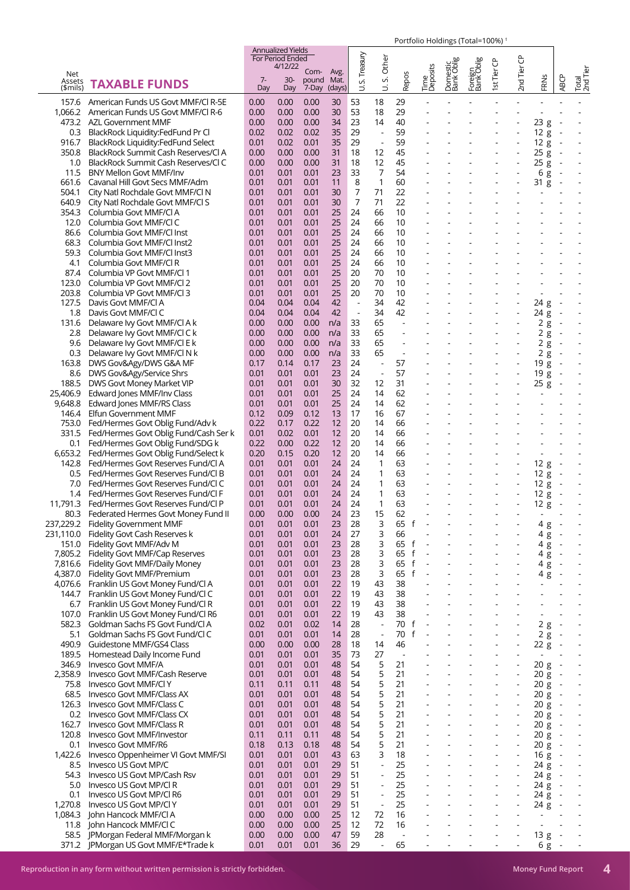|                        |                                                                           |              | <b>Annualized Yields</b><br><b>For Period Ended</b> |                |                |                          |                                                      |                                |                          |                          |                          |                              |                                  |                                 |                                    |                                           |
|------------------------|---------------------------------------------------------------------------|--------------|-----------------------------------------------------|----------------|----------------|--------------------------|------------------------------------------------------|--------------------------------|--------------------------|--------------------------|--------------------------|------------------------------|----------------------------------|---------------------------------|------------------------------------|-------------------------------------------|
| Net                    |                                                                           |              | 4/12/22                                             | Com-           | Avg.           | Treasury                 | Other                                                |                                |                          |                          |                          | ზ                            | 2nd Tier CP                      |                                 |                                    |                                           |
| Assets<br>(\$mils)     | <b>TAXABLE FUNDS</b>                                                      | $7-$<br>Day  | $30-$<br>Day                                        | pound<br>7-Day | Mat.<br>(days) | vi<br>ゴ                  | vi<br>ゔ                                              | Repos                          | Time<br>Deposits         | Domestic<br>Bank Oblig   | Foreign<br>Bank Oblig    | 1st Tier                     |                                  | FRNS                            | <b>ABCP</b>                        | Total<br>2nd Tier                         |
| 157.6                  | American Funds US Govt MMF/CI R-5E                                        | 0.00         | 0.00                                                | 0.00           | 30             | 53                       | 18                                                   | 29                             |                          |                          |                          |                              |                                  |                                 |                                    |                                           |
| 1,066.2                | American Funds US Govt MMF/CI R-6<br>473.2 AZL Government MMF             | 0.00<br>0.00 | 0.00<br>0.00                                        | 0.00<br>0.00   | 30<br>34       | 53<br>23                 | 18<br>14                                             | 29<br>40                       |                          |                          |                          |                              |                                  | 23g                             |                                    |                                           |
| 0.3                    | BlackRock Liquidity:FedFund Pr Cl                                         | 0.02         | 0.02                                                | 0.02           | 35             | 29                       | $\blacksquare$                                       | 59                             |                          |                          |                          |                              |                                  | 12 g                            |                                    |                                           |
| 916.7                  | BlackRock Liquidity:FedFund Select                                        | 0.01         | 0.02                                                | 0.01           | 35             | 29                       | $\Box$                                               | 59                             |                          |                          |                          |                              | $\overline{a}$                   | 12 g                            |                                    |                                           |
| 350.8                  | BlackRock Summit Cash Reserves/Cl A                                       | 0.00         | 0.00                                                | 0.00           | 31             | 18                       | 12                                                   | 45                             |                          |                          |                          |                              |                                  | 25g                             |                                    |                                           |
| 1.0<br>11.5            | BlackRock Summit Cash Reserves/Cl C<br><b>BNY Mellon Govt MMF/Inv</b>     | 0.00<br>0.01 | 0.00<br>0.01                                        | 0.00<br>0.01   | 31<br>23       | 18<br>33                 | 12<br>7                                              | 45<br>54                       |                          |                          |                          |                              | $\overline{a}$                   | 25g                             |                                    |                                           |
| 661.6                  | Cavanal Hill Govt Secs MMF/Adm                                            | 0.01         | 0.01                                                | 0.01           | 11             | 8                        | 1                                                    | 60                             |                          |                          |                          |                              |                                  | 6<br>g<br>31 g                  |                                    |                                           |
| 504.1                  | City Natl Rochdale Govt MMF/Cl N                                          | 0.01         | 0.01                                                | 0.01           | 30             | 7                        | 71                                                   | 22                             |                          |                          |                          |                              |                                  |                                 |                                    |                                           |
| 640.9                  | City Natl Rochdale Govt MMF/Cl S                                          | 0.01         | 0.01                                                | 0.01           | 30             | 7                        | 71                                                   | 22                             |                          |                          |                          |                              |                                  |                                 |                                    |                                           |
| 354.3                  | Columbia Govt MMF/CI A                                                    | 0.01         | 0.01                                                | 0.01<br>0.01   | 25<br>25       | 24<br>24                 | 66                                                   | 10<br>10                       |                          |                          |                          |                              |                                  |                                 |                                    |                                           |
| 12.0<br>86.6           | Columbia Govt MMF/CI C<br>Columbia Govt MMF/Cl Inst                       | 0.01<br>0.01 | 0.01<br>0.01                                        | 0.01           | 25             | 24                       | 66<br>66                                             | 10                             |                          |                          |                          |                              |                                  |                                 |                                    |                                           |
| 68.3                   | Columbia Govt MMF/Cl Inst2                                                | 0.01         | 0.01                                                | 0.01           | 25             | 24                       | 66                                                   | 10                             |                          |                          |                          |                              |                                  |                                 |                                    |                                           |
| 59.3                   | Columbia Govt MMF/Cl Inst3                                                | 0.01         | 0.01                                                | 0.01           | 25             | 24                       | 66                                                   | 10                             |                          |                          |                          |                              |                                  |                                 |                                    |                                           |
| 4.1                    | Columbia Govt MMF/Cl R                                                    | 0.01         | 0.01                                                | 0.01           | 25             | 24                       | 66                                                   | 10<br>10                       |                          |                          |                          |                              |                                  |                                 |                                    |                                           |
| 87.4<br>123.0          | Columbia VP Govt MMF/Cl 1<br>Columbia VP Govt MMF/Cl 2                    | 0.01<br>0.01 | 0.01<br>0.01                                        | 0.01<br>0.01   | 25<br>25       | 20<br>20                 | 70<br>70                                             | 10                             |                          |                          |                          |                              |                                  |                                 |                                    |                                           |
| 203.8                  | Columbia VP Govt MMF/Cl 3                                                 | 0.01         | 0.01                                                | 0.01           | 25             | 20                       | 70                                                   | 10                             |                          |                          |                          |                              |                                  |                                 |                                    |                                           |
| 127.5                  | Davis Govt MMF/CI A                                                       | 0.04         | 0.04                                                | 0.04           | 42             | $\overline{\phantom{a}}$ | 34                                                   | 42                             |                          |                          |                          |                              |                                  | 24 g                            |                                    |                                           |
| 1.8                    | Davis Govt MMF/CI C                                                       | 0.04         | 0.04                                                | 0.04           | 42             | $\overline{\phantom{a}}$ | 34                                                   | 42                             | $\blacksquare$           | $\blacksquare$           | $\blacksquare$           | $\overline{\phantom{a}}$     | $\blacksquare$                   | 24 g                            |                                    |                                           |
| 131.6<br>2.8           | Delaware Ivy Govt MMF/CI A k<br>Delaware Ivy Govt MMF/Cl C k              | 0.00<br>0.00 | 0.00<br>0.00                                        | 0.00<br>0.00   | n/a<br>n/a     | 33<br>33                 | 65<br>65                                             |                                |                          |                          |                          |                              |                                  | 2g<br>2g                        |                                    |                                           |
| 9.6                    | Delaware Ivy Govt MMF/Cl E k                                              | 0.00         | 0.00                                                | 0.00           | n/a            | 33                       | 65                                                   |                                |                          |                          |                          |                              |                                  | 2g                              |                                    |                                           |
| 0.3                    | Delaware Ivy Govt MMF/Cl N k                                              | 0.00         | 0.00                                                | 0.00           | n/a            | 33                       | 65                                                   |                                |                          |                          |                          |                              |                                  | 2g                              |                                    |                                           |
| 163.8                  | DWS Gov&Agy/DWS G&A MF                                                    | 0.17         | 0.14                                                | 0.17           | 23             | 24                       | $\Box$                                               | 57                             |                          |                          |                          |                              | $\overline{a}$                   | 19g                             |                                    |                                           |
| 8.6<br>188.5           | DWS Gov&Agy/Service Shrs<br>DWS Govt Money Market VIP                     | 0.01<br>0.01 | 0.01<br>0.01                                        | 0.01<br>0.01   | 23<br>30       | 24<br>32                 | $\blacksquare$<br>12                                 | 57<br>31                       |                          |                          |                          |                              | ÷,                               | 19g<br>25g                      |                                    |                                           |
| 25,406.9               | Edward Jones MMF/Inv Class                                                | 0.01         | 0.01                                                | 0.01           | 25             | 24                       | 14                                                   | 62                             |                          |                          |                          |                              |                                  |                                 |                                    |                                           |
| 9.648.8                | Edward Jones MMF/RS Class                                                 | 0.01         | 0.01                                                | 0.01           | 25             | 24                       | 14                                                   | 62                             |                          |                          |                          |                              |                                  |                                 |                                    |                                           |
| 146.4                  | Elfun Government MMF                                                      | 0.12         | 0.09                                                | 0.12           | 13             | 17                       | 16                                                   | 67                             |                          |                          |                          |                              |                                  |                                 |                                    |                                           |
| 753.0<br>331.5         | Fed/Hermes Govt Oblig Fund/Adv k<br>Fed/Hermes Govt Oblig Fund/Cash Ser k | 0.22<br>0.01 | 0.17<br>0.02                                        | 0.22<br>0.01   | 12<br>12       | 20<br>20                 | 14<br>14                                             | 66<br>66                       |                          |                          |                          |                              |                                  |                                 |                                    |                                           |
| 0.1                    | Fed/Hermes Govt Oblig Fund/SDG k                                          | 0.22         | 0.00                                                | 0.22           | 12             | 20                       | 14                                                   | 66                             |                          |                          |                          |                              |                                  |                                 |                                    |                                           |
| 6,653.2                | Fed/Hermes Govt Oblig Fund/Select k                                       | 0.20         | 0.15                                                | 0.20           | 12             | 20                       | 14                                                   | 66                             |                          |                          |                          |                              |                                  | $\overline{\phantom{a}}$        |                                    |                                           |
| 142.8                  | Fed/Hermes Govt Reserves Fund/Cl A                                        | 0.01         | 0.01                                                | 0.01           | 24             | 24                       | 1                                                    | 63                             |                          |                          |                          |                              |                                  | 12 g                            | $\overline{\phantom{a}}$           |                                           |
| 0.5<br>7.0             | Fed/Hermes Govt Reserves Fund/Cl B<br>Fed/Hermes Govt Reserves Fund/Cl C  | 0.01<br>0.01 | 0.01<br>0.01                                        | 0.01<br>0.01   | 24<br>24       | 24<br>24                 | 1<br>1                                               | 63<br>63                       |                          |                          |                          | ٠                            | $\blacksquare$                   | 12 g<br>12 g                    | $\overline{\phantom{a}}$           |                                           |
| 1.4                    | Fed/Hermes Govt Reserves Fund/Cl F                                        | 0.01         | 0.01                                                | 0.01           | 24             | 24                       | 1                                                    | 63                             |                          |                          |                          |                              |                                  | 12 g                            |                                    |                                           |
| 11.791.3               | Fed/Hermes Govt Reserves Fund/Cl P                                        | 0.01         | 0.01                                                | 0.01           | 24             | 24                       | 1                                                    | 63                             |                          |                          |                          |                              |                                  | 12 g                            |                                    |                                           |
| 80.3                   | Federated Hermes Govt Money Fund II                                       | 0.00         | 0.00                                                | 0.00           | 24             | 23                       | 15                                                   | 62                             |                          |                          |                          |                              |                                  |                                 |                                    |                                           |
| 237,229.2<br>231,110.0 | <b>Fidelity Government MMF</b><br>Fidelity Govt Cash Reserves k           | 0.01<br>0.01 | 0.01<br>0.01                                        | 0.01<br>0.01   | 23<br>24       | 28<br>27                 | 3<br>3                                               | 65<br>f<br>66                  |                          |                          |                          |                              |                                  | 4 g<br>4 g                      | $\sim$<br>$\overline{\phantom{a}}$ |                                           |
| 151.0                  | Fidelity Govt MMF/Adv M                                                   | 0.01         | 0.01                                                | 0.01           | 23             | 28                       | 3                                                    | 65<br>f                        |                          |                          |                          |                              |                                  | 4g                              | $\overline{\phantom{a}}$           | ÷,                                        |
| 7,805.2                | Fidelity Govt MMF/Cap Reserves                                            | 0.01         | 0.01                                                | 0.01           | 23             | 28                       | 3                                                    | 65<br>$\mathsf{f}$             | $\sim$                   | $\overline{a}$           | $\overline{\phantom{a}}$ | $\overline{\phantom{a}}$     | ÷,                               | 4 g                             | $\sim$                             | $\overline{\phantom{a}}$                  |
| 7,816.6                | Fidelity Govt MMF/Daily Money                                             | 0.01         | 0.01                                                | 0.01           | 23             | 28                       | 3                                                    | 65<br>$\mathsf{f}$             |                          |                          |                          |                              |                                  | 4 g                             | $\sim$                             |                                           |
| 4,387.0<br>4,076.6     | Fidelity Govt MMF/Premium<br>Franklin US Govt Money Fund/Cl A             | 0.01<br>0.01 | 0.01<br>0.01                                        | 0.01<br>0.01   | 23<br>22       | 28<br>19                 | 3<br>43                                              | $\mathsf{f}$<br>65<br>38       | L,                       |                          |                          |                              | L,<br>ä,                         | 4 g<br>$\overline{\phantom{a}}$ | $\sim$                             | ä,                                        |
| 144.7                  | Franklin US Govt Money Fund/Cl C                                          | 0.01         | 0.01                                                | 0.01           | 22             | 19                       | 43                                                   | 38                             |                          |                          |                          |                              |                                  |                                 |                                    |                                           |
| 6.7                    | Franklin US Govt Money Fund/Cl R                                          | 0.01         | 0.01                                                | 0.01           | 22             | 19                       | 43                                                   | 38                             | $\blacksquare$           |                          | $\overline{\phantom{a}}$ |                              | $\blacksquare$                   |                                 |                                    | $\overline{\phantom{a}}$                  |
| 107.0                  | Franklin US Govt Money Fund/Cl R6                                         | 0.01         | 0.01                                                | 0.01           | 22             | 19                       | 43                                                   | 38                             |                          |                          |                          |                              |                                  |                                 |                                    | $\overline{\phantom{a}}$                  |
| 582.3<br>5.1           | Goldman Sachs FS Govt Fund/Cl A<br>Goldman Sachs FS Govt Fund/Cl C        | 0.02<br>0.01 | 0.01<br>0.01                                        | 0.02<br>0.01   | 14<br>14       | 28<br>28                 | $\overline{\phantom{a}}$<br>$\overline{\phantom{a}}$ | 70<br>f<br>70<br>f             | $\overline{\phantom{a}}$ |                          |                          |                              | ÷,<br>$\overline{a}$             | 2g<br>2g                        | $\overline{\phantom{a}}$<br>$\sim$ |                                           |
| 490.9                  | Guidestone MMF/GS4 Class                                                  | 0.00         | 0.00                                                | 0.00           | 28             | 18                       | 14                                                   | 46                             |                          |                          |                          |                              | $\overline{a}$                   | 22 g                            | $\sim$                             |                                           |
| 189.5                  | Homestead Daily Income Fund                                               | 0.01         | 0.01                                                | 0.01           | 35             | 73                       | 27                                                   | $\sim$                         |                          |                          |                          |                              | $\overline{\phantom{a}}$         | $\overline{a}$                  |                                    | ÷,                                        |
| 346.9                  | Invesco Govt MMF/A                                                        | 0.01         | 0.01                                                | 0.01           | 48             | 54                       | 5                                                    | 21                             |                          |                          |                          |                              | $\overline{a}$                   | 20 g                            | $\sim$                             |                                           |
| 2,358.9<br>75.8        | Invesco Govt MMF/Cash Reserve<br>Invesco Govt MMF/Cl Y                    | 0.01<br>0.11 | 0.01<br>0.11                                        | 0.01<br>0.11   | 48<br>48       | 54<br>54                 | 5<br>5                                               | 21<br>21                       | $\overline{a}$           | $\blacksquare$           | $\overline{\phantom{a}}$ | $\overline{a}$               | $\blacksquare$<br>$\overline{a}$ | 20 g<br>20 g                    | $\sim$<br>$\sim$                   | $\overline{\phantom{a}}$                  |
| 68.5                   | Invesco Govt MMF/Class AX                                                 | 0.01         | 0.01                                                | 0.01           | 48             | 54                       | 5                                                    | 21                             |                          |                          |                          |                              | $\overline{a}$                   | 20 g -                          |                                    |                                           |
| 126.3                  | Invesco Govt MMF/Class C                                                  | 0.01         | 0.01                                                | 0.01           | 48             | 54                       | 5                                                    | 21                             |                          |                          |                          |                              | $\blacksquare$                   | 20 g                            | $\sim$                             | $\frac{1}{2}$                             |
| 0.2                    | Invesco Govt MMF/Class CX                                                 | 0.01         | 0.01                                                | 0.01           | 48             | 54                       | 5                                                    | 21                             |                          |                          |                          |                              | $\blacksquare$                   | 20 g -                          |                                    |                                           |
| 162.7<br>120.8         | Invesco Govt MMF/Class R<br>Invesco Govt MMF/Investor                     | 0.01<br>0.11 | 0.01<br>0.11                                        | 0.01<br>0.11   | 48<br>48       | 54<br>54                 | 5<br>5                                               | 21<br>21                       | $\blacksquare$           | $\overline{\phantom{a}}$ | $\overline{\phantom{a}}$ | $\overline{a}$               | $\blacksquare$<br>$\overline{a}$ | 20 g -<br>20 g                  | $\sim$                             | $\overline{\phantom{a}}$                  |
| 0.1                    | Invesco Govt MMF/R6                                                       | 0.18         | 0.13                                                | 0.18           | 48             | 54                       | 5                                                    | 21                             |                          |                          |                          |                              | $\overline{a}$                   | 20 g                            | $\sim$                             | $\overline{\phantom{a}}$                  |
| 1,422.6                | Invesco Oppenheimer VI Govt MMF/SI                                        | 0.01         | 0.01                                                | 0.01           | 43             | 63                       | 3                                                    | 18                             |                          |                          |                          |                              | L,                               | 16g                             | $\sim$                             | $\overline{\phantom{a}}$                  |
| 8.5                    | Invesco US Govt MP/C                                                      | 0.01         | 0.01                                                | 0.01           | 29             | 51                       | $\blacksquare$                                       | 25                             |                          |                          |                          |                              | $\overline{a}$                   | 24 g -                          |                                    |                                           |
| 54.3<br>5.0            | Invesco US Govt MP/Cash Rsv<br>Invesco US Govt MP/Cl R                    | 0.01         | 0.01                                                | 0.01           | 29             | 51<br>51                 | $\overline{\phantom{a}}$<br>$\blacksquare$           | 25<br>25                       |                          | $\overline{\phantom{a}}$ |                          | $\qquad \qquad \blacksquare$ | $\blacksquare$<br>$\blacksquare$ | 24g<br>24g                      | $\sim$<br>$\sim$                   | $\frac{1}{2}$<br>$\overline{\phantom{a}}$ |
| 0.1                    | Invesco US Govt MP/CI R6                                                  | 0.01<br>0.01 | 0.01<br>0.01                                        | 0.01<br>0.01   | 29<br>29       | 51                       | $\blacksquare$                                       | 25                             | $\blacksquare$           | $\overline{\phantom{a}}$ | $\overline{\phantom{a}}$ | $\overline{a}$               | $\blacksquare$                   | 24 g                            | $\sim$                             | $\overline{\phantom{a}}$                  |
| 1,270.8                | Invesco US Govt MP/Cl Y                                                   | 0.01         | 0.01                                                | 0.01           | 29             | 51                       | $\overline{\phantom{a}}$                             | 25                             |                          |                          |                          |                              |                                  | 24g                             | $\sim$                             |                                           |
| 1,084.3                | John Hancock MMF/Cl A                                                     | 0.00         | 0.00                                                | 0.00           | 25             | 12                       | 72                                                   | 16                             |                          |                          |                          |                              |                                  | L.                              |                                    | $\overline{\phantom{a}}$                  |
| 11.8<br>58.5           | John Hancock MMF/Cl C<br>JPMorgan Federal MMF/Morgan k                    | 0.00<br>0.00 | 0.00<br>0.00                                        | 0.00<br>0.00   | 25<br>47       | 12<br>59                 | 72<br>28                                             | 16<br>$\overline{\phantom{a}}$ |                          |                          |                          |                              | ÷.                               | $\blacksquare$<br>13g           | $\sim$ $-$                         | $\overline{\phantom{a}}$                  |
|                        | 371.2 JPMorgan US Govt MMF/E*Trade k                                      | 0.01         | 0.01                                                | 0.01           | 36             | 29                       | $\blacksquare$                                       | 65                             | $\overline{\phantom{a}}$ | $\overline{a}$           | $\overline{a}$           | $\qquad \qquad \blacksquare$ | $\overline{\phantom{a}}$         | 6 g -                           |                                    |                                           |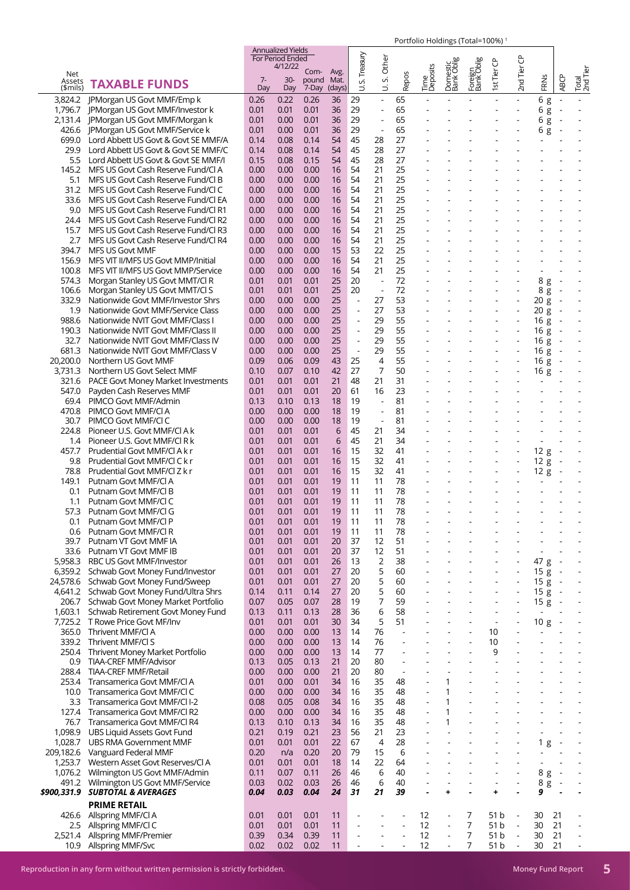|             |                                           |      | <b>Annualized Yields</b>    |       |        |                          |                          |                          |                  |                          |                          |                          |                          |                          |                          |                          |
|-------------|-------------------------------------------|------|-----------------------------|-------|--------|--------------------------|--------------------------|--------------------------|------------------|--------------------------|--------------------------|--------------------------|--------------------------|--------------------------|--------------------------|--------------------------|
|             |                                           |      | For Period Ended<br>4/12/22 |       |        | S. Treasury              | Other                    |                          |                  | Domestic<br>Bank Oblig   | Foreign<br>Bank Oblig    |                          | ზ                        |                          |                          |                          |
| Net         |                                           |      |                             | Com-  | Avg.   |                          |                          |                          | Time<br>Deposits |                          |                          | st Tier CP               | 2nd Tier                 |                          |                          | Total<br>2nd Tier        |
| Assets      | <b>TAXABLE FUNDS</b>                      | $7-$ | $30-$                       | pound | Mat.   |                          | vi                       | Repos                    |                  |                          |                          |                          |                          | FRNS                     | <b>ABCP</b>              |                          |
| (\$mils)    |                                           | Day  | Day                         | 7-Day | (days) | ゴ                        | ₿                        |                          |                  |                          |                          |                          |                          |                          |                          |                          |
|             | 3,824.2   PMorgan US Govt MMF/Emp k       | 0.26 | 0.22                        | 0.26  | 36     | 29                       | $\blacksquare$           | 65                       |                  |                          |                          |                          |                          | 6g                       | $\blacksquare$           |                          |
|             | 1,796.7 JPMorgan US Govt MMF/Investor k   | 0.01 | 0.01                        | 0.01  | 36     | 29                       | $\blacksquare$           | 65                       |                  |                          |                          |                          |                          | 6g                       | $\overline{\phantom{a}}$ |                          |
| 2,131.4     | JPMorgan US Govt MMF/Morgan k             | 0.01 | 0.00                        | 0.01  | 36     | 29                       |                          | 65                       |                  |                          |                          |                          |                          | 6                        |                          |                          |
|             |                                           |      |                             |       |        |                          |                          |                          |                  |                          |                          |                          |                          | g                        |                          |                          |
| 426.6       | JPMorgan US Govt MMF/Service k            | 0.01 | 0.00                        | 0.01  | 36     | 29                       | $\overline{\phantom{a}}$ | 65                       |                  |                          |                          |                          |                          | 6 g                      | $\overline{\phantom{a}}$ |                          |
| 699.0       | Lord Abbett US Govt & Govt SE MMF/A       | 0.14 | 0.08                        | 0.14  | 54     | 45                       | 28                       | 27                       |                  |                          |                          |                          |                          |                          |                          |                          |
| 29.9        | Lord Abbett US Govt & Govt SE MMF/C       | 0.14 | 0.08                        | 0.14  | 54     | 45                       | 28                       | 27                       |                  |                          |                          |                          |                          |                          |                          |                          |
| 5.5         | Lord Abbett US Govt & Govt SE MMF/I       | 0.15 | 0.08                        | 0.15  | 54     | 45                       | 28                       | 27                       |                  |                          |                          |                          |                          |                          |                          |                          |
| 145.2       | MFS US Govt Cash Reserve Fund/Cl A        | 0.00 | 0.00                        | 0.00  | 16     | 54                       | 21                       | 25                       |                  |                          |                          |                          |                          |                          |                          |                          |
| 5.1         | MFS US Govt Cash Reserve Fund/Cl B        | 0.00 | 0.00                        | 0.00  | 16     | 54                       | 21                       | 25                       |                  |                          |                          |                          |                          |                          |                          |                          |
|             |                                           |      |                             |       |        |                          |                          |                          |                  |                          |                          |                          |                          |                          |                          |                          |
| 31.2        | MFS US Govt Cash Reserve Fund/Cl C        | 0.00 | 0.00                        | 0.00  | 16     | 54                       | 21                       | 25                       |                  |                          |                          |                          |                          |                          |                          |                          |
| 33.6        | MFS US Govt Cash Reserve Fund/Cl EA       | 0.00 | 0.00                        | 0.00  | 16     | 54                       | 21                       | 25                       |                  |                          |                          |                          |                          |                          |                          |                          |
| 9.0         | MFS US Govt Cash Reserve Fund/Cl R1       | 0.00 | 0.00                        | 0.00  | 16     | 54                       | 21                       | 25                       |                  |                          |                          |                          |                          |                          |                          |                          |
| 24.4        | MFS US Govt Cash Reserve Fund/Cl R2       | 0.00 | 0.00                        | 0.00  | 16     | 54                       | 21                       | 25                       |                  |                          |                          |                          |                          |                          |                          |                          |
| 15.7        | MFS US Govt Cash Reserve Fund/Cl R3       | 0.00 | 0.00                        | 0.00  | 16     | 54                       | 21                       | 25                       |                  |                          |                          |                          |                          |                          |                          |                          |
| 2.7         | MFS US Govt Cash Reserve Fund/Cl R4       | 0.00 | 0.00                        | 0.00  | 16     | 54                       | 21                       | 25                       |                  |                          |                          |                          |                          |                          |                          |                          |
| 394.7       | <b>MFS US Govt MMF</b>                    | 0.00 | 0.00                        | 0.00  | 15     | 53                       | 22                       | 25                       |                  |                          |                          |                          |                          |                          |                          |                          |
|             |                                           |      |                             |       |        |                          |                          |                          |                  |                          |                          |                          |                          |                          |                          |                          |
| 156.9       | MFS VIT II/MFS US Govt MMP/Initial        | 0.00 | 0.00                        | 0.00  | 16     | 54                       | 21                       | 25                       |                  |                          |                          |                          |                          |                          |                          |                          |
| 100.8       | MFS VIT II/MFS US Govt MMP/Service        | 0.00 | 0.00                        | 0.00  | 16     | 54                       | 21                       | 25                       |                  |                          |                          |                          |                          |                          |                          |                          |
| 574.3       | Morgan Stanley US Govt MMT/Cl R           | 0.01 | 0.01                        | 0.01  | 25     | 20                       | $\overline{\phantom{a}}$ | 72                       |                  |                          |                          |                          |                          | 8 g                      | $\overline{\phantom{a}}$ |                          |
| 106.6       | Morgan Stanley US Govt MMT/Cl S           | 0.01 | 0.01                        | 0.01  | 25     | 20                       | $\overline{\phantom{a}}$ | 72                       |                  |                          |                          |                          |                          | 8 g                      |                          |                          |
| 332.9       | Nationwide Govt MMF/Investor Shrs         | 0.00 | 0.00                        | 0.00  | 25     | $\overline{a}$           | 27                       | 53                       |                  |                          |                          |                          |                          | 20 g                     | $\sim$                   |                          |
| 1.9         | Nationwide Govt MMF/Service Class         | 0.00 | 0.00                        | 0.00  | 25     | $\blacksquare$           | 27                       | 53                       |                  |                          |                          |                          | $\overline{a}$           | 20 g                     |                          |                          |
| 988.6       | Nationwide NVIT Govt MMF/Class I          | 0.00 | 0.00                        | 0.00  | 25     |                          | 29                       | 55                       |                  |                          |                          |                          |                          |                          |                          |                          |
|             |                                           |      |                             |       |        |                          |                          |                          |                  |                          |                          |                          |                          | 16 g                     |                          |                          |
| 190.3       | Nationwide NVIT Govt MMF/Class II         | 0.00 | 0.00                        | 0.00  | 25     | $\overline{a}$           | 29                       | 55                       |                  |                          |                          |                          | $\overline{\phantom{a}}$ | 16g                      | $\overline{\phantom{a}}$ |                          |
| 32.7        | Nationwide NVIT Govt MMF/Class IV         | 0.00 | 0.00                        | 0.00  | 25     | $\overline{\phantom{a}}$ | 29                       | 55                       |                  |                          |                          |                          |                          | 16g                      |                          |                          |
| 681.3       | Nationwide NVIT Govt MMF/Class V          | 0.00 | 0.00                        | 0.00  | 25     | $\overline{\phantom{a}}$ | 29                       | 55                       |                  |                          |                          |                          | ÷,                       | 16 g                     |                          |                          |
| 20,200.0    | Northern US Govt MMF                      | 0.09 | 0.06                        | 0.09  | 43     | 25                       | $\overline{4}$           | 55                       |                  |                          |                          |                          |                          | 16 g                     |                          |                          |
| 3,731.3     | Northern US Govt Select MMF               | 0.10 | 0.07                        | 0.10  | 42     | 27                       | 7                        | 50                       |                  |                          |                          |                          |                          | 16 g                     |                          |                          |
| 321.6       | <b>PACE Govt Money Market Investments</b> | 0.01 | 0.01                        | 0.01  | 21     | 48                       | 21                       | 31                       |                  |                          |                          |                          |                          | $\blacksquare$           |                          |                          |
|             |                                           |      |                             |       |        |                          |                          |                          |                  |                          |                          |                          |                          |                          |                          |                          |
| 547.0       | Payden Cash Reserves MMF                  | 0.01 | 0.01                        | 0.01  | 20     | 61                       | 16                       | 23                       |                  |                          |                          |                          |                          |                          |                          |                          |
| 69.4        | PIMCO Govt MMF/Admin                      | 0.13 | 0.10                        | 0.13  | 18     | 19                       | $\overline{\phantom{a}}$ | 81                       |                  |                          |                          |                          |                          |                          |                          |                          |
| 470.8       | PIMCO Govt MMF/CI A                       | 0.00 | 0.00                        | 0.00  | 18     | 19                       |                          | 81                       |                  |                          |                          |                          |                          |                          |                          |                          |
| 30.7        | PIMCO Govt MMF/CI C                       | 0.00 | 0.00                        | 0.00  | 18     | 19                       | $\overline{\phantom{a}}$ | 81                       |                  |                          |                          |                          |                          |                          |                          |                          |
| 224.8       | Pioneer U.S. Govt MMF/CI A k              | 0.01 | 0.01                        | 0.01  | 6      | 45                       | 21                       | 34                       |                  |                          |                          |                          |                          |                          |                          |                          |
| 1.4         | Pioneer U.S. Govt MMF/CI R k              | 0.01 | 0.01                        | 0.01  | 6      | 45                       | 21                       | 34                       |                  |                          |                          |                          |                          |                          |                          |                          |
|             |                                           | 0.01 |                             |       | 16     | 15                       | 32                       | 41                       |                  |                          |                          |                          |                          |                          |                          |                          |
| 457.7       | Prudential Govt MMF/CI A k r              |      | 0.01                        | 0.01  |        |                          |                          |                          |                  |                          |                          |                          | $\overline{\phantom{a}}$ | 12 g                     | $\overline{\phantom{a}}$ |                          |
| 9.8         | Prudential Govt MMF/CLC k r               | 0.01 | 0.01                        | 0.01  | 16     | 15                       | 32                       | 41                       |                  |                          |                          |                          |                          | 12g                      |                          |                          |
| 78.8        | Prudential Govt MMF/CI Z k r              | 0.01 | 0.01                        | 0.01  | 16     | 15                       | 32                       | 41                       |                  |                          |                          |                          |                          | 12g                      | $\overline{\phantom{a}}$ |                          |
| 149.1       | Putnam Govt MMF/CI A                      | 0.01 | 0.01                        | 0.01  | 19     | 11                       | 11                       | 78                       |                  |                          |                          |                          |                          |                          |                          |                          |
| 0.1         | Putnam Govt MMF/CLB                       | 0.01 | 0.01                        | 0.01  | 19     | 11                       | 11                       | 78                       |                  |                          |                          |                          |                          |                          |                          |                          |
| 1.1         | Putnam Govt MMF/Cl C                      | 0.01 | 0.01                        | 0.01  | 19     | 11                       | 11                       | 78                       |                  |                          |                          |                          |                          |                          |                          |                          |
| 57.3        | Putnam Govt MMF/Cl G                      | 0.01 | 0.01                        | 0.01  | 19     | 11                       | 11                       | 78                       |                  |                          |                          |                          |                          |                          |                          |                          |
|             |                                           |      |                             |       |        |                          |                          |                          |                  |                          |                          |                          |                          |                          |                          |                          |
| 0.1         | Putnam Govt MMF/Cl P                      | 0.01 | 0.01                        | 0.01  | 19     | 11                       | 11                       | 78                       |                  |                          |                          |                          |                          |                          |                          |                          |
| 0.6         | Putnam Govt MMF/Cl R                      | 0.01 | 0.01                        | 0.01  | 19     | 11                       | 11                       | 78                       |                  |                          |                          |                          |                          |                          |                          |                          |
| 39.7        | Putnam VT Govt MMF IA                     | 0.01 | 0.01                        | 0.01  | 20     | 37                       | 12                       | 51                       |                  |                          |                          |                          |                          |                          |                          |                          |
| 33.6        | Putnam VT Govt MMF IB                     | 0.01 | 0.01                        | 0.01  | 20     | 37                       | 12                       | 51                       |                  |                          |                          |                          |                          | $\overline{\phantom{a}}$ |                          |                          |
| 5,958.3     | RBC US Govt MMF/Investor                  | 0.01 | 0.01                        | 0.01  | 26     | 13                       | $\overline{2}$           | 38                       |                  |                          |                          |                          |                          | 47 g                     | $\overline{\phantom{a}}$ |                          |
|             | 6,359.2 Schwab Govt Money Fund/Investor   | 0.01 | 0.01                        | 0.01  | 27     | 20                       | 5                        | 60                       |                  |                          | $\overline{\phantom{a}}$ |                          | $\blacksquare$           | 15g                      | $\sim$                   | $\overline{\phantom{a}}$ |
|             | Schwab Govt Money Fund/Sweep              |      |                             |       |        |                          |                          | 60                       |                  |                          |                          |                          |                          | 15g                      |                          |                          |
| 24,578.6    |                                           | 0.01 | 0.01                        | 0.01  | 27     | 20                       | 5                        |                          |                  |                          |                          |                          |                          |                          | $\sim$                   | $\overline{\phantom{a}}$ |
| 4,641.2     | Schwab Govt Money Fund/Ultra Shrs         | 0.14 | 0.11                        | 0.14  | 27     | 20                       | 5                        | 60                       |                  |                          |                          |                          | $\overline{a}$           | 15g                      | $\sim$                   | $\overline{a}$           |
| 206.7       | Schwab Govt Money Market Portfolio        | 0.07 | 0.05                        | 0.07  | 28     | 19                       | 7                        | 59                       |                  |                          |                          |                          | $\overline{a}$           | $15 g -$                 |                          |                          |
| 1,603.1     | Schwab Retirement Govt Money Fund         | 0.13 | 0.11                        | 0.13  | 28     | 36                       | 6                        | 58                       |                  |                          |                          |                          |                          | $\overline{\phantom{a}}$ |                          |                          |
| 7,725.2     | T Rowe Price Govt MF/Inv                  | 0.01 | 0.01                        | 0.01  | 30     | 34                       | 5                        | 51                       |                  |                          |                          | $\overline{\phantom{a}}$ | $\overline{\phantom{a}}$ | 10g                      | $\overline{\phantom{a}}$ |                          |
| 365.0       | Thrivent MMF/CI A                         | 0.00 | 0.00                        | 0.00  | 13     | 14                       | 76                       | $\overline{\phantom{a}}$ |                  |                          |                          | 10                       |                          |                          |                          |                          |
| 339.2       | Thrivent MMF/CI S                         | 0.00 | 0.00                        | 0.00  | 13     | 14                       | 76                       | $\sim$                   | ٠                | ÷,                       | $\sim$                   | 10                       | $\sim$                   | ÷.                       |                          | ÷.                       |
| 250.4       |                                           | 0.00 | 0.00                        | 0.00  | 13     | 14                       | 77                       |                          |                  |                          |                          | 9                        |                          |                          |                          |                          |
|             | Thrivent Money Market Portfolio           |      |                             |       |        |                          |                          |                          |                  |                          |                          |                          |                          |                          |                          |                          |
| 0.9         | TIAA-CREF MMF/Advisor                     | 0.13 | 0.05                        | 0.13  | 21     | 20                       | 80                       | ÷,                       |                  |                          |                          |                          |                          |                          |                          |                          |
| 288.4       | <b>TIAA-CREF MMF/Retail</b>               | 0.00 | 0.00                        | 0.00  | 21     | 20                       | 80                       | $\overline{\phantom{a}}$ |                  |                          |                          |                          |                          |                          |                          |                          |
| 253.4       | Transamerica Govt MMF/Cl A                | 0.01 | 0.00                        | 0.01  | 34     | 16                       | 35                       | 48                       |                  | 1                        |                          |                          |                          |                          |                          |                          |
| 10.0        | Transamerica Govt MMF/Cl C                | 0.00 | 0.00                        | 0.00  | 34     | 16                       | 35                       | 48                       | $\frac{1}{2}$    | $\mathbf{1}$             |                          |                          |                          | $\overline{\phantom{a}}$ |                          |                          |
| 3.3         | Transamerica Govt MMF/CII-2               | 0.08 | 0.05                        | 0.08  | 34     | 16                       | 35                       | 48                       | $\overline{a}$   | $\mathbf{1}$             |                          |                          |                          |                          |                          |                          |
| 127.4       | Transamerica Govt MMF/Cl R2               | 0.00 | 0.00                        | 0.00  | 34     | 16                       | 35                       | 48                       | ÷,               | 1                        |                          |                          |                          |                          |                          |                          |
| 76.7        |                                           |      |                             | 0.13  | 34     | 16                       | 35                       | 48                       | $\overline{a}$   | $\mathbf{1}$             |                          |                          |                          |                          |                          |                          |
|             | Transamerica Govt MMF/Cl R4               | 0.13 | 0.10                        |       |        |                          |                          |                          |                  |                          |                          |                          |                          |                          |                          |                          |
| 1,098.9     | UBS Liquid Assets Govt Fund               | 0.21 | 0.19                        | 0.21  | 23     | 56                       | 21                       | 23                       | ÷,               |                          |                          |                          |                          |                          |                          |                          |
| 1,028.7     | <b>UBS RMA Government MMF</b>             | 0.01 | 0.01                        | 0.01  | 22     | 67                       | $\overline{4}$           | 28                       | ÷,               | $\overline{\phantom{a}}$ |                          |                          |                          | 1 <sub>g</sub>           | $\overline{\phantom{a}}$ |                          |
| 209,182.6   | Vanguard Federal MMF                      | 0.20 | n/a                         | 0.20  | 20     | 79                       | 15                       | 6                        |                  |                          |                          |                          |                          |                          |                          |                          |
| 1,253.7     | Western Asset Govt Reserves/Cl A          | 0.01 | 0.01                        | 0.01  | 18     | 14                       | 22                       | 64                       | ä,               | L.                       |                          |                          |                          | ÷.                       |                          | $\sim$                   |
| 1,076.2     | Wilmington US Govt MMF/Admin              | 0.11 | 0.07                        | 0.11  | 26     | 46                       | 6                        | 40                       |                  |                          |                          |                          |                          | 8 g                      | $\sim$                   |                          |
| 491.2       | Wilmington US Govt MMF/Service            | 0.03 | 0.02                        | 0.03  | 26     | 46                       | 6                        | 40                       |                  |                          |                          |                          |                          | 8g -                     |                          | $\overline{\phantom{a}}$ |
|             |                                           |      |                             |       | 24     | 31                       | 21                       | 39                       |                  | ÷                        |                          |                          |                          | 9                        |                          |                          |
| \$900,331.9 | <b>SUBTOTAL &amp; AVERAGES</b>            | 0.04 | 0.03                        | 0.04  |        |                          |                          |                          |                  |                          |                          | ٠                        |                          |                          |                          |                          |
|             | <b>PRIME RETAIL</b>                       |      |                             |       |        |                          |                          |                          |                  |                          |                          |                          |                          |                          |                          |                          |
| 426.6       | Allspring MMF/Cl A                        | 0.01 | 0.01                        | 0.01  | 11     |                          |                          |                          | 12               |                          | 7                        | 51 b                     | $\overline{\phantom{a}}$ | 30                       | 21                       |                          |
| 2.5         | Allspring MMF/Cl C                        | 0.01 | 0.01                        | 0.01  | 11     | $\overline{a}$           | $\overline{\phantom{a}}$ | $\sim$                   | 12               | $\blacksquare$           | $\overline{7}$           | 51 b                     | $\Box$                   | 30                       | 21                       | $\overline{\phantom{a}}$ |
|             |                                           |      |                             |       |        |                          |                          |                          |                  |                          |                          |                          |                          |                          |                          |                          |
| 2,521.4     | Allspring MMF/Premier                     | 0.39 | 0.34                        | 0.39  | 11     |                          |                          |                          | 12               | $\overline{\phantom{a}}$ | 7                        | 51 b                     | $\overline{\phantom{a}}$ | 30                       | 21                       | ÷,                       |
| 10.9        | Allspring MMF/Svc                         | 0.02 | 0.02                        | 0.02  | 11     |                          |                          |                          | 12               | $\overline{\phantom{a}}$ | 7                        | 51 b                     | $\blacksquare$           | 30                       | 21                       | $\blacksquare$           |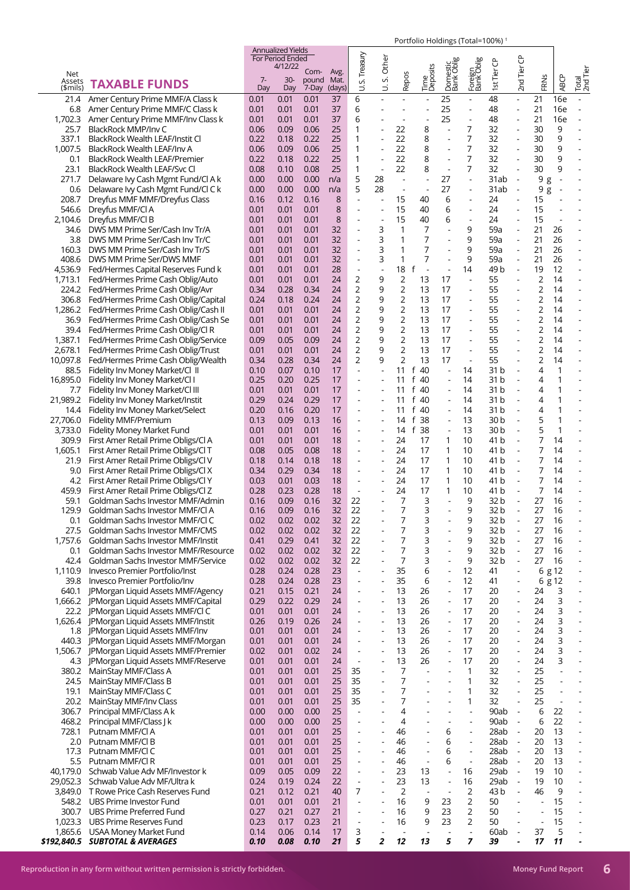|               |                                           |      | <b>Annualized Yields</b><br>For Period Ended |               |              |                                  |                          |                          |                               |                          |                          |                 |                              |                |                          |                          |
|---------------|-------------------------------------------|------|----------------------------------------------|---------------|--------------|----------------------------------|--------------------------|--------------------------|-------------------------------|--------------------------|--------------------------|-----------------|------------------------------|----------------|--------------------------|--------------------------|
|               |                                           |      | 4/12/22                                      |               |              |                                  | Other                    |                          |                               |                          |                          |                 |                              |                |                          |                          |
| Net<br>Assets |                                           | $7-$ | $30-$                                        | Com-<br>pound | Avg.<br>Mat. | S. Treasury                      | vi                       | Repos                    | Time<br>Deposits              | Domestic<br>Bank Oblig   | Foreign<br>Bank Oblig    | 1st Tier CP     | 2nd Tier CP                  |                |                          | Total<br>2nd Tier        |
| (\$mils)      | <b>TAXABLE FUNDS</b>                      | Day  | Day                                          | 7-Day         | (days)       | ⊃                                | ₿                        |                          |                               |                          |                          |                 |                              | FRNS           | <b>ABCP</b>              |                          |
| 21.4          | Amer Century Prime MMF/A Class k          | 0.01 | 0.01                                         | 0.01          | 37           | 6                                |                          | ä,                       |                               | 25                       | $\blacksquare$           | 48              | ÷.                           | 21             | <b>16e</b>               |                          |
| 6.8           | Amer Century Prime MMF/C Class k          | 0.01 | 0.01                                         | 0.01          | 37           | 6                                | -                        |                          |                               | 25                       | $\overline{\phantom{a}}$ | 48              | $\blacksquare$               | 21             | 16e                      |                          |
| 1,702.3       | Amer Century Prime MMF/Inv Class k        | 0.01 | 0.01                                         | 0.01          | 37           | 6                                |                          | ÷,                       |                               | 25                       | $\overline{\phantom{a}}$ | 48              | ÷,                           | 21             | 16e                      |                          |
| 25.7          | BlackRock MMP/Inv C                       | 0.06 | 0.09                                         | 0.06          | 25           | 1                                |                          | 22                       | 8                             |                          | 7                        | 32              | ÷,                           | 30             | 9                        |                          |
| 337.1         | BlackRock Wealth LEAF/Instit Cl           | 0.22 | 0.18                                         | 0.22          | 25           | 1                                | ÷,                       | 22                       | 8                             |                          | 7                        | 32              | ÷,                           | 30             | 9                        |                          |
| 1,007.5       | BlackRock Wealth LEAF/Inv A               | 0.06 | 0.09                                         | 0.06          | 25           | 1                                |                          | 22                       | 8                             |                          | 7                        | 32              | $\blacksquare$               | 30             | 9                        |                          |
| 0.1           | BlackRock Wealth LEAF/Premier             | 0.22 | 0.18                                         | 0.22          | 25           | 1                                | $\overline{\phantom{a}}$ | 22                       | 8                             | $\overline{\phantom{a}}$ | 7                        | 32              | $\blacksquare$               | 30             | 9                        | $\overline{\phantom{a}}$ |
| 23.1          |                                           |      |                                              |               | 25           | 1                                | $\sim$                   | 22                       | 8                             | $\sim$                   | 7                        | 32              | $\overline{\phantom{a}}$     |                | 9                        | ÷,                       |
|               | BlackRock Wealth LEAF/Svc Cl              | 0.08 | 0.10                                         | 0.08          |              |                                  |                          |                          |                               |                          |                          |                 |                              | 30             |                          |                          |
| 271.7         | Delaware Ivy Cash Mgmt Fund/Cl A k        | 0.00 | 0.00                                         | 0.00          | n/a          | 5                                | 28                       | $\overline{\phantom{a}}$ | ÷,                            | 27                       | $\blacksquare$           | 31ab            | $\overline{\phantom{a}}$     | 9 g            | $\overline{\phantom{a}}$ |                          |
| 0.6           | Delaware Ivy Cash Mgmt Fund/Cl C k        | 0.00 | 0.00                                         | 0.00          | n/a          | 5                                | 28                       | $\sim$                   | $\overline{\phantom{a}}$      | 27                       | ÷,                       | 31ab            | $\overline{\phantom{a}}$     | 9<br>g         | $\overline{\phantom{a}}$ |                          |
| 208.7         | Dreyfus MMF MMF/Dreyfus Class             | 0.16 | 0.12                                         | 0.16          | 8            | $\blacksquare$                   |                          | 15                       | 40                            | 6                        |                          | 24              | ÷,                           | 15             |                          |                          |
| 546.6         | Dreyfus MMF/Cl A                          | 0.01 | 0.01                                         | 0.01          | 8            | $\blacksquare$                   | $\overline{\phantom{a}}$ | 15                       | 40                            | 6                        | $\overline{\phantom{a}}$ | 24              | $\overline{\phantom{a}}$     | 15             |                          |                          |
| 2,104.6       | Dreyfus MMF/Cl B                          | 0.01 | 0.01                                         | 0.01          | 8            | L,                               | $\overline{\phantom{a}}$ | 15                       | 40                            | 6                        | $\overline{\phantom{a}}$ | 24              | $\overline{a}$               | 15             |                          |                          |
| 34.6          | DWS MM Prime Ser/Cash Inv Tr/A            | 0.01 | 0.01                                         | 0.01          | 32           | $\overline{\phantom{a}}$         | 3                        | 1                        | 7                             |                          | 9                        | 59a             | $\overline{\phantom{a}}$     | 21             | 26                       | $\overline{\phantom{a}}$ |
| 3.8           | DWS MM Prime Ser/Cash Inv Tr/C            | 0.01 | 0.01                                         | 0.01          | 32           | $\overline{a}$                   | 3                        | $\mathbf{1}$             | 7                             |                          | 9                        | 59a             | $\overline{a}$               | 21             | 26                       | $\overline{a}$           |
| 160.3         | DWS MM Prime Ser/Cash Inv Tr/S            | 0.01 | 0.01                                         | 0.01          | 32           | $\blacksquare$                   | 3                        | 1                        | 7                             |                          | 9                        | 59a             | $\overline{\phantom{a}}$     | 21             | 26                       | $\overline{a}$           |
| 408.6         | DWS MM Prime Ser/DWS MMF                  | 0.01 | 0.01                                         | 0.01          | 32           | $\overline{\phantom{a}}$         | 3                        | 1                        | 7                             |                          | 9                        | 59a             | $\overline{\phantom{a}}$     | 21             | 26                       | $\overline{\phantom{a}}$ |
| 4,536.9       | Fed/Hermes Capital Reserves Fund k        | 0.01 | 0.01                                         | 0.01          | 28           | $\overline{a}$                   | $\blacksquare$           | 18                       | f<br>$\overline{\phantom{a}}$ |                          | 14                       | 49 b            | $\overline{\phantom{a}}$     | 19             | 12                       |                          |
| 1,713.1       | Fed/Hermes Prime Cash Oblig/Auto          | 0.01 | 0.01                                         | 0.01          | 24           | 2                                | 9                        | $\overline{2}$           | 13                            | 17                       | $\overline{\phantom{a}}$ | 55              | $\blacksquare$               | $\overline{2}$ | 14                       | $\overline{a}$           |
| 224.2         | Fed/Hermes Prime Cash Oblig/Avr           | 0.34 | 0.28                                         | 0.34          | 24           | 2                                | 9                        | $\overline{2}$           | 13                            | 17                       | $\blacksquare$           | 55              |                              | 2              | 14                       |                          |
| 306.8         | Fed/Hermes Prime Cash Oblig/Capital       | 0.24 | 0.18                                         | 0.24          | 24           | 2                                | 9                        | $\overline{2}$           | 13                            | 17                       | $\overline{\phantom{a}}$ | 55              | ÷,                           | 2              | 14                       | $\overline{a}$           |
| 1,286.2       | Fed/Hermes Prime Cash Oblig/Cash II       | 0.01 | 0.01                                         | 0.01          | 24           | 2                                | 9                        | $\overline{c}$           | 13                            | 17                       | $\blacksquare$           | 55              |                              | 2              | 14                       | $\overline{a}$           |
| 36.9          | Fed/Hermes Prime Cash Oblig/Cash Se       | 0.01 | 0.01                                         | 0.01          | 24           | 2                                | 9                        | $\overline{c}$           | 13                            | 17                       | ÷,                       | 55              |                              | 2              | 14                       | ÷,                       |
| 39.4          | Fed/Hermes Prime Cash Oblig/Cl R          | 0.01 | 0.01                                         | 0.01          | 24           | 2                                | 9                        | $\overline{2}$           | 13                            | 17                       | $\overline{\phantom{a}}$ | 55              |                              | 2              | 14                       | ÷,                       |
| 1,387.1       | Fed/Hermes Prime Cash Oblig/Service       | 0.09 | 0.05                                         | 0.09          | 24           | 2                                | 9                        | $\overline{c}$           | 13                            | 17                       | $\overline{\phantom{a}}$ | 55              |                              | 2              | 14                       |                          |
| 2,678.1       | Fed/Hermes Prime Cash Oblig/Trust         | 0.01 | 0.01                                         | 0.01          | 24           | 2                                | 9                        | 2                        | 13                            | 17                       | $\overline{\phantom{a}}$ | 55              | $\overline{\phantom{a}}$     | 2              | 14                       | $\overline{\phantom{a}}$ |
| 10,097.8      | Fed/Hermes Prime Cash Oblig/Wealth        | 0.34 | 0.28                                         | 0.34          | 24           | 2                                | 9                        | 2                        | 13                            | 17                       |                          | 55              |                              | 2              | 14                       |                          |
| 88.5          | Fidelity Inv Money Market/Cl II           | 0.10 | 0.07                                         | 0.10          | 17           | $\overline{a}$                   |                          | 11                       | f<br>-40                      |                          | 14                       | 31 b            | ÷,                           | 4              | 1                        | L,                       |
| 16,895.0      | Fidelity Inv Money Market/Cl I            | 0.25 | 0.20                                         | 0.25          | 17           | $\overline{\phantom{a}}$         |                          | 11                       | f 40                          |                          | 14                       | 31 <sub>b</sub> |                              | 4              | 1                        |                          |
| 7.7           | Fidelity Inv Money Market/Cl III          | 0.01 | 0.01                                         | 0.01          | 17           |                                  |                          | 11                       | $f$ 40                        |                          | 14                       | 31b             |                              | 4              | 1                        |                          |
| 21,989.2      | Fidelity Inv Money Market/Instit          | 0.29 | 0.24                                         | 0.29          | 17           | $\overline{\phantom{a}}$         |                          | 11                       | f 40                          |                          | 14                       | 31 <sub>b</sub> | $\overline{\phantom{a}}$     | 4              | 1                        |                          |
| 14.4          | Fidelity Inv Money Market/Select          | 0.20 | 0.16                                         | 0.20          | 17           |                                  |                          | 11                       | f 40                          |                          | 14                       | 31 b            |                              | 4              | 1                        |                          |
| 27,706.0      | Fidelity MMF/Premium                      | 0.13 | 0.09                                         | 0.13          | 16           |                                  |                          | 14                       | f 38                          | $\overline{\phantom{a}}$ | 13                       | 30 <sub>b</sub> | $\overline{\phantom{a}}$     | 5              | 1                        |                          |
| 3,733.0       | Fidelity Money Market Fund                | 0.01 | 0.01                                         | 0.01          | 16           |                                  |                          | 14                       | f 38                          |                          | 13                       | 30 <sub>b</sub> |                              | 5              | $\mathbf{1}$             |                          |
| 309.9         | First Amer Retail Prime Obligs/Cl A       | 0.01 | 0.01                                         | 0.01          | 18           | $\overline{\phantom{a}}$         |                          | 24                       | 17                            | 1                        | 10                       | 41 b            | $\sim$                       | 7              | 14                       | L,                       |
| 1,605.1       | First Amer Retail Prime Obligs/Cl T       | 0.08 | 0.05                                         | 0.08          | 18           |                                  |                          | 24                       | 17                            | $\mathbf 1$              | 10                       | 41 b            |                              | 7              | 14                       | $\overline{a}$           |
|               |                                           |      |                                              |               |              | $\overline{\phantom{m}}$         |                          | 24                       | 17                            | $\mathbf{1}$             | 10                       |                 | $\qquad \qquad \blacksquare$ | 7              | 14                       | $\overline{\phantom{a}}$ |
| 21.9          | First Amer Retail Prime Obligs/Cl V       | 0.18 | 0.14                                         | 0.18          | 18           |                                  |                          |                          |                               |                          |                          | 41 b            | $\overline{\phantom{a}}$     |                |                          |                          |
| 9.0           | First Amer Retail Prime Obligs/Cl X       | 0.34 | 0.29                                         | 0.34          | 18           | $\overline{\phantom{a}}$         | $\overline{\phantom{a}}$ | 24                       | 17                            | $\mathbf{1}$             | 10                       | 41 b            | $\overline{\phantom{a}}$     | 7              | 14                       | $\overline{\phantom{a}}$ |
| 4.2           | First Amer Retail Prime Obligs/Cl Y       | 0.03 | 0.01                                         | 0.03          | 18           |                                  |                          | 24                       | 17                            | $\mathbf 1$              | 10                       | 41 b            |                              | 7              | 14                       |                          |
| 459.9         | First Amer Retail Prime Obligs/Cl Z       | 0.28 | 0.23                                         | 0.28          | 18           | $\overline{\phantom{a}}$         |                          | 24                       | 17                            | $\mathbf{1}$             | 10                       | 41 b            |                              | 7              | 14                       | $\overline{a}$           |
| 59.1          | Goldman Sachs Investor MMF/Admin          | 0.16 | 0.09                                         | 0.16          | 32           | 22                               |                          | 7                        | 3                             |                          | 9                        | 32 b            |                              | 27             | 16                       |                          |
| 129.9         | Goldman Sachs Investor MMF/CI A           | 0.16 | 0.09                                         | 0.16          | 32           | 22                               |                          | 7                        | 3                             |                          | 9                        | 32 <sub>b</sub> |                              | 27             | 16                       |                          |
| 0.1           | Goldman Sachs Investor MMF/CI C           | 0.02 | 0.02                                         | 0.02          | 32           | 22                               |                          | 7                        | 3                             |                          | 9                        | 32 b            |                              | 27             | 16                       |                          |
| 27.5          | <b>Goldman Sachs Investor MMF/CMS</b>     | 0.02 | 0.02                                         | 0.02          | 32           | 22                               |                          | 7                        | 3                             |                          | 9                        | 32 <sub>b</sub> | L,                           | 27             | 16                       | $\blacksquare$           |
| 1,757.6       | Goldman Sachs Investor MMF/Instit         | 0.41 | 0.29                                         | 0.41          | 32           | 22                               |                          | 7                        | 3                             |                          | 9                        | 32 <sub>b</sub> | $\overline{\phantom{a}}$     | 27             | 16                       | $\overline{\phantom{a}}$ |
| 0.1           | Goldman Sachs Investor MMF/Resource       | 0.02 | 0.02                                         | 0.02          | 32           | 22                               | L,                       | 7                        | 3                             |                          | 9                        | 32 b            | $\overline{a}$               | 27             | 16                       | $\overline{a}$           |
| 42.4          | Goldman Sachs Investor MMF/Service        | 0.02 | 0.02                                         | 0.02          | 32           | 22                               | $\overline{a}$           | 7                        | 3                             |                          | 9                        | 32 <sub>b</sub> | $\blacksquare$               | 27             | 16                       | $\overline{\phantom{a}}$ |
| 1,110.9       | Invesco Premier Portfolio/Inst            | 0.28 | 0.24                                         | 0.28          | 23           | $\blacksquare$                   | $\overline{\phantom{a}}$ | 35                       | 6                             |                          | 12                       | 41              | $\overline{\phantom{a}}$     | 6              | g 12                     | $\overline{a}$           |
| 39.8          | Invesco Premier Portfolio/Inv             | 0.28 | 0.24                                         | 0.28          | 23           | $\sim$                           |                          | 35                       | 6                             |                          | 12                       | 41              | ÷,                           | 6              | g 12                     | $\overline{\phantom{a}}$ |
| 640.1         | JPMorgan Liquid Assets MMF/Agency         | 0.21 | 0.15                                         | 0.21          | 24           | $\blacksquare$                   | $\overline{a}$           | 13                       | 26                            |                          | 17                       | 20              | ÷,                           | 24             | 3                        | $\overline{\phantom{a}}$ |
| 1,666.2       | <b>IPMorgan Liquid Assets MMF/Capital</b> | 0.29 | 0.22                                         | 0.29          | 24           |                                  |                          | 13                       | 26                            |                          | 17                       | 20              | ÷,                           | 24             | 3                        | $\overline{\phantom{a}}$ |
| 22.2          | <b>IPMorgan Liquid Assets MMF/CI C</b>    | 0.01 | 0.01                                         | 0.01          | 24           | $\overline{a}$                   |                          | 13                       | 26                            |                          | 17                       | 20              | $\overline{a}$               | 24             | 3                        | $\overline{\phantom{a}}$ |
| 1,626.4       | JPMorgan Liquid Assets MMF/Instit         | 0.26 | 0.19                                         | 0.26          | 24           | $\blacksquare$                   |                          | 13                       | 26                            |                          | 17                       | 20              | ÷,                           | 24             | 3                        | $\overline{\phantom{a}}$ |
| 1.8           | JPMorgan Liquid Assets MMF/Inv            | 0.01 | 0.01                                         | 0.01          | 24           |                                  |                          | 13                       | 26                            |                          | 17                       | 20              | $\overline{a}$               | 24             | 3                        |                          |
| 440.3         | JPMorgan Liquid Assets MMF/Morgan         | 0.01 | 0.01                                         | 0.01          | 24           | $\blacksquare$                   | $\overline{\phantom{a}}$ | 13                       | 26                            | $\overline{\phantom{a}}$ | 17                       | 20              | ÷,                           | 24             | 3                        | $\blacksquare$           |
| 1,506.7       | JPMorgan Liquid Assets MMF/Premier        | 0.02 | 0.01                                         | 0.02          | 24           | $\overline{\phantom{a}}$         |                          | 13                       | 26                            |                          | 17                       | 20              | $\overline{a}$               | 24             | 3                        | $\blacksquare$           |
| 4.3           | JPMorgan Liquid Assets MMF/Reserve        | 0.01 | 0.01                                         | 0.01          | 24           | $\overline{\phantom{a}}$         |                          | 13                       | 26                            | $\blacksquare$           | 17                       | 20              | ÷,                           | 24             | 3                        | $\blacksquare$           |
| 380.2         | MainStay MMF/Class A                      | 0.01 | 0.01                                         | 0.01          | 25           | 35                               |                          | 7                        |                               |                          | $\mathbf{1}$             | 32              | ÷,                           | 25             | ÷,                       |                          |
| 24.5          | MainStay MMF/Class B                      | 0.01 | 0.01                                         | 0.01          | 25           | 35                               |                          | 7                        | L,                            |                          | 1                        | 32              | ÷,                           | 25             |                          |                          |
| 19.1          | MainStay MMF/Class C                      | 0.01 | 0.01                                         | 0.01          | 25           | 35                               | $\overline{a}$           | 7                        |                               | ÷,                       | 1                        | 32              | $\overline{a}$               | 25             | $\overline{a}$           |                          |
| 20.2          | MainStay MMF/Inv Class                    | 0.01 | 0.01                                         | 0.01          | 25           | 35                               |                          | 7                        |                               |                          | 1                        | 32              | $\blacksquare$               | 25             |                          |                          |
| 306.7         | Principal MMF/Class A k                   | 0.00 | 0.00                                         | 0.00          | 25           | $\overline{\phantom{a}}$         | $\overline{a}$           | 4                        |                               | $\blacksquare$           | ÷,                       | 90ab            | $\Box$                       | 6              | 22                       | $\blacksquare$           |
| 468.2         | Principal MMF/Class J k                   | 0.00 | 0.00                                         | 0.00          | 25           |                                  |                          | 4                        |                               |                          |                          | 90ab            | $\blacksquare$               | 6              | 22                       |                          |
| 728.1         | Putnam MMF/Cl A                           | 0.01 | 0.01                                         | 0.01          | 25           | $\blacksquare$                   |                          | 46                       |                               | 6                        | ÷,                       | 28ab            | $\blacksquare$               | 20             | 13                       | $\blacksquare$           |
| 2.0           | Putnam MMF/Cl B                           | 0.01 | 0.01                                         | 0.01          | 25           | $\overline{\phantom{a}}$         |                          | 46                       | $\overline{a}$                | 6                        | ÷,                       | 28ab            | $\overline{\phantom{a}}$     | 20             | 13                       | $\blacksquare$           |
| 17.3          | Putnam MMF/Cl C                           | 0.01 | 0.01                                         | 0.01          | 25           |                                  |                          | 46                       | ÷,                            | 6                        | ÷,                       | 28ab            | $\ddot{\phantom{1}}$         | 20             | 13                       | $\overline{\phantom{a}}$ |
| 5.5           | Putnam MMF/Cl R                           | 0.01 | 0.01                                         | 0.01          | 25           | $\overline{\phantom{a}}$         |                          | 46                       | $\overline{\phantom{a}}$      | 6                        | $\overline{\phantom{a}}$ | 28ab            | $\Box$                       | 20             | 13                       | $\blacksquare$           |
| 40,179.0      | Schwab Value Adv MF/Investor k            | 0.09 | 0.05                                         | 0.09          | 22           | $\overline{\phantom{a}}$         |                          | 23                       | 13                            | $\blacksquare$           | 16                       | 29ab            | $\overline{\phantom{a}}$     | 19             | 10                       | $\blacksquare$           |
| 29,052.3      | Schwab Value Adv MF/Ultra k               | 0.24 | 0.19                                         | 0.24          | 22           | $\ddot{\phantom{1}}$             | ÷,                       | 23                       | 13                            | $\overline{\phantom{a}}$ | 16                       | 29ab            | $\overline{\phantom{a}}$     | 19             | 10                       | $\overline{\phantom{a}}$ |
| 3,849.0       | T Rowe Price Cash Reserves Fund           | 0.21 | 0.12                                         | 0.21          | 40           | 7                                |                          | 2                        | $\overline{\phantom{a}}$      |                          | $\overline{2}$           | 43 b            | $\overline{\phantom{a}}$     | 46             | 9                        | $\overline{\phantom{a}}$ |
| 548.2         | UBS Prime Investor Fund                   | 0.01 | 0.01                                         | 0.01          | 21           | ÷,                               |                          | 16                       | 9                             | 23                       | 2                        | 50              | ÷,                           | $\overline{a}$ | 15                       | $\overline{\phantom{a}}$ |
| 300.7         | <b>UBS Prime Preferred Fund</b>           | 0.27 | 0.21                                         | 0.27          | 21           |                                  |                          | 16                       | 9                             | 23                       | 2                        | 50              |                              | $\overline{a}$ | 15                       |                          |
| 1,023.3       | UBS Prime Reserves Fund                   | 0.23 | 0.17                                         | 0.23          | 21           | $\overline{a}$<br>$\blacksquare$ |                          | 16                       | 9                             | 23                       | 2                        | 50              |                              | $\overline{a}$ | 15                       | $\overline{\phantom{a}}$ |
| 1,865.6       | <b>USAA Money Market Fund</b>             | 0.14 | 0.06                                         | 0.14          | 17           | 3                                |                          | $\overline{\phantom{a}}$ |                               |                          | $\overline{\phantom{a}}$ | 60ab            | $\overline{\phantom{a}}$     | 37             | 5                        | $\blacksquare$           |
| \$192,840.5   | <b>SUBTOTAL &amp; AVERAGES</b>            | 0.10 | 0.08                                         | 0.10          | 21           | 5                                | $\overline{2}$           | 12                       | 13                            | 5                        | $\overline{z}$           | 39              | $\blacksquare$               | 17             | 11                       |                          |
|               |                                           |      |                                              |               |              |                                  |                          |                          |                               |                          |                          |                 |                              |                |                          |                          |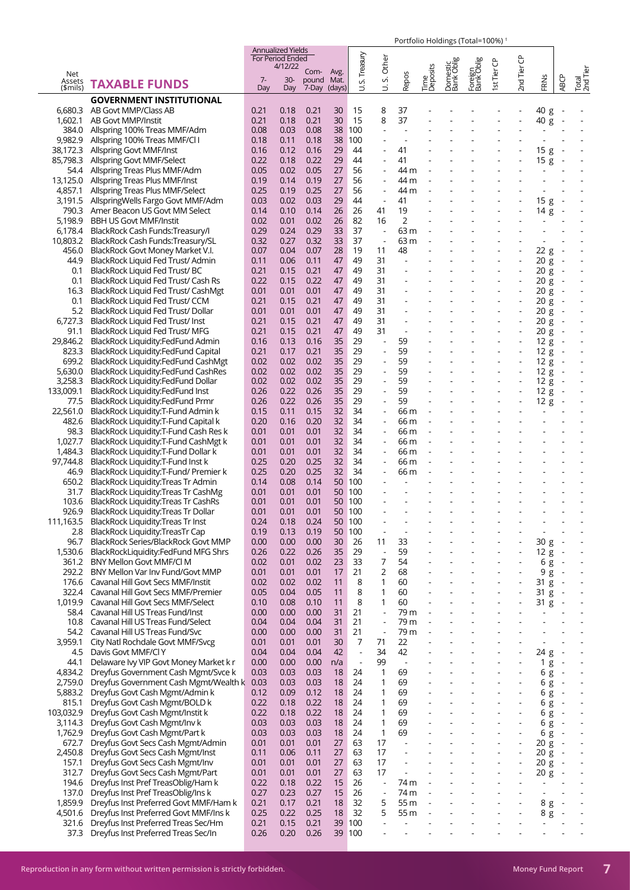|                    |                                                                              |              | <b>Annualized Yields</b> |                            |          |                          |                              |                          |                          |                          |                          |                          |                          |                          |                                                      |                          |
|--------------------|------------------------------------------------------------------------------|--------------|--------------------------|----------------------------|----------|--------------------------|------------------------------|--------------------------|--------------------------|--------------------------|--------------------------|--------------------------|--------------------------|--------------------------|------------------------------------------------------|--------------------------|
|                    |                                                                              |              | For Period Ended         |                            |          | Treasury                 |                              |                          |                          |                          |                          |                          |                          |                          |                                                      |                          |
| Net                |                                                                              |              | 4/12/22                  | Com-                       | Avg.     |                          | Other                        |                          |                          |                          |                          |                          |                          |                          |                                                      |                          |
| Assets             | <b>TAXABLE FUNDS</b>                                                         | $7 -$<br>Day | $30-$<br>Day             | pound Mat.<br>7-Day (days) |          | vi                       | vi<br>$\overline{a}$         | Repos                    | Time<br>Deposits         | Domestic<br>Bank Oblig   | Foreign<br> Bank Oblig   | st Tier CP               | 2nd Tier CP              | FRNS                     | <b>ABCP</b>                                          | Total<br>2nd Tier        |
| \$mils)            | <b>GOVERNMENT INSTITUTIONAL</b>                                              |              |                          |                            |          | ゴ                        |                              |                          |                          |                          |                          |                          |                          |                          |                                                      |                          |
| 6,680.3            | AB Govt MMP/Class AB                                                         | 0.21         | 0.18                     | 0.21                       | 30       | 15                       | 8                            | 37                       |                          |                          |                          |                          |                          | 40 g                     |                                                      |                          |
| 1,602.1            | AB Govt MMP/Instit                                                           | 0.21         | 0.18                     | 0.21                       | 30       | 15                       | 8                            | 37                       |                          |                          |                          |                          |                          | 40 g                     | $\overline{\phantom{a}}$                             |                          |
| 384.0              | Allspring 100% Treas MMF/Adm                                                 | 0.08         | 0.03                     | 0.08                       | 38       | 100                      |                              |                          |                          |                          |                          |                          |                          |                          |                                                      |                          |
| 9,982.9            | Allspring 100% Treas MMF/Cl I                                                | 0.18         | 0.11                     | 0.18                       | 38       | 100                      | $\overline{a}$               |                          |                          |                          |                          |                          |                          |                          |                                                      |                          |
| 38,172.3           | Allspring Govt MMF/Inst                                                      | 0.16         | 0.12                     | 0.16                       | 29       | 44                       | ٠                            | 41                       |                          |                          |                          |                          |                          | 15g                      |                                                      |                          |
| 85.798.3           | Allspring Govt MMF/Select                                                    | 0.22         | 0.18                     | 0.22                       | 29       | 44                       | $\overline{\phantom{a}}$     | 41                       |                          |                          |                          |                          | $\blacksquare$           | 15g                      | $\overline{a}$                                       |                          |
| 54.4               | Allspring Treas Plus MMF/Adm                                                 | 0.05         | 0.02                     | 0.05                       | 27       | 56                       | $\overline{a}$               | 44 m                     |                          |                          |                          |                          |                          |                          |                                                      |                          |
| 13,125.0           | Allspring Treas Plus MMF/Inst                                                | 0.19         | 0.14                     | 0.19                       | 27       | 56                       | $\blacksquare$               | 44 m                     |                          |                          |                          |                          |                          |                          |                                                      |                          |
| 4,857.1            | Allspring Treas Plus MMF/Select                                              | 0.25         | 0.19                     | 0.25                       | 27       | 56                       | $\blacksquare$               | 44 m                     |                          |                          |                          |                          |                          |                          |                                                      |                          |
| 3,191.5            | AllspringWells Fargo Govt MMF/Adm                                            | 0.03         | 0.02                     | 0.03                       | 29       | 44                       | $\blacksquare$               | 41                       |                          |                          |                          |                          |                          | 15 g                     | $\overline{\phantom{a}}$                             |                          |
| 790.3              | Amer Beacon US Govt MM Select                                                | 0.14         | 0.10                     | 0.14                       | 26       | 26                       | 41                           | 19                       | $\overline{a}$           |                          | $\overline{\phantom{a}}$ |                          | $\overline{\phantom{a}}$ | 14 g                     | $\overline{\phantom{a}}$                             |                          |
| 5,198.9            | <b>BBH US Govt MMF/Instit</b>                                                | 0.02         | 0.01                     | 0.02                       | 26       | 82                       | 16                           | $\overline{2}$           |                          |                          |                          |                          |                          | $\overline{\phantom{a}}$ |                                                      |                          |
| 6,178.4            | BlackRock Cash Funds: Treasury/I                                             | 0.29         | 0.24                     | 0.29                       | 33       | 37                       | $\blacksquare$               | 63 m                     |                          |                          |                          |                          |                          |                          |                                                      |                          |
| 10,803.2           | BlackRock Cash Funds: Treasury/SL                                            | 0.32         | 0.27                     | 0.32                       | 33       | 37                       | $\overline{\phantom{a}}$     | 63 m                     |                          |                          |                          |                          |                          |                          |                                                      |                          |
| 456.0              | BlackRock Govt Money Market V.I.                                             | 0.07         | 0.04                     | 0.07                       | 28       | 19                       | 11                           | 48                       |                          |                          |                          |                          |                          | 22 g                     | $\overline{\phantom{a}}$                             |                          |
| 44.9               | BlackRock Liquid Fed Trust/ Admin                                            | 0.11         | 0.06                     | 0.11                       | 47       | 49                       | 31                           |                          | $\overline{\phantom{a}}$ |                          | $\blacksquare$           | $\overline{\phantom{a}}$ | $\overline{\phantom{a}}$ | 20 g                     | $\overline{\phantom{a}}$                             |                          |
| 0.1                | BlackRock Liquid Fed Trust/BC                                                | 0.21         | 0.15                     | 0.21                       | 47       | 49                       | 31                           |                          |                          |                          |                          |                          |                          | 20 g                     | $\overline{\phantom{a}}$                             |                          |
| 0.1                | BlackRock Liquid Fed Trust/ Cash Rs                                          | 0.22         | 0.15                     | 0.22                       | 47       | 49<br>49                 | 31<br>31                     |                          |                          |                          |                          |                          | $\overline{\phantom{a}}$ | 20 g                     | $\overline{\phantom{a}}$                             |                          |
| 16.3               | BlackRock Liquid Fed Trust/ CashMgt<br>BlackRock Liquid Fed Trust/ CCM       | 0.01<br>0.21 | 0.01<br>0.15             | 0.01<br>0.21               | 47<br>47 | 49                       | 31                           |                          |                          |                          |                          |                          |                          | 20 g                     | $\overline{\phantom{a}}$                             |                          |
| 0.1<br>5.2         | BlackRock Liquid Fed Trust/ Dollar                                           | 0.01         | 0.01                     | 0.01                       | 47       | 49                       | 31                           |                          |                          |                          |                          |                          | $\blacksquare$           | 20 g<br>20 g             | $\overline{\phantom{a}}$<br>$\overline{\phantom{a}}$ |                          |
| 6,727.3            | BlackRock Liquid Fed Trust/ Inst                                             | 0.21         | 0.15                     | 0.21                       | 47       | 49                       | 31                           |                          |                          |                          |                          |                          |                          | 20 g                     |                                                      |                          |
| 91.1               | BlackRock Liquid Fed Trust/ MFG                                              | 0.21         | 0.15                     | 0.21                       | 47       | 49                       | 31                           | $\sim$                   |                          |                          | ÷,                       | ÷,                       | $\blacksquare$           | 20 g                     | $\overline{\phantom{a}}$                             | $\blacksquare$           |
| 29,846.2           | BlackRock Liquidity:FedFund Admin                                            | 0.16         | 0.13                     | 0.16                       | 35       | 29                       | ÷,                           | 59                       |                          |                          |                          |                          |                          | 12 g                     |                                                      |                          |
| 823.3              | BlackRock Liquidity:FedFund Capital                                          | 0.21         | 0.17                     | 0.21                       | 35       | 29                       | ÷,                           | 59                       |                          |                          |                          |                          |                          | 12 g                     | $\overline{\phantom{a}}$                             |                          |
| 699.2              | BlackRock Liquidity:FedFund CashMgt                                          | 0.02         | 0.02                     | 0.02                       | 35       | 29                       | $\overline{a}$               | 59                       |                          |                          |                          |                          | $\overline{\phantom{a}}$ | 12 g                     | $\overline{\phantom{a}}$                             |                          |
| 5,630.0            | BlackRock Liquidity:FedFund CashRes                                          | 0.02         | 0.02                     | 0.02                       | 35       | 29                       | ÷,                           | 59                       |                          |                          |                          |                          |                          | 12 g                     |                                                      |                          |
| 3,258.3            | BlackRock Liquidity:FedFund Dollar                                           | 0.02         | 0.02                     | 0.02                       | 35       | 29                       | ÷,                           | 59                       |                          |                          | $\blacksquare$           | $\overline{\phantom{a}}$ | $\overline{\phantom{a}}$ | 12 g                     | $\overline{\phantom{a}}$                             |                          |
| 133,009.1          | BlackRock Liquidity:FedFund Inst                                             | 0.26         | 0.22                     | 0.26                       | 35       | 29                       | ÷,                           | 59                       |                          |                          |                          |                          |                          | 12 g                     |                                                      |                          |
| 77.5               | BlackRock Liquidity:FedFund Prmr                                             | 0.26         | 0.22                     | 0.26                       | 35       | 29                       | $\overline{a}$               | 59                       |                          |                          |                          |                          |                          | 12 g                     |                                                      |                          |
| 22,561.0           | BlackRock Liquidity: T-Fund Admin k                                          | 0.15         | 0.11                     | 0.15                       | 32       | 34                       |                              | 66 m                     |                          |                          |                          |                          |                          |                          |                                                      |                          |
| 482.6              | BlackRock Liquidity: T-Fund Capital k                                        | 0.20         | 0.16                     | 0.20                       | 32       | 34                       | $\blacksquare$               | 66 m                     |                          |                          |                          |                          |                          |                          |                                                      |                          |
| 98.3               | BlackRock Liquidity:T-Fund Cash Res k                                        | 0.01         | 0.01                     | 0.01                       | 32       | 34                       | $\overline{\phantom{a}}$     | 66 m                     |                          |                          |                          |                          |                          |                          |                                                      |                          |
| 1,027.7            | BlackRock Liquidity: T-Fund CashMgt k                                        | 0.01         | 0.01                     | 0.01                       | 32       | 34                       |                              | 66 m                     |                          |                          |                          |                          |                          |                          |                                                      |                          |
| 1,484.3            | BlackRock Liquidity: T-Fund Dollar k                                         | 0.01         | 0.01                     | 0.01                       | 32       | 34                       | $\overline{\phantom{a}}$     | 66 m                     |                          |                          |                          |                          |                          |                          |                                                      |                          |
| 97,744.8           | BlackRock Liquidity:T-Fund Inst k                                            | 0.25         | 0.20                     | 0.25                       | 32       | 34                       | $\overline{\phantom{a}}$     | 66 m                     |                          |                          |                          |                          |                          |                          |                                                      |                          |
| 46.9               | BlackRock Liquidity:T-Fund/ Premier k                                        | 0.25         | 0.20                     | 0.25                       | 32       | 34                       |                              | 66 m                     |                          |                          |                          |                          |                          |                          |                                                      |                          |
| 650.2              | BlackRock Liquidity: Treas Tr Admin                                          | 0.14         | 0.08                     | 0.14                       |          | 50 100                   |                              |                          |                          |                          |                          |                          |                          |                          |                                                      |                          |
| 31.7<br>103.6      | BlackRock Liquidity: Treas Tr CashMg                                         | 0.01<br>0.01 | 0.01<br>0.01             | 0.01<br>0.01               |          | 50 100<br>50 100         |                              |                          |                          |                          |                          |                          |                          |                          |                                                      |                          |
| 926.9              | BlackRock Liquidity: Treas Tr CashRs<br>BlackRock Liquidity: Treas Tr Dollar | 0.01         | 0.01                     | 0.01                       |          | 50 100                   |                              |                          |                          |                          |                          |                          |                          |                          |                                                      |                          |
| 111,163.5          | BlackRock Liquidity: Treas Tr Inst                                           | 0.24         | 0.18                     | 0.24                       | 50       | 100                      |                              |                          |                          |                          |                          |                          |                          |                          |                                                      |                          |
| 2.8                | <b>BlackRock Liquidity:TreasTr Cap</b>                                       | 0.19         | 0.13                     | 0.19                       |          | 50 100                   | $\overline{a}$               |                          |                          |                          |                          |                          |                          |                          |                                                      |                          |
| 96.7               | BlackRock Series/BlackRock Govt MMP                                          | 0.00         | 0.00                     | 0.00                       | 30       | 26                       | 11                           | 33                       |                          |                          |                          |                          |                          | 30 g                     | $\overline{\phantom{a}}$                             | $\blacksquare$           |
| 1,530.6            | BlackRockLiquidity:FedFund MFG Shrs                                          | 0.26         | 0.22                     | 0.26                       | 35       | 29                       | $\overline{\phantom{a}}$     | 59                       |                          |                          | $\overline{\phantom{0}}$ | $\overline{\phantom{0}}$ | $\overline{\phantom{a}}$ | 12 g                     | $\overline{\phantom{a}}$                             | $\blacksquare$           |
| 361.2              | BNY Mellon Govt MMF/Cl M                                                     | 0.02         | 0.01                     | 0.02                       | 23       | 33                       | 7                            | 54                       |                          |                          |                          |                          |                          | 6 g                      | $\overline{\phantom{a}}$                             |                          |
|                    | 292.2 BNY Mellon Var Inv Fund/Govt MMP                                       | 0.01         | 0.01                     | 0.01                       | 17       | 21                       | 2                            | 68                       |                          |                          | ÷,                       | ÷                        | $\overline{a}$           | 9 g                      | $\overline{\phantom{a}}$                             | $\blacksquare$           |
| 176.6              | Cavanal Hill Govt Secs MMF/Instit                                            | 0.02         | 0.02                     | 0.02                       | 11       | 8                        | 1                            | 60                       |                          |                          |                          |                          |                          | 31 g                     | $\overline{\phantom{a}}$                             |                          |
| 322.4              | Cavanal Hill Govt Secs MMF/Premier                                           | 0.05         | 0.04                     | 0.05                       | 11       | 8                        | $\mathbf{1}$                 | 60                       |                          |                          | $\overline{a}$           | ÷,                       | $\overline{a}$           | 31 g                     | $\overline{\phantom{a}}$                             |                          |
| 1,019.9            | Cavanal Hill Govt Secs MMF/Select                                            | 0.10         | 0.08                     | 0.10                       | 11       | 8                        | 1                            | 60                       |                          |                          | $\overline{\phantom{0}}$ | $\overline{a}$           | $\overline{\phantom{a}}$ | 31 g                     | $\overline{\phantom{a}}$                             |                          |
| 58.4               | Cavanal Hill US Treas Fund/Inst                                              | 0.00         | 0.00                     | 0.00                       | 31       | 21                       | ÷,                           | 79 m                     | $\overline{a}$           |                          |                          |                          | $\overline{a}$           | $\blacksquare$           |                                                      |                          |
| 10.8               | Cavanal Hill US Treas Fund/Select                                            | 0.04         | 0.04                     | 0.04                       | 31       | 21                       | $\blacksquare$               | 79 m                     | $\overline{a}$           |                          | $\frac{1}{2}$            | ÷                        |                          | $\overline{a}$           |                                                      |                          |
| 54.2               | Cavanal Hill US Treas Fund/Svc                                               | 0.00         | 0.00                     | 0.00                       | 31       | 21                       | $\blacksquare$               | 79 m                     |                          |                          |                          |                          |                          |                          |                                                      |                          |
| 3,959.1            | City Natl Rochdale Govt MMF/Svcg                                             | 0.01         | 0.01                     | 0.01                       | 30       | 7                        | 71                           | 22                       |                          |                          | ÷,                       |                          |                          | $\overline{a}$           |                                                      |                          |
| 4.5                | Davis Govt MMF/Cl Y                                                          | 0.04         | 0.04                     | 0.04                       | 42       | $\overline{\phantom{a}}$ | 34                           | 42                       |                          |                          |                          |                          |                          | 24 g                     | $\sim$                                               |                          |
| 44.1               | Delaware Ivy VIP Govt Money Market k r                                       | 0.00         | 0.00                     | 0.00                       | n/a      | $\overline{\phantom{a}}$ | 99                           | $\overline{\phantom{a}}$ |                          |                          | ÷,                       | $\overline{a}$           |                          | 1 <sub>g</sub>           | $\overline{\phantom{a}}$                             | $\overline{\phantom{a}}$ |
| 4,834.2            | Dreyfus Government Cash Mgmt/Svce k                                          | 0.03         | 0.03                     | 0.03                       | 18<br>18 | 24<br>24                 | $\mathbf{1}$<br>$\mathbf{1}$ | 69                       |                          |                          | $\frac{1}{2}$            | ÷,                       | $\overline{\phantom{a}}$ | $6g$                     | $\overline{\phantom{a}}$                             | $\blacksquare$           |
| 2,759.0<br>5,883.2 | Dreyfus Government Cash Mgmt/Wealth k 0.03<br>Dreyfus Govt Cash Mgmt/Admin k | 0.12         | 0.03<br>0.09             | 0.03<br>0.12               | 18       | 24                       | $\mathbf{1}$                 | 69<br>69                 | $\overline{\phantom{a}}$ | $\overline{\phantom{a}}$ | $\blacksquare$           | $\overline{\phantom{a}}$ | $\overline{a}$           | 6g                       | $\overline{\phantom{a}}$<br>$\overline{\phantom{a}}$ | $\overline{\phantom{a}}$ |
| 815.1              | Dreyfus Govt Cash Mgmt/BOLD k                                                | 0.22         | 0.18                     | 0.22                       | 18       | 24                       | $\mathbf{1}$                 | 69                       |                          |                          |                          |                          |                          | 6 g<br>6g                | $\overline{\phantom{a}}$                             |                          |
| 103,032.9          | Dreyfus Govt Cash Mgmt/Instit k                                              | 0.22         | 0.18                     | 0.22                       | 18       | 24                       | $\mathbf{1}$                 | 69                       |                          |                          | $\overline{a}$           |                          |                          | 6 g                      | $\overline{\phantom{a}}$                             |                          |
| 3,114.3            | Dreyfus Govt Cash Mgmt/Inv k                                                 | 0.03         | 0.03                     | 0.03                       | 18       | 24                       | 1                            | 69                       |                          |                          | $\overline{\phantom{0}}$ |                          | $\overline{a}$           | 6g                       | $\overline{\phantom{a}}$                             | $\blacksquare$           |
| 1,762.9            | Dreyfus Govt Cash Mgmt/Part k                                                | 0.03         | 0.03                     | 0.03                       | 18       | 24                       | $\mathbf{1}$                 | 69                       |                          |                          |                          |                          |                          | 6g                       | $\overline{\phantom{a}}$                             |                          |
| 672.7              | Dreyfus Govt Secs Cash Mgmt/Admin                                            | 0.01         | 0.01                     | 0.01                       | 27       | 63                       | 17                           | $\sim$                   |                          | $\overline{\phantom{a}}$ | $\blacksquare$           | $\overline{\phantom{a}}$ | $\blacksquare$           | 20 g                     | $\overline{\phantom{a}}$                             | $\blacksquare$           |
| 2,450.8            | Dreyfus Govt Secs Cash Mgmt/Inst                                             | 0.11         | 0.06                     | 0.11                       | 27       | 63                       | 17                           |                          |                          |                          |                          |                          |                          | 20 g                     | $\overline{\phantom{a}}$                             |                          |
| 157.1              | Dreyfus Govt Secs Cash Mgmt/Inv                                              | 0.01         | 0.01                     | 0.01                       | 27       | 63                       | 17                           | $\overline{\phantom{a}}$ | $\overline{\phantom{a}}$ |                          | ÷,                       | ÷,                       | $\Box$                   | 20 g                     | $\overline{\phantom{a}}$                             | $\blacksquare$           |
| 312.7              | Dreyfus Govt Secs Cash Mgmt/Part                                             | 0.01         | 0.01                     | 0.01                       | 27       | 63                       | 17                           |                          |                          |                          |                          |                          | $\overline{a}$           | 20 g                     | $\overline{\phantom{a}}$                             |                          |
| 194.6              | Dreyfus Inst Pref TreasOblig/Ham k                                           | 0.22         | 0.18                     | 0.22                       | 15       | 26                       | $\overline{\phantom{a}}$     | 74 m                     | J.                       |                          | ÷,                       | ٠                        | ÷,                       | $\mathbf{r}$             |                                                      | $\sim$                   |
| 137.0              | Dreyfus Inst Pref TreasOblig/Ins k                                           | 0.27         | 0.23                     | 0.27                       | 15       | 26                       | $\overline{\phantom{a}}$     | 74 m                     |                          |                          | $\overline{\phantom{0}}$ |                          |                          | $\overline{\phantom{a}}$ |                                                      |                          |
| 1,859.9            | Dreyfus Inst Preferred Govt MMF/Ham k                                        | 0.21         | 0.17                     | 0.21                       | 18       | 32                       | 5                            | 55 m                     |                          |                          |                          |                          |                          | 8 g                      | $\overline{\phantom{a}}$                             |                          |
| 4,501.6            | Dreyfus Inst Preferred Govt MMF/Ins k                                        | 0.25         | 0.22                     | 0.25                       | 18       | 32                       | 5                            | 55 m                     |                          |                          | $\overline{\phantom{a}}$ |                          | $\overline{a}$           | 8 g                      | $\overline{\phantom{m}}$                             |                          |
| 321.6              | Dreyfus Inst Preferred Treas Sec/Hm                                          | 0.21         | 0.15                     | 0.21                       |          | 39 100                   | ÷,                           |                          |                          |                          |                          |                          |                          | ÷,                       |                                                      |                          |
| 37.3               | Dreyfus Inst Preferred Treas Sec/In                                          | 0.26         | 0.20                     | 0.26                       |          | 39 100                   |                              |                          |                          |                          |                          |                          |                          |                          |                                                      |                          |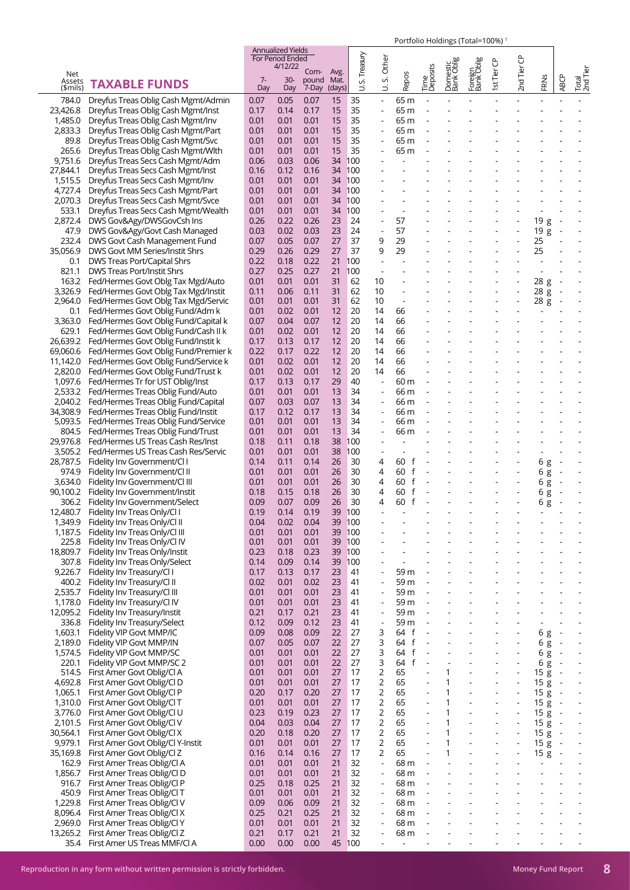|                    |                                      |             | Annualized Yields<br>For Period Ended |                     |        |             |                          |                          |                          |                        |                          |                          |                          |                |                          |                          |
|--------------------|--------------------------------------|-------------|---------------------------------------|---------------------|--------|-------------|--------------------------|--------------------------|--------------------------|------------------------|--------------------------|--------------------------|--------------------------|----------------|--------------------------|--------------------------|
|                    |                                      |             | 4/12/22                               |                     |        |             | Other                    |                          |                          |                        |                          |                          |                          |                |                          |                          |
| Net                |                                      |             |                                       | Com-                | Avg.   | S. Treasury |                          |                          | Time<br>Deposits         | Domestic<br>Bank Oblig | Foreign<br> Bank Oblig   | 1st Tier CP              | 2nd Tier CP              |                |                          | Total<br>2nd Tier        |
| Assets<br>(\$mils) | <b>TAXABLE FUNDS</b>                 | $7-$<br>Day | $30-$<br>Day                          | pound Mat.<br>7-Day | (days) | ゴ           | vi<br>ゴ                  | Repos                    |                          |                        |                          |                          |                          | FRNS           | <b>ABCP</b>              |                          |
|                    |                                      |             |                                       |                     |        |             |                          |                          |                          |                        |                          |                          |                          |                |                          |                          |
| 784.0              | Dreyfus Treas Oblig Cash Mgmt/Admin  | 0.07        | 0.05                                  | 0.07                | 15     | 35          | $\Box$                   | 65 m                     |                          |                        |                          |                          |                          |                |                          |                          |
| 23,426.8           | Dreyfus Treas Oblig Cash Mgmt/Inst   | 0.17        | 0.14                                  | 0.17                | 15     | 35          | $\blacksquare$           | 65 m                     |                          |                        |                          |                          |                          |                |                          |                          |
| 1,485.0            | Dreyfus Treas Oblig Cash Mgmt/Inv    | 0.01        | 0.01                                  | 0.01                | 15     | 35          | $\overline{\phantom{a}}$ | 65 m                     |                          |                        |                          |                          |                          |                |                          |                          |
| 2,833.3            | Dreyfus Treas Oblig Cash Mgmt/Part   | 0.01        | 0.01                                  | 0.01                | 15     | 35          |                          | 65 m                     |                          |                        |                          |                          |                          |                |                          |                          |
| 89.8               | Dreyfus Treas Oblig Cash Mgmt/Svc    | 0.01        | 0.01                                  | 0.01                | 15     | 35          | $\blacksquare$           | 65 m                     |                          |                        |                          |                          |                          |                |                          |                          |
| 265.6              | Dreyfus Treas Oblig Cash Mgmt/Wlth   | 0.01        | 0.01                                  | 0.01                | 15     | 35          |                          | 65 m                     |                          |                        |                          |                          |                          |                |                          |                          |
| 9,751.6            | Dreyfus Treas Secs Cash Mgmt/Adm     | 0.06        | 0.03                                  | 0.06                | 34     | 100         |                          |                          |                          |                        |                          |                          |                          |                |                          |                          |
| 27,844.1           | Dreyfus Treas Secs Cash Mgmt/Inst    | 0.16        | 0.12                                  | 0.16                | 34     | 100         |                          |                          |                          |                        |                          |                          |                          |                |                          |                          |
| 1,515.5            | Dreyfus Treas Secs Cash Mgmt/Inv     | 0.01        | 0.01                                  | 0.01                | 34     | 100         |                          |                          |                          |                        |                          |                          |                          |                |                          |                          |
| 4,727.4            | Dreyfus Treas Secs Cash Mgmt/Part    | 0.01        | 0.01                                  | 0.01                | 34     | 100         |                          |                          |                          |                        |                          |                          |                          |                |                          |                          |
| 2,070.3            | Dreyfus Treas Secs Cash Mgmt/Svce    | 0.01        | 0.01                                  | 0.01                | 34     | 100         |                          |                          |                          |                        |                          |                          |                          |                |                          |                          |
| 533.1              | Dreyfus Treas Secs Cash Mgmt/Wealth  | 0.01        | 0.01                                  | 0.01                | 34     | 100         | $\sim$                   | $\sim$                   |                          |                        |                          |                          |                          | $\overline{a}$ |                          |                          |
| 2,872.4            | DWS Gov&Agy/DWSGovCsh Ins            | 0.26        | 0.22                                  | 0.26                | 23     | 24          |                          | 57                       |                          |                        |                          |                          |                          | 19g            |                          |                          |
| 47.9               | DWS Gov&Agy/Govt Cash Managed        | 0.03        | 0.02                                  | 0.03                | 23     | 24          | $\overline{\phantom{a}}$ | 57                       |                          |                        |                          |                          | ÷,                       | 19g            | $\sim$                   |                          |
| 232.4              | DWS Govt Cash Management Fund        | 0.07        | 0.05                                  | 0.07                | 27     | 37          | 9                        | 29                       |                          |                        |                          |                          | $\overline{\phantom{a}}$ | 25             |                          |                          |
| 35,056.9           | DWS Govt MM Series/Instit Shrs       | 0.29        | 0.26                                  | 0.29                | 27     | 37          | 9                        | 29                       |                          |                        |                          |                          |                          | 25             |                          |                          |
|                    |                                      | 0.22        |                                       |                     |        |             | J.                       |                          |                          |                        |                          |                          |                          |                |                          |                          |
| 0.1                | DWS Treas Port/Capital Shrs          |             | 0.18                                  | 0.22                | 21     | 100         |                          |                          |                          |                        |                          |                          |                          |                |                          |                          |
| 821.1              | <b>DWS Treas Port/Instit Shrs</b>    | 0.27        | 0.25                                  | 0.27                | 21     | 100         | $\overline{\phantom{a}}$ |                          |                          |                        |                          |                          |                          |                |                          |                          |
| 163.2              | Fed/Hermes Govt Oblg Tax Mgd/Auto    | 0.01        | 0.01                                  | 0.01                | 31     | 62          | 10                       |                          |                          |                        |                          |                          |                          | 28 g           | $\overline{\phantom{a}}$ |                          |
| 3,326.9            | Fed/Hermes Govt Oblg Tax Mgd/Instit  | 0.11        | 0.06                                  | 0.11                | 31     | 62          | 10                       |                          |                          |                        |                          |                          |                          | 28 g           | $\overline{\phantom{a}}$ |                          |
| 2,964.0            | Fed/Hermes Govt Oblg Tax Mgd/Servic  | 0.01        | 0.01                                  | 0.01                | 31     | 62          | 10                       | $\overline{\phantom{a}}$ |                          |                        |                          |                          |                          | 28 g           |                          |                          |
| 0.1                | Fed/Hermes Govt Oblig Fund/Adm k     | 0.01        | 0.02                                  | 0.01                | 12     | 20          | 14                       | 66                       |                          |                        |                          |                          |                          |                |                          |                          |
| 3.363.0            | Fed/Hermes Govt Oblig Fund/Capital k | 0.07        | 0.04                                  | 0.07                | 12     | 20          | 14                       | 66                       |                          |                        |                          |                          |                          |                |                          |                          |
| 629.1              | Fed/Hermes Govt Oblig Fund/Cash II k | 0.01        | 0.02                                  | 0.01                | 12     | 20          | 14                       | 66                       |                          |                        |                          |                          |                          |                |                          |                          |
| 26,639.2           | Fed/Hermes Govt Oblig Fund/Instit k  | 0.17        | 0.13                                  | 0.17                | 12     | 20          | 14                       | 66                       |                          |                        |                          |                          |                          |                |                          |                          |
| 69,060.6           | Fed/Hermes Govt Oblig Fund/Premier k | 0.22        | 0.17                                  | 0.22                | 12     | 20          | 14                       | 66                       |                          |                        |                          |                          |                          |                |                          |                          |
| 11,142.0           | Fed/Hermes Govt Oblig Fund/Service k | 0.01        | 0.02                                  | 0.01                | 12     | 20          | 14                       | 66                       |                          |                        |                          |                          |                          |                |                          |                          |
| 2,820.0            | Fed/Hermes Govt Oblig Fund/Trust k   | 0.01        | 0.02                                  | 0.01                | 12     | 20          | 14                       | 66                       |                          |                        |                          |                          |                          |                |                          |                          |
| 1,097.6            | Fed/Hermes Tr for UST Oblig/Inst     | 0.17        | 0.13                                  | 0.17                | 29     | 40          | $\overline{\phantom{a}}$ | 60 m                     |                          |                        |                          |                          |                          |                |                          |                          |
| 2,533.2            | Fed/Hermes Treas Oblig Fund/Auto     | 0.01        | 0.01                                  | 0.01                | 13     | 34          | $\overline{\phantom{a}}$ | 66 m                     |                          |                        |                          |                          |                          |                |                          |                          |
| 2,040.2            | Fed/Hermes Treas Oblig Fund/Capital  | 0.07        | 0.03                                  | 0.07                | 13     | 34          | $\overline{\phantom{a}}$ | 66 m                     |                          |                        |                          |                          |                          |                |                          |                          |
| 34,308.9           | Fed/Hermes Treas Oblig Fund/Instit   | 0.17        | 0.12                                  | 0.17                | 13     | 34          | $\overline{\phantom{a}}$ | 66 m                     |                          |                        |                          |                          |                          |                |                          |                          |
| 5,093.5            |                                      | 0.01        | 0.01                                  | 0.01                | 13     | 34          | $\overline{\phantom{a}}$ |                          |                          |                        |                          |                          |                          |                |                          |                          |
|                    | Fed/Hermes Treas Oblig Fund/Service  |             |                                       |                     |        |             |                          | 66 m                     |                          |                        |                          |                          |                          |                |                          |                          |
| 804.5              | Fed/Hermes Treas Oblig Fund/Trust    | 0.01        | 0.01                                  | 0.01                | 13     | 34          | $\overline{\phantom{a}}$ | 66 m                     |                          |                        |                          |                          |                          |                |                          |                          |
| 29,976.8           | Fed/Hermes US Treas Cash Res/Inst    | 0.18        | 0.11                                  | 0.18                | 38     | 100         |                          |                          |                          |                        |                          |                          |                          |                |                          |                          |
| 3,505.2            | Fed/Hermes US Treas Cash Res/Servic  | 0.01        | 0.01                                  | 0.01                | 38     | 100         | $\overline{\phantom{a}}$ |                          |                          |                        |                          |                          |                          |                |                          |                          |
| 28,787.5           | Fidelity Inv Government/Cl I         | 0.14        | 0.11                                  | 0.14                | 26     | 30          | 4                        | 60 f                     |                          |                        |                          |                          |                          | 6g             | $\overline{a}$           |                          |
| 974.9              | Fidelity Inv Government/Cl II        | 0.01        | 0.01                                  | 0.01                | 26     | 30          | 4                        | 60<br>f                  |                          |                        |                          | $\blacksquare$           | $\overline{\phantom{a}}$ | 6 g            | $\sim$                   |                          |
| 3,634.0            | Fidelity Inv Government/Cl III       | 0.01        | 0.01                                  | 0.01                | 26     | 30          | 4                        | 60 f                     |                          |                        |                          | $\overline{\phantom{a}}$ | ÷,                       | 6g             | $\overline{\phantom{a}}$ |                          |
| 90,100.2           | Fidelity Inv Government/Instit       | 0.18        | 0.15                                  | 0.18                | 26     | 30          | 4                        | 60<br>f                  |                          |                        |                          |                          |                          | 6 g            |                          |                          |
| 306.2              | Fidelity Inv Government/Select       | 0.09        | 0.07                                  | 0.09                | 26     | 30          | 4                        | f<br>60                  |                          |                        |                          |                          |                          | 6g             |                          |                          |
| 12,480.7           | Fidelity Inv Treas Only/Cl I         | 0.19        | 0.14                                  | 0.19                | 39     | 100         |                          |                          |                          |                        |                          |                          |                          |                |                          |                          |
| 1,349.9            | Fidelity Inv Treas Only/Cl II        | 0.04        | 0.02                                  | 0.04                | 39     | 100         |                          |                          |                          |                        |                          |                          |                          |                |                          |                          |
| 1,187.5            | Fidelity Inv Treas Only/Cl III       | 0.01        | 0.01                                  | 0.01                | 39     | 100         |                          |                          |                          |                        |                          |                          |                          |                |                          |                          |
| 225.8              | Fidelity Inv Treas Only/Cl IV        | 0.01        | 0.01                                  | 0.01                | 39     | 100         |                          |                          |                          |                        |                          |                          |                          |                |                          |                          |
| 18,809.7           | Fidelity Inv Treas Only/Instit       | 0.23        | 0.18                                  | 0.23                | 39     | 100         |                          |                          |                          |                        |                          |                          |                          |                |                          |                          |
| 307.8              | Fidelity Inv Treas Only/Select       | 0.14        | 0.09                                  | 0.14                | 39     | 100         |                          |                          |                          |                        |                          |                          |                          |                |                          |                          |
| 9,226.7            | Fidelity Inv Treasury/Cl I           | 0.17        | 0.13                                  | 0.17                | 23     | 41          | $\overline{\phantom{a}}$ | 59 m                     | $\overline{\phantom{a}}$ |                        |                          |                          |                          |                |                          |                          |
| 400.2              | Fidelity Inv Treasury/Cl II          | 0.02        | 0.01                                  | 0.02                | 23     | 41          | $\overline{\phantom{a}}$ | 59 m                     |                          |                        |                          |                          |                          |                |                          |                          |
|                    | Fidelity Inv Treasury/Cl III         |             |                                       |                     | 23     |             |                          | 59 m                     | $\overline{\phantom{a}}$ |                        |                          |                          |                          |                |                          |                          |
| 2,535.7            |                                      | 0.01        | 0.01                                  | 0.01                |        | 41          | $\overline{\phantom{a}}$ |                          |                          |                        |                          |                          |                          |                |                          |                          |
| 1,178.0            | Fidelity Inv Treasury/Cl IV          | 0.01        | 0.01                                  | 0.01                | 23     | 41          | $\blacksquare$           | 59 m                     | $\overline{\phantom{a}}$ |                        |                          |                          |                          |                |                          |                          |
| 12,095.2           | Fidelity Inv Treasury/Instit         | 0.21        | 0.17                                  | 0.21                | 23     | 41          |                          | 59 m                     |                          |                        |                          |                          |                          |                |                          |                          |
| 336.8              | Fidelity Inv Treasury/Select         | 0.12        | 0.09                                  | 0.12                | 23     | 41          | $\overline{\phantom{a}}$ | 59 m                     | $\blacksquare$           |                        |                          |                          | $\blacksquare$           |                |                          | $\overline{a}$           |
| 1,603.1            | Fidelity VIP Govt MMP/IC             | 0.09        | 0.08                                  | 0.09                | 22     | 27          | 3                        | 64<br>$-f$               | ÷.                       |                        |                          |                          |                          | 6 g            | $\overline{\phantom{a}}$ |                          |
| 2,189.0            | Fidelity VIP Govt MMP/IN             | 0.07        | 0.05                                  | 0.07                | 22     | 27          | 3                        | f<br>64                  | $\overline{\phantom{a}}$ |                        |                          |                          | $\blacksquare$           | 6 g            | $\sim$                   | $\blacksquare$           |
| 1,574.5            | Fidelity VIP Govt MMP/SC             | 0.01        | 0.01                                  | 0.01                | 22     | 27          | 3                        | $\mathsf{f}$<br>64       |                          |                        |                          |                          |                          | 6 g            | $\sim$                   | $\overline{\phantom{a}}$ |
| 220.1              | Fidelity VIP Govt MMP/SC 2           | 0.01        | 0.01                                  | 0.01                | 22     | 27          | 3                        | $\mathsf{f}$<br>64       | $\overline{a}$           |                        |                          |                          |                          | 6 g            | $\sim$                   |                          |
| 514.5              | First Amer Govt Oblig/Cl A           | 0.01        | 0.01                                  | 0.01                | 27     | 17          | 2                        | 65                       | $\overline{a}$           | 1                      |                          |                          | $\overline{a}$           | 15g            | $\sim$                   |                          |
| 4,692.8            | First Amer Govt Oblig/Cl D           | 0.01        | 0.01                                  | 0.01                | 27     | 17          | $\overline{2}$           | 65                       | ä,                       | 1                      |                          |                          | ÷,                       | 15g            | $\ddot{\phantom{a}}$     |                          |
| 1,065.1            | First Amer Govt Oblig/Cl P           | 0.20        | 0.17                                  | 0.20                | 27     | 17          | $\overline{2}$           | 65                       | $\overline{\phantom{a}}$ | 1                      | $\overline{\phantom{a}}$ | $\overline{\phantom{a}}$ | $\blacksquare$           | 15g            | $\overline{\phantom{a}}$ | $\Box$                   |
| 1,310.0            | First Amer Govt Oblig/Cl T           | 0.01        | 0.01                                  | 0.01                | 27     | 17          | 2                        | 65                       | $\overline{a}$           | 1                      |                          |                          | $\overline{a}$           | 15g            | $\sim$                   |                          |
| 3,776.0            | First Amer Govt Oblig/Cl U           | 0.23        | 0.19                                  | 0.23                | 27     | 17          | $\overline{2}$           | 65                       | $\overline{a}$           | 1                      |                          |                          | ÷,                       | 15g            | $\sim$                   |                          |
| 2,101.5            | First Amer Govt Oblig/Cl V           | 0.04        | 0.03                                  | 0.04                | 27     | 17          | 2                        | 65                       | $\overline{a}$           | 1                      |                          |                          | $\Box$                   | 15g            | $\sim$                   | $\overline{\phantom{a}}$ |
| 30,564.1           | First Amer Govt Oblig/Cl X           | 0.20        | 0.18                                  | 0.20                | 27     | 17          | 2                        | 65                       |                          | 1                      |                          |                          | ÷,                       | 15g            | $\overline{\phantom{a}}$ |                          |
| 9,979.1            | First Amer Govt Oblig/Cl Y-Instit    | 0.01        | 0.01                                  | 0.01                | 27     | 17          | 2                        | 65                       | $\blacksquare$           | 1                      | $\overline{\phantom{a}}$ | $\overline{\phantom{a}}$ | $\blacksquare$           | 15g            | $\sim$                   | $\Box$                   |
| 35,169.8           | First Amer Govt Oblig/Cl Z           | 0.16        | 0.14                                  | 0.16                | 27     | 17          | 2                        | 65                       | $\overline{\phantom{a}}$ | 1                      |                          |                          |                          | 15g            |                          |                          |
| 162.9              |                                      | 0.01        | 0.01                                  | 0.01                | 21     | 32          | $\Box$                   | 68 m                     |                          |                        |                          |                          |                          |                |                          |                          |
|                    | First Amer Treas Oblig/Cl A          |             |                                       |                     |        |             |                          |                          | $\overline{\phantom{a}}$ |                        |                          |                          |                          |                |                          |                          |
| 1,856.7            | First Amer Treas Oblig/Cl D          | 0.01        | 0.01                                  | 0.01                | 21     | 32          | $\blacksquare$           | 68 m                     |                          |                        |                          |                          |                          |                |                          |                          |
| 916.7              | First Amer Treas Oblig/Cl P          | 0.25        | 0.18                                  | 0.25                | 21     | 32          | $\overline{\phantom{a}}$ | 68 m                     |                          |                        |                          |                          |                          |                |                          |                          |
| 450.9              | First Amer Treas Oblig/Cl T          | 0.01        | 0.01                                  | 0.01                | 21     | 32          | $\overline{\phantom{a}}$ | 68 m                     | $\overline{\phantom{a}}$ |                        |                          |                          |                          |                |                          |                          |
| 1,229.8            | First Amer Treas Oblig/Cl V          | 0.09        | 0.06                                  | 0.09                | 21     | 32          | $\overline{\phantom{a}}$ | 68 m                     |                          |                        |                          |                          |                          |                |                          |                          |
| 8,096.4            | First Amer Treas Oblig/Cl X          | 0.25        | 0.21                                  | 0.25                | 21     | 32          | $\overline{\phantom{a}}$ | 68 m                     | $\overline{\phantom{a}}$ |                        |                          |                          |                          |                |                          |                          |
| 2,969.0            | First Amer Treas Oblig/Cl Y          | 0.01        | 0.01                                  | 0.01                | 21     | 32          | $\blacksquare$           | 68 m                     |                          |                        |                          |                          |                          |                |                          |                          |
| 13,265.2           | First Amer Treas Oblig/Cl Z          | 0.21        | 0.17                                  | 0.21                | 21     | 32          | $\overline{\phantom{a}}$ | 68 m                     |                          |                        |                          |                          |                          |                |                          |                          |
| 35.4               | First Amer US Treas MMF/Cl A         | 0.00        | 0.00                                  | 0.00                | 45     | 100         | $\overline{\phantom{a}}$ | $\overline{\phantom{a}}$ | $\overline{a}$           |                        |                          |                          |                          |                |                          |                          |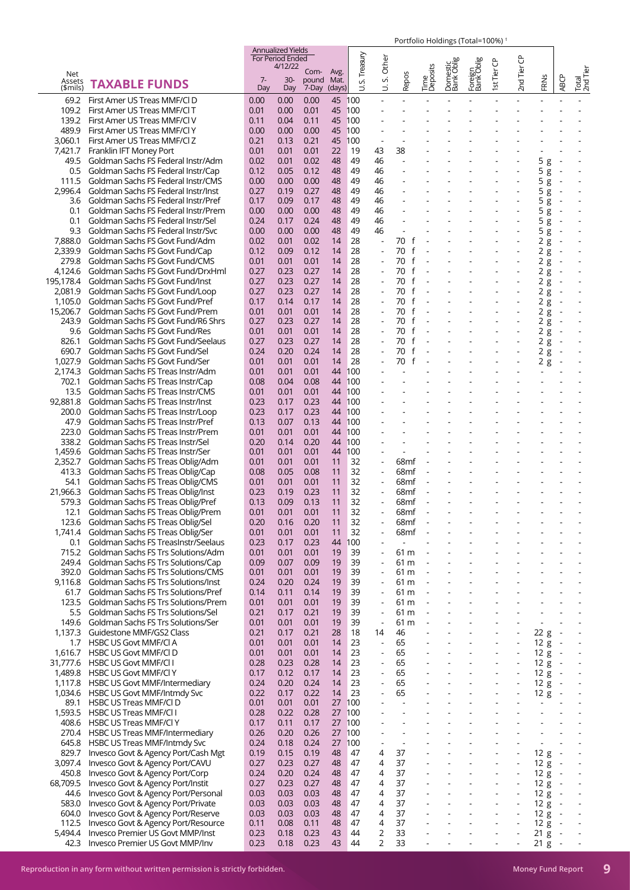|                           |                                                                            |              | <b>Annualized Yields</b><br>For Period Ended |                        |                        | Treasury   | Other                                                |                                          |                          |                          |                          | ჭ                        | ප                                          |                          |                          |                              |
|---------------------------|----------------------------------------------------------------------------|--------------|----------------------------------------------|------------------------|------------------------|------------|------------------------------------------------------|------------------------------------------|--------------------------|--------------------------|--------------------------|--------------------------|--------------------------------------------|--------------------------|--------------------------|------------------------------|
| Net<br>Assets<br>(\$mils) | <b>TAXABLE FUNDS</b>                                                       | $7-$<br>Day  | 4/12/22<br>$30-$<br>Day                      | Com-<br>pound<br>7-Day | Avg.<br>Mat.<br>(days) | vi<br>⊃    | vi<br>$\overline{\phantom{0}}$                       | Repos                                    | Time<br>Deposits         | Domestic<br>Bank Oblig   | Foreign<br>Bank Oblig    | 1st Tier                 | 2nd Tier                                   | FRNS                     | <b>ABCP</b>              | Total<br>2nd Tier            |
| 69.2                      | First Amer US Treas MMF/CID                                                | 0.00         | 0.00                                         | 0.00                   | 45 100                 |            |                                                      |                                          |                          |                          |                          |                          |                                            |                          |                          |                              |
| 109.2                     | First Amer US Treas MMF/Cl T                                               | 0.01         | 0.00                                         | 0.01                   | 45 100                 |            |                                                      |                                          |                          |                          |                          |                          |                                            |                          |                          |                              |
| 139.2                     | First Amer US Treas MMF/Cl V                                               | 0.11         | 0.04                                         | 0.11                   | 45 100                 |            |                                                      |                                          |                          |                          |                          |                          |                                            |                          |                          |                              |
| 489.9                     | First Amer US Treas MMF/Cl Y                                               | 0.00         | 0.00                                         | 0.00                   | 45                     | 100        |                                                      |                                          |                          |                          |                          |                          |                                            |                          |                          |                              |
| 3,060.1<br>7.421.7        | First Amer US Treas MMF/Cl Z<br>Franklin IFT Money Port                    | 0.21<br>0.01 | 0.13<br>0.01                                 | 0.21<br>0.01           | 45<br>22               | 100<br>19  | $\overline{\phantom{a}}$<br>43                       | 38                                       |                          |                          |                          |                          |                                            |                          |                          |                              |
| 49.5                      | Goldman Sachs FS Federal Instr/Adm                                         | 0.02         | 0.01                                         | 0.02                   | 48                     | 49         | 46                                                   |                                          |                          |                          |                          |                          |                                            | 5<br>g                   |                          |                              |
| 0.5                       | Goldman Sachs FS Federal Instr/Cap                                         | 0.12         | 0.05                                         | 0.12                   | 48                     | 49         | 46                                                   |                                          |                          |                          |                          |                          |                                            | 5<br>$\overline{g}$      |                          |                              |
| 111.5                     | Goldman Sachs FS Federal Instr/CMS                                         | 0.00         | 0.00                                         | 0.00                   | 48                     | 49         | 46                                                   |                                          |                          |                          |                          |                          |                                            | 5g                       |                          |                              |
| 2.996.4                   | Goldman Sachs FS Federal Instr/Inst                                        | 0.27         | 0.19                                         | 0.27                   | 48                     | 49         | 46                                                   |                                          |                          |                          |                          |                          |                                            | 5<br>g                   |                          |                              |
| 3.6<br>0.1                | Goldman Sachs FS Federal Instr/Pref<br>Goldman Sachs FS Federal Instr/Prem | 0.17<br>0.00 | 0.09<br>0.00                                 | 0.17<br>0.00           | 48<br>48               | 49<br>49   | 46<br>46                                             |                                          |                          |                          |                          |                          |                                            | 5<br>g<br>5<br>g         |                          |                              |
| 0.1                       | Goldman Sachs FS Federal Instr/Sel                                         | 0.24         | 0.17                                         | 0.24                   | 48                     | 49         | 46                                                   |                                          |                          |                          |                          |                          |                                            | 5<br>g                   |                          |                              |
| 9.3                       | Goldman Sachs FS Federal Instr/Svc                                         | 0.00         | 0.00                                         | 0.00                   | 48                     | 49         | 46                                                   |                                          |                          |                          |                          |                          |                                            | 5g                       |                          |                              |
| 7,888.0                   | Goldman Sachs FS Govt Fund/Adm                                             | 0.02         | 0.01                                         | 0.02                   | 14                     | 28         | $\overline{a}$                                       | 70<br>f                                  |                          |                          |                          |                          |                                            | 2g                       | $\overline{\phantom{a}}$ |                              |
| 2,339.9                   | Goldman Sachs FS Govt Fund/Cap                                             | 0.12         | 0.09                                         | 0.12                   | 14                     | 28         |                                                      | 70<br>f                                  |                          |                          |                          |                          |                                            | 2 g                      |                          |                              |
| 279.8<br>4,124.6          | Goldman Sachs FS Govt Fund/CMS<br>Goldman Sachs FS Govt Fund/DrxHml        | 0.01<br>0.27 | 0.01<br>0.23                                 | 0.01<br>0.27           | 14<br>14               | 28<br>28   |                                                      | 70<br>$\mathsf{f}$<br>70<br>$\mathsf{f}$ |                          |                          |                          |                          |                                            | 2 g<br>2g                |                          |                              |
| 195,178.4                 | Goldman Sachs FS Govt Fund/Inst                                            | 0.27         | 0.23                                         | 0.27                   | 14                     | 28         | ÷,                                                   | $\mathsf{f}$<br>70                       | $\sim$                   |                          |                          |                          | $\overline{\phantom{a}}$                   | 2g                       |                          |                              |
| 2,081.9                   | Goldman Sachs FS Govt Fund/Loop                                            | 0.27         | 0.23                                         | 0.27                   | 14                     | 28         |                                                      | 70                                       |                          |                          |                          |                          |                                            | 2g                       |                          |                              |
| 1,105.0                   | Goldman Sachs FS Govt Fund/Pref                                            | 0.17         | 0.14                                         | 0.17                   | 14                     | 28         |                                                      | $\mathsf{f}$<br>70                       |                          |                          |                          |                          |                                            | 2g                       |                          |                              |
| 15,206.7                  | Goldman Sachs FS Govt Fund/Prem                                            | 0.01         | 0.01                                         | 0.01                   | 14                     | 28         | $\overline{\phantom{a}}$                             | 70<br>$\mathsf{f}$                       |                          |                          |                          |                          |                                            | 2g                       | $\overline{\phantom{a}}$ |                              |
| 243.9<br>9.6              | Goldman Sachs FS Govt Fund/R6 Shrs<br>Goldman Sachs FS Govt Fund/Res       | 0.27<br>0.01 | 0.23<br>0.01                                 | 0.27<br>0.01           | 14<br>14               | 28<br>28   | $\overline{\phantom{a}}$                             | 70<br>f<br>f<br>70                       | $\sim$                   |                          |                          |                          | ÷,                                         | 2g                       | $\overline{\phantom{a}}$ |                              |
| 826.1                     | Goldman Sachs FS Govt Fund/Seelaus                                         | 0.27         | 0.23                                         | 0.27                   | 14                     | 28         |                                                      | 70                                       |                          |                          |                          |                          |                                            | 2 g<br>2g                |                          |                              |
| 690.7                     | Goldman Sachs FS Govt Fund/Sel                                             | 0.24         | 0.20                                         | 0.24                   | 14                     | 28         |                                                      | 70<br>$\mathsf{f}$                       |                          |                          |                          |                          |                                            | 2g                       |                          |                              |
| 1,027.9                   | Goldman Sachs FS Govt Fund/Ser                                             | 0.01         | 0.01                                         | 0.01                   | 14                     | 28         |                                                      | 70<br>$\mathsf{f}$                       |                          |                          |                          |                          |                                            | 2g                       |                          |                              |
| 2.174.3                   | Goldman Sachs FS Treas Instr/Adm                                           | 0.01         | 0.01                                         | 0.01                   | 44                     | 100        |                                                      |                                          |                          |                          |                          |                          |                                            |                          |                          |                              |
| 702.1                     | Goldman Sachs FS Treas Instr/Cap                                           | 0.08         | 0.04                                         | 0.08                   | 44                     | 100        |                                                      |                                          |                          |                          |                          |                          |                                            |                          |                          |                              |
| 13.5<br>92,881.8          | Goldman Sachs FS Treas Instr/CMS<br>Goldman Sachs FS Treas Instr/Inst      | 0.01<br>0.23 | 0.01<br>0.17                                 | 0.01<br>0.23           | 44<br>44               | 100<br>100 |                                                      |                                          |                          |                          |                          |                          |                                            |                          |                          |                              |
| 200.0                     | Goldman Sachs FS Treas Instr/Loop                                          | 0.23         | 0.17                                         | 0.23                   | 44                     | 100        |                                                      |                                          |                          |                          |                          |                          |                                            |                          |                          |                              |
| 47.9                      | Goldman Sachs FS Treas Instr/Pref                                          | 0.13         | 0.07                                         | 0.13                   | 44                     | 100        |                                                      |                                          |                          |                          |                          |                          |                                            |                          |                          |                              |
| 223.0                     | Goldman Sachs FS Treas Instr/Prem                                          | 0.01         | 0.01                                         | 0.01                   | 44                     | 100        |                                                      |                                          |                          |                          |                          |                          |                                            |                          |                          |                              |
| 338.2                     | Goldman Sachs FS Treas Instr/Sel                                           | 0.20         | 0.14                                         | 0.20                   | 44                     | 100        |                                                      |                                          |                          |                          |                          |                          |                                            |                          |                          |                              |
| 1,459.6                   | Goldman Sachs FS Treas Instr/Ser                                           | 0.01         | 0.01                                         | 0.01                   | 44                     | 100        | $\overline{\phantom{a}}$                             |                                          |                          |                          |                          |                          |                                            |                          |                          |                              |
| 2,352.7<br>413.3          | Goldman Sachs FS Treas Oblig/Adm<br>Goldman Sachs FS Treas Oblig/Cap       | 0.01<br>0.08 | 0.01<br>0.05                                 | 0.01<br>0.08           | 11<br>11               | 32<br>32   | $\overline{a}$<br>÷,                                 | 68mf<br>68 <sub>mf</sub>                 |                          |                          |                          |                          |                                            |                          |                          |                              |
| 54.1                      | Goldman Sachs FS Treas Oblig/CMS                                           | 0.01         | 0.01                                         | 0.01                   | 11                     | 32         | $\overline{a}$                                       | 68mf                                     |                          |                          |                          |                          |                                            |                          |                          |                              |
| 21,966.3                  | Goldman Sachs FS Treas Oblig/Inst                                          | 0.23         | 0.19                                         | 0.23                   | 11                     | 32         | ÷,                                                   | 68 <sub>mf</sub>                         |                          |                          |                          |                          |                                            |                          |                          |                              |
| 579.3                     | Goldman Sachs FS Treas Oblig/Pref                                          | 0.13         | 0.09                                         | 0.13                   | 11                     | 32         | ÷,                                                   | 68 <sub>mf</sub>                         |                          |                          |                          |                          |                                            |                          |                          |                              |
| 12.1                      | Goldman Sachs FS Treas Oblig/Prem                                          | 0.01         | 0.01                                         | 0.01                   | 11                     | 32         |                                                      | 68 <sub>mf</sub>                         |                          |                          |                          |                          |                                            |                          |                          |                              |
| 123.6<br>1,741.4          | Goldman Sachs FS Treas Oblig/Sel<br>Goldman Sachs FS Treas Oblig/Ser       | 0.20<br>0.01 | 0.16<br>0.01                                 | 0.20<br>0.01           | 11<br>11               | 32<br>32   | $\overline{a}$                                       | 68mf<br>68mf                             |                          |                          |                          |                          |                                            |                          |                          |                              |
| 0.1                       | Goldman Sachs FS TreasInstr/Seelaus                                        | 0.23         | 0.17                                         | 0.23                   | 44                     | 100        | ÷,                                                   | $\overline{a}$                           |                          |                          |                          |                          |                                            |                          |                          |                              |
| 715.2                     | Goldman Sachs FS Trs Solutions/Adm                                         | 0.01         | 0.01                                         | 0.01                   | 19                     | 39         | $\overline{\phantom{m}}$                             | 61 m                                     | $\overline{\phantom{a}}$ |                          |                          |                          |                                            |                          |                          |                              |
| 249.4                     | Goldman Sachs FS Trs Solutions/Cap                                         | 0.09         | 0.07                                         | 0.09                   | 19                     | 39         | ÷,                                                   | 61 m                                     |                          |                          |                          |                          |                                            |                          |                          |                              |
| 392.0                     | Goldman Sachs FS Trs Solutions/CMS                                         | 0.01         | 0.01                                         | 0.01                   | 19                     | 39         | $\overline{\phantom{a}}$                             | 61 m                                     | $\overline{\phantom{a}}$ |                          |                          |                          |                                            |                          |                          |                              |
| 9,116.8<br>61.7           | Goldman Sachs FS Trs Solutions/Inst<br>Goldman Sachs FS Trs Solutions/Pref | 0.24<br>0.14 | 0.20<br>0.11                                 | 0.24<br>0.14           | 19<br>19               | 39<br>39   | $\overline{\phantom{a}}$<br>$\overline{\phantom{a}}$ | 61 m<br>61 m                             | $\overline{\phantom{a}}$ |                          |                          |                          |                                            |                          |                          | $\overline{\phantom{a}}$     |
| 123.5                     | Goldman Sachs FS Trs Solutions/Prem                                        | 0.01         | 0.01                                         | 0.01                   | 19                     | 39         | $\overline{\phantom{a}}$                             | 61 m                                     |                          |                          |                          |                          |                                            |                          |                          |                              |
| 5.5                       | Goldman Sachs FS Trs Solutions/Sel                                         | 0.21         | 0.17                                         | 0.21                   | 19                     | 39         | $\overline{\phantom{a}}$                             | 61 m                                     |                          |                          |                          |                          |                                            |                          |                          |                              |
| 149.6                     | Goldman Sachs FS Trs Solutions/Ser                                         | 0.01         | 0.01                                         | 0.01                   | 19                     | 39         | $\blacksquare$                                       | 61 m                                     | $\overline{a}$           |                          |                          |                          | ÷,                                         | $\overline{\phantom{a}}$ |                          |                              |
| 1,137.3                   | Guidestone MMF/GS2 Class                                                   | 0.21         | 0.17                                         | 0.21                   | 28                     | 18         | 14                                                   | 46                                       |                          |                          |                          |                          |                                            | 22 g                     | $\sim$                   |                              |
| 1.7<br>1,616.7            | <b>HSBC US Govt MMF/CLA</b><br><b>HSBC US Govt MMF/CID</b>                 | 0.01<br>0.01 | 0.01<br>0.01                                 | 0.01<br>0.01           | 14<br>14               | 23<br>23   | $\overline{\phantom{a}}$<br>$\overline{\phantom{a}}$ | 65<br>65                                 | $\overline{\phantom{a}}$ | $\overline{\phantom{a}}$ | $\overline{\phantom{a}}$ | $\overline{a}$           | $\blacksquare$<br>$\overline{\phantom{a}}$ | 12 g<br>12 g             | $\sim$<br>$\sim$         | $\frac{1}{2}$                |
| 31,777.6                  | <b>HSBC US Govt MMF/CII</b>                                                | 0.28         | 0.23                                         | 0.28                   | 14                     | 23         | $\overline{\phantom{a}}$                             | 65                                       |                          |                          | ÷,                       |                          | $\overline{\phantom{a}}$                   | 12 g                     | $\sim$                   | $\blacksquare$               |
| 1,489.8                   | <b>HSBC US Govt MMF/CI Y</b>                                               | 0.17         | 0.12                                         | 0.17                   | 14                     | 23         | $\frac{1}{2}$                                        | 65                                       |                          |                          |                          |                          | $\blacksquare$                             | 12 g                     | $\sim$                   | $\overline{a}$               |
| 1,117.8                   | HSBC US Govt MMF/Intermediary                                              | 0.24         | 0.20                                         | 0.24                   | 14                     | 23         |                                                      | 65                                       |                          |                          |                          |                          | $\overline{a}$                             | 12 g                     | $\sim$                   |                              |
|                           | 1,034.6 HSBC US Govt MMF/Intmdy Svc                                        | 0.22         | 0.17                                         | 0.22                   | 14                     | 23         | $\overline{\phantom{a}}$                             | 65                                       | $\overline{\phantom{a}}$ | $\overline{\phantom{a}}$ | $\overline{\phantom{a}}$ | $\overline{\phantom{a}}$ | $\blacksquare$                             | 12 g                     | $\sim$                   | $\blacksquare$               |
| 89.1<br>1,593.5           | <b>HSBC US Treas MMF/CLD</b><br><b>HSBC US Treas MMF/CII</b>               | 0.01<br>0.28 | 0.01<br>0.22                                 | 0.01<br>0.28           | 27<br>27               | 100<br>100 |                                                      | ÷,<br>÷,                                 |                          |                          |                          |                          |                                            |                          |                          |                              |
| 408.6                     | <b>HSBC US Treas MMF/Cl Y</b>                                              | 0.17         | 0.11                                         | 0.17                   | 27 100                 |            |                                                      |                                          |                          |                          |                          |                          |                                            |                          |                          |                              |
| 270.4                     | <b>HSBC US Treas MMF/Intermediary</b>                                      | 0.26         | 0.20                                         | 0.26                   | 27 100                 |            |                                                      | ÷,                                       |                          |                          |                          |                          |                                            |                          |                          |                              |
| 645.8                     | HSBC US Treas MMF/Intmdy Svc                                               | 0.24         | 0.18                                         | 0.24                   | 27                     | 100        | $\overline{\phantom{a}}$                             | $\overline{\phantom{a}}$                 |                          |                          |                          |                          |                                            |                          |                          |                              |
| 829.7                     | Invesco Govt & Agency Port/Cash Mgt                                        | 0.19         | 0.15                                         | 0.19                   | 48                     | 47         | 4                                                    | 37                                       |                          |                          |                          |                          |                                            | 12 g                     | $\overline{a}$           |                              |
| 3,097.4                   | Invesco Govt & Agency Port/CAVU                                            | 0.27         | 0.23                                         | 0.27                   | 48                     | 47         | 4                                                    | 37                                       | $\overline{a}$           | $\overline{a}$           | $\overline{a}$           |                          | $\blacksquare$                             | 12 g                     | $\sim$                   | $\frac{1}{2}$                |
| 450.8<br>68,709.5         | Invesco Govt & Agency Port/Corp<br>Invesco Govt & Agency Port/Instit       | 0.24<br>0.27 | 0.20<br>0.23                                 | 0.24<br>0.27           | 48<br>48               | 47<br>47   | 4<br>4                                               | 37<br>37                                 |                          |                          |                          |                          | $\overline{a}$<br>$\overline{\phantom{a}}$ | 12 g<br>12 g             | $\sim$ $-$<br>$\sim$     | $\overline{\phantom{a}}$     |
| 44.6                      | Invesco Govt & Agency Port/Personal                                        | 0.03         | 0.03                                         | 0.03                   | 48                     | 47         | 4                                                    | 37                                       |                          |                          |                          |                          | $\blacksquare$                             | 12 g                     | $\sim$                   | $\qquad \qquad \blacksquare$ |
| 583.0                     | Invesco Govt & Agency Port/Private                                         | 0.03         | 0.03                                         | 0.03                   | 48                     | 47         | 4                                                    | 37                                       |                          |                          |                          |                          |                                            | 12g                      | $\sim$ $-$               |                              |
| 604.0                     | Invesco Govt & Agency Port/Reserve                                         | 0.03         | 0.03                                         | 0.03                   | 48                     | 47         | 4                                                    | 37                                       | $\overline{\phantom{a}}$ | ÷,                       | $\overline{\phantom{a}}$ | ÷,                       | $\overline{\phantom{a}}$                   | 12 g                     | $\sim$                   | $\overline{\phantom{a}}$     |
| 112.5                     | Invesco Govt & Agency Port/Resource                                        | 0.11         | 0.08                                         | 0.11                   | 48                     | 47         | 4                                                    | 37                                       |                          |                          |                          |                          | $\overline{a}$                             | 12 g                     | $\sim$                   |                              |
| 5,494.4<br>42.3           | Invesco Premier US Govt MMP/Inst<br>Invesco Premier US Govt MMP/Inv        | 0.23<br>0.23 | 0.18<br>0.18                                 | 0.23<br>0.23           | 43<br>43               | 44<br>44   | 2<br>2                                               | 33<br>33                                 |                          |                          |                          |                          | $\blacksquare$                             | $21 g -$<br>$21 g -$     |                          | $\overline{a}$               |
|                           |                                                                            |              |                                              |                        |                        |            |                                                      |                                          |                          |                          |                          |                          |                                            |                          |                          |                              |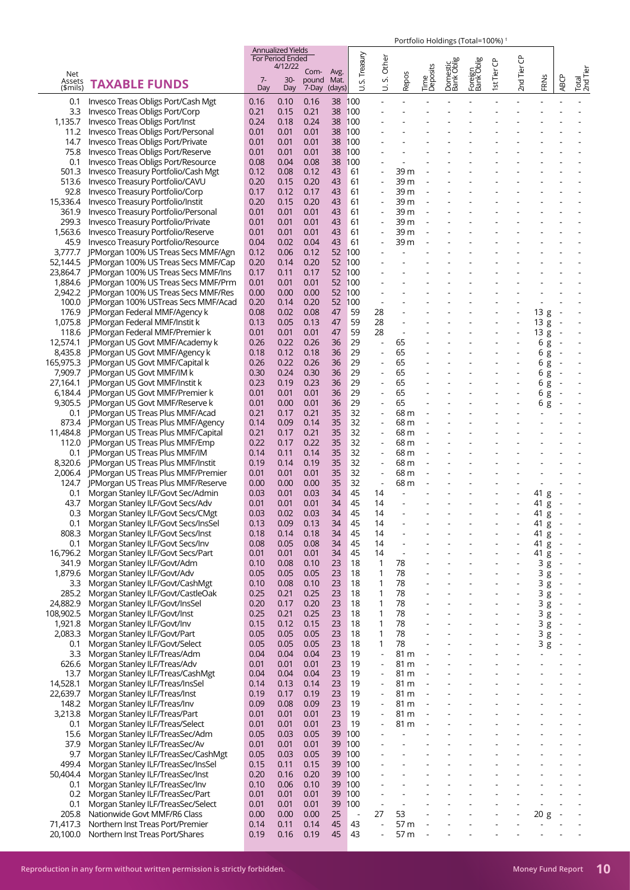|                    |                                                                  |              | <b>Annualized Yields</b><br>For Period Ended |               |              |                          |                                                      |                          |                          |                        |                          |                          |                                |         |                          |                          |
|--------------------|------------------------------------------------------------------|--------------|----------------------------------------------|---------------|--------------|--------------------------|------------------------------------------------------|--------------------------|--------------------------|------------------------|--------------------------|--------------------------|--------------------------------|---------|--------------------------|--------------------------|
|                    |                                                                  |              | 4/12/22                                      |               |              | Treasury                 | Other                                                |                          |                          | Domestic<br>Bank Oblig | Foreign<br>Bank Oblig    | st Tier CP               | ზ                              |         |                          |                          |
| Net                |                                                                  | $7-$         | $30-$                                        | Com-<br>pound | Avg.<br>Mat. | vi                       | vi                                                   | Repos                    | Time<br>Deposits         |                        |                          |                          | 2nd Tier                       |         |                          | Total<br>2nd Tier        |
| Assets<br>(\$mils) | <b>TAXABLE FUNDS</b>                                             | Day          | Day                                          | 7-Day         | (days)       | ゴ                        | ゔ                                                    |                          |                          |                        |                          |                          |                                | FRNS    | <b>ABCP</b>              |                          |
| 0.1                | Invesco Treas Obligs Port/Cash Mgt                               | 0.16         | 0.10                                         | 0.16          | 38 100       |                          |                                                      |                          |                          |                        |                          |                          |                                |         |                          |                          |
| 3.3                | Invesco Treas Obligs Port/Corp                                   | 0.21         | 0.15                                         | 0.21          | 38 100       |                          |                                                      |                          |                          |                        |                          |                          |                                |         |                          |                          |
| 1,135.7            | Invesco Treas Obligs Port/Inst                                   | 0.24         | 0.18                                         | 0.24          | 38           | 100                      |                                                      |                          |                          |                        |                          |                          |                                |         |                          |                          |
| 11.2               | Invesco Treas Obligs Port/Personal                               | 0.01         | 0.01                                         | 0.01          | 38           | 100                      |                                                      |                          |                          |                        |                          |                          |                                |         |                          |                          |
| 14.7               | Invesco Treas Obligs Port/Private                                | 0.01         | 0.01                                         | 0.01          | 38           | 100                      |                                                      |                          |                          |                        |                          |                          |                                |         |                          |                          |
| 75.8               | Invesco Treas Obligs Port/Reserve                                | 0.01         | 0.01                                         | 0.01          | 38           | 100                      |                                                      |                          |                          |                        |                          |                          |                                |         |                          |                          |
| 0.1                | Invesco Treas Obligs Port/Resource                               | 0.08         | 0.04                                         | 0.08          | 38           | 100                      |                                                      |                          |                          |                        |                          |                          |                                |         |                          |                          |
| 501.3              | Invesco Treasury Portfolio/Cash Mgt                              | 0.12         | 0.08                                         | 0.12          | 43           | 61                       | $\blacksquare$                                       | 39 m                     |                          |                        |                          |                          |                                |         |                          |                          |
| 513.6              | Invesco Treasury Portfolio/CAVU                                  | 0.20         | 0.15                                         | 0.20          | 43           | 61                       |                                                      | 39 m                     |                          |                        |                          |                          |                                |         |                          |                          |
| 92.8               | Invesco Treasury Portfolio/Corp                                  | 0.17         | 0.12                                         | 0.17          | 43           | 61                       | $\blacksquare$                                       | 39 m                     |                          |                        |                          |                          |                                |         |                          |                          |
| 15,336.4           | Invesco Treasury Portfolio/Instit                                | 0.20         | 0.15                                         | 0.20          | 43           | 61                       | $\blacksquare$                                       | 39 m                     |                          |                        |                          |                          |                                |         |                          |                          |
| 361.9              | Invesco Treasury Portfolio/Personal                              | 0.01         | 0.01                                         | 0.01          | 43           | 61                       |                                                      | 39 m                     |                          |                        |                          |                          |                                |         |                          |                          |
| 299.3              | Invesco Treasury Portfolio/Private                               | 0.01         | 0.01                                         | 0.01          | 43           | 61                       | $\blacksquare$                                       | 39 m                     |                          |                        |                          |                          |                                |         |                          |                          |
| 1,563.6            | Invesco Treasury Portfolio/Reserve                               | 0.01         | 0.01                                         | 0.01          | 43           | 61                       |                                                      | 39 m                     |                          |                        |                          |                          |                                |         |                          |                          |
| 45.9               | Invesco Treasury Portfolio/Resource                              | 0.04         | 0.02                                         | 0.04          | 43           | 61                       | ÷,                                                   | 39 m                     |                          |                        |                          |                          |                                |         |                          |                          |
| 3,777.7            | JPMorgan 100% US Treas Secs MMF/Agn                              | 0.12         | 0.06                                         | 0.12          | 52           | 100                      |                                                      |                          |                          |                        |                          |                          |                                |         |                          |                          |
| 52,144.5           | JPMorgan 100% US Treas Secs MMF/Cap                              | 0.20         | 0.14                                         | 0.20          | 52           | 100                      |                                                      |                          |                          |                        |                          |                          |                                |         |                          |                          |
| 23,864.7           | JPMorgan 100% US Treas Secs MMF/Ins                              | 0.17         | 0.11                                         | 0.17          | 52 100       |                          |                                                      |                          |                          |                        |                          |                          |                                |         |                          |                          |
| 1,884.6            | JPMorgan 100% US Treas Secs MMF/Prm                              | 0.01         | 0.01                                         | 0.01          | 52 100       |                          |                                                      |                          |                          |                        |                          |                          |                                |         |                          |                          |
|                    | 2,942.2 JPMorgan 100% US Treas Secs MMF/Res                      | 0.00         | 0.00                                         | 0.00          | 52 100       |                          |                                                      |                          |                          |                        |                          |                          |                                |         |                          |                          |
| 100.0              | JPMorgan 100% USTreas Secs MMF/Acad                              | 0.20         | 0.14                                         | 0.20          | 52           | 100                      |                                                      |                          |                          |                        |                          |                          |                                |         |                          |                          |
| 176.9              | JPMorgan Federal MMF/Agency k                                    | 0.08         | 0.02                                         | 0.08          | 47           | 59                       | 28                                                   | $\blacksquare$           |                          |                        | $\overline{a}$           | $\overline{a}$           | $\overline{\phantom{a}}$       | 13g     | $\overline{\phantom{a}}$ |                          |
| 1,075.8            | <b>IPMorgan Federal MMF/Instit k</b>                             | 0.13         | 0.05                                         | 0.13          | 47           | 59                       | 28                                                   |                          |                          |                        |                          |                          |                                | 13g     | $\sim$                   |                          |
| 118.6              | <b>IPMorgan Federal MMF/Premier k</b>                            | 0.01         | 0.01                                         | 0.01          | 47           | 59                       | 28                                                   | $\overline{\phantom{a}}$ |                          |                        |                          |                          |                                | 13g     | $\sim$                   |                          |
| 12,574.1           | JPMorgan US Govt MMF/Academy k                                   | 0.26         | 0.22                                         | 0.26          | 36           | 29                       | $\Box$                                               | 65                       |                          |                        |                          |                          | $\overline{\phantom{a}}$       | 6g      | $\overline{\phantom{a}}$ |                          |
| 8,435.8            | JPMorgan US Govt MMF/Agency k                                    | 0.18         | 0.12                                         | 0.18          | 36           | 29                       | $\blacksquare$                                       | 65                       |                          |                        |                          |                          |                                | 6g      |                          |                          |
|                    | 165,975.3 JPMorgan US Govt MMF/Capital k                         | 0.26         | 0.22                                         | 0.26          | 36           | 29                       | $\blacksquare$                                       | 65                       |                          | $\blacksquare$         | $\overline{\phantom{a}}$ | ٠                        | $\overline{\phantom{a}}$       | 6g      | $\overline{\phantom{a}}$ |                          |
| 7,909.7            | JPMorgan US Govt MMF/IM k                                        | 0.30         | 0.24                                         | 0.30          | 36           | 29                       | $\blacksquare$                                       | 65                       |                          |                        |                          |                          |                                | 6g      |                          |                          |
| 27,164.1           | JPMorgan US Govt MMF/Instit k                                    | 0.23         | 0.19                                         | 0.23          | 36           | 29                       | ÷,                                                   | 65                       |                          |                        |                          |                          |                                | 6g      | $\sim$                   |                          |
|                    | 6,184.4 JPMorgan US Govt MMF/Premier k                           | 0.01         | 0.01                                         | 0.01          | 36           | 29                       | $\overline{\phantom{a}}$                             | 65                       |                          |                        |                          |                          |                                | 6g      | $\overline{\phantom{a}}$ |                          |
| 9,305.5            | JPMorgan US Govt MMF/Reserve k                                   | 0.01         | 0.00                                         | 0.01          | 36           | 29                       | $\blacksquare$                                       | 65                       |                          |                        |                          |                          |                                | 6 g     | $\overline{\phantom{a}}$ |                          |
| 0.1                | JPMorgan US Treas Plus MMF/Acad                                  | 0.21         | 0.17                                         | 0.21          | 35           | 32                       | $\overline{a}$                                       | 68 m                     | $\overline{\phantom{a}}$ |                        |                          |                          |                                |         |                          |                          |
|                    | 873.4 JPMorgan US Treas Plus MMF/Agency                          | 0.14         | 0.09                                         | 0.14          | 35           | 32                       | $\overline{\phantom{a}}$                             | 68 m                     |                          |                        |                          |                          |                                |         |                          |                          |
| 11,484.8           | JPMorgan US Treas Plus MMF/Capital                               | 0.21         | 0.17                                         | 0.21          | 35           | 32                       | $\blacksquare$                                       | 68 m                     |                          |                        |                          |                          |                                |         |                          |                          |
| 112.0              | JPMorgan US Treas Plus MMF/Emp                                   | 0.22         | 0.17                                         | 0.22          | 35           | 32                       | $\blacksquare$                                       | 68 m                     |                          |                        |                          |                          |                                |         |                          |                          |
| 0.1                | JPMorgan US Treas Plus MMF/IM                                    | 0.14         | 0.11                                         | 0.14          | 35           | 32                       | $\blacksquare$                                       | 68 m                     |                          |                        |                          |                          |                                |         |                          |                          |
|                    | 8,320.6 JPMorgan US Treas Plus MMF/Instit                        | 0.19         | 0.14                                         | 0.19          | 35           | 32                       | $\qquad \qquad \blacksquare$                         | 68 m                     |                          |                        |                          |                          |                                |         |                          |                          |
| 2,006.4            | JPMorgan US Treas Plus MMF/Premier                               | 0.01         | 0.01                                         | 0.01          | 35           | 32                       | $\blacksquare$                                       | 68 m                     |                          |                        |                          |                          |                                |         |                          |                          |
| 124.7              | JPMorgan US Treas Plus MMF/Reserve                               | 0.00         | 0.00                                         | 0.00          | 35           | 32                       | $\overline{\phantom{a}}$                             | 68 m                     |                          |                        |                          |                          |                                | ä,      |                          |                          |
| 0.1                | Morgan Stanley ILF/Govt Sec/Admin                                | 0.03         | 0.01                                         | 0.03          | 34           | 45                       | 14                                                   |                          |                          |                        |                          |                          |                                | 41 g    |                          |                          |
| 43.7               | Morgan Stanley ILF/Govt Secs/Adv                                 | 0.01         | 0.01                                         | 0.01          | 34           | 45                       | 14                                                   |                          |                          |                        |                          |                          |                                | 41 g    | $\sim$                   |                          |
| 0.3                | Morgan Stanley ILF/Govt Secs/CMgt                                | 0.03         | 0.02                                         | 0.03          | 34           | 45                       | 14                                                   |                          |                          |                        |                          |                          |                                | 41 g    | $\sim$                   |                          |
| 0.1                | Morgan Stanley ILF/Govt Secs/InsSel                              | 0.13         | 0.09                                         | 0.13          | 34           | 45                       | 14                                                   |                          |                          |                        |                          |                          |                                | 41<br>g | $\overline{\phantom{a}}$ |                          |
| 808.3              | Morgan Stanley ILF/Govt Secs/Inst                                | 0.18         | 0.14                                         | 0.18          | 34           | 45                       | 14                                                   | $\overline{\phantom{a}}$ |                          |                        |                          |                          | ÷,                             | 41<br>g | $\overline{\phantom{a}}$ |                          |
| 0.1                | Morgan Stanley ILF/Govt Secs/Inv                                 | 0.08         | 0.05                                         | 0.08          | 34           | 45                       | 14                                                   |                          |                          |                        |                          |                          |                                | 41 g    | ÷,                       |                          |
| 16,796.2           | Morgan Stanley ILF/Govt Secs/Part                                | 0.01         | 0.01                                         | 0.01          | 34           | 45                       | 14                                                   | $\overline{\phantom{a}}$ |                          | L,                     | $\blacksquare$           | $\overline{\phantom{a}}$ | ÷,                             | 41 g    | $\overline{\phantom{a}}$ | $\overline{\phantom{a}}$ |
| 341.9              | Morgan Stanley ILF/Govt/Adm                                      | 0.10         | 0.08                                         | 0.10          | 23           | 18                       | 1                                                    | 78                       |                          |                        |                          |                          |                                | 3g      | $\overline{\phantom{a}}$ |                          |
| 1,879.6            | Morgan Stanley ILF/Govt/Adv                                      | 0.05         | 0.05                                         | 0.05          | 23           | 18                       | 1                                                    | 78                       |                          |                        |                          |                          |                                | 3g      | $\overline{\phantom{a}}$ | ä,                       |
| 3.3                | Morgan Stanley ILF/Govt/CashMgt                                  | 0.10         | 0.08                                         | 0.10          | 23           | 18                       | 1                                                    | 78                       |                          |                        |                          |                          | ÷,                             | 3g      | $\overline{\phantom{a}}$ | $\overline{a}$           |
| 285.2              | Morgan Stanley ILF/Govt/CastleOak                                | 0.25         | 0.21                                         | 0.25          | 23           | 18                       | 1                                                    | 78                       |                          |                        |                          |                          |                                | 3g      | $\overline{\phantom{a}}$ |                          |
| 24,882.9           | Morgan Stanley ILF/Govt/InsSel                                   | 0.20         | 0.17                                         | 0.20          | 23           | 18                       | 1                                                    | 78<br>78                 | $\overline{a}$           | $\blacksquare$         | $\overline{\phantom{a}}$ | ٠                        | $\overline{\phantom{a}}$<br>÷, | 3g      | $\overline{\phantom{a}}$ | $\overline{\phantom{a}}$ |
| 108,902.5          | Morgan Stanley ILF/Govt/Inst                                     | 0.25         | 0.21                                         | 0.25          | 23<br>23     | 18                       | 1<br>1                                               | 78                       |                          |                        |                          |                          |                                | 3g      | $\overline{\phantom{a}}$ | $\overline{\phantom{a}}$ |
| 1,921.8            | Morgan Stanley ILF/Govt/Inv<br>Morgan Stanley ILF/Govt/Part      | 0.15         | 0.12                                         | 0.15<br>0.05  |              | 18<br>18                 | 1                                                    | 78                       |                          |                        |                          |                          | $\blacksquare$                 | 3g      | $\sim$                   |                          |
| 2,083.3            |                                                                  | 0.05<br>0.05 | 0.05                                         | 0.05          | 23<br>23     | 18                       | 1                                                    | 78                       |                          |                        |                          |                          |                                | 3g      | $\overline{\phantom{a}}$ |                          |
| 0.1                | Morgan Stanley ILF/Govt/Select                                   |              | 0.05                                         |               |              |                          |                                                      | 81 m                     |                          |                        |                          |                          | ÷,                             | 3g      | $\overline{\phantom{a}}$ | $\overline{\phantom{a}}$ |
| 3.3                | Morgan Stanley ILF/Treas/Adm                                     | 0.04<br>0.01 | 0.04<br>0.01                                 | 0.04<br>0.01  | 23<br>23     | 19<br>19                 | $\overline{\phantom{a}}$<br>$\overline{\phantom{a}}$ | 81 m                     | $\overline{\phantom{a}}$ |                        |                          |                          |                                |         |                          |                          |
| 626.6<br>13.7      | Morgan Stanley ILF/Treas/Adv<br>Morgan Stanley ILF/Treas/CashMgt | 0.04         | 0.04                                         | 0.04          | 23           | 19                       | $\blacksquare$                                       | 81 m                     | $\overline{\phantom{a}}$ |                        | $\blacksquare$           | $\overline{\phantom{a}}$ |                                |         |                          |                          |
| 14,528.1           | Morgan Stanley ILF/Treas/InsSel                                  | 0.14         | 0.13                                         | 0.14          | 23           | 19                       | $\blacksquare$                                       | 81 m                     |                          |                        |                          |                          |                                |         |                          |                          |
| 22,639.7           | Morgan Stanley ILF/Treas/Inst                                    | 0.19         | 0.17                                         | 0.19          | 23           | 19                       | $\blacksquare$                                       | 81 m                     |                          |                        |                          |                          |                                |         |                          |                          |
| 148.2              | Morgan Stanley ILF/Treas/Inv                                     | 0.09         | 0.08                                         | 0.09          | 23           | 19                       | $\overline{\phantom{a}}$                             | 81 m                     | $\overline{\phantom{a}}$ |                        |                          |                          |                                |         |                          |                          |
| 3,213.8            | Morgan Stanley ILF/Treas/Part                                    | 0.01         | 0.01                                         | 0.01          | 23           | 19                       | $\blacksquare$                                       | 81 m                     |                          |                        |                          |                          |                                |         |                          |                          |
| 0.1                | Morgan Stanley ILF/Treas/Select                                  | 0.01         | 0.01                                         | 0.01          | 23           | 19                       | $\blacksquare$                                       | 81 m                     | $\overline{\phantom{a}}$ |                        |                          | ٠                        |                                |         |                          |                          |
| 15.6               | Morgan Stanley ILF/TreasSec/Adm                                  | 0.05         | 0.03                                         | 0.05          | 39           | 100                      |                                                      |                          |                          |                        |                          |                          |                                |         |                          |                          |
| 37.9               | Morgan Stanley ILF/TreasSec/Av                                   | 0.01         | 0.01                                         | 0.01          | 39           | 100                      |                                                      |                          |                          |                        |                          |                          |                                |         |                          |                          |
| 9.7                | Morgan Stanley ILF/TreasSec/CashMgt                              | 0.05         | 0.03                                         | 0.05          | 39           | 100                      |                                                      |                          |                          |                        |                          |                          |                                |         |                          |                          |
| 499.4              | Morgan Stanley ILF/TreasSec/InsSel                               | 0.15         | 0.11                                         | 0.15          | 39           | 100                      |                                                      |                          |                          |                        |                          |                          |                                |         |                          |                          |
| 50,404.4           | Morgan Stanley ILF/TreasSec/Inst                                 | 0.20         | 0.16                                         | 0.20          | 39           | 100                      |                                                      |                          | $\blacksquare$           | ÷,                     |                          | $\overline{\phantom{a}}$ | ÷,                             |         |                          |                          |
| 0.1                | Morgan Stanley ILF/TreasSec/Inv                                  | 0.10         | 0.06                                         | 0.10          | 39           | 100                      |                                                      |                          |                          |                        |                          |                          |                                |         |                          |                          |
| 0.2                | Morgan Stanley ILF/TreasSec/Part                                 | 0.01         | 0.01                                         | 0.01          | 39           | 100                      | $\overline{\phantom{a}}$                             | $\sim$                   |                          | $\blacksquare$         | $\overline{a}$           | $\overline{a}$           |                                |         |                          | $\overline{\phantom{a}}$ |
| 0.1                | Morgan Stanley ILF/TreasSec/Select                               | 0.01         | 0.01                                         | 0.01          | 39           | 100                      | $\overline{\phantom{a}}$                             |                          |                          |                        |                          |                          |                                |         |                          |                          |
| 205.8              | Nationwide Govt MMF/R6 Class                                     | 0.00         | 0.00                                         | 0.00          | 25           | $\overline{\phantom{a}}$ | 27                                                   | 53                       |                          |                        |                          |                          | L,                             | 20 g    | $\overline{\phantom{a}}$ |                          |
| 71,417.3           | Northern Inst Treas Port/Premier                                 | 0.14         | 0.11                                         | 0.14          | 45           | 43                       | $\blacksquare$                                       | 57 m                     | $\overline{\phantom{a}}$ |                        |                          | $\overline{a}$           | ÷,                             | $\sim$  |                          |                          |
| 20,100.0           | Northern Inst Treas Port/Shares                                  | 0.19         | 0.16                                         | 0.19          | 45           | 43                       | $\overline{\phantom{a}}$                             | 57 m                     | $\overline{\phantom{a}}$ |                        |                          |                          |                                |         |                          |                          |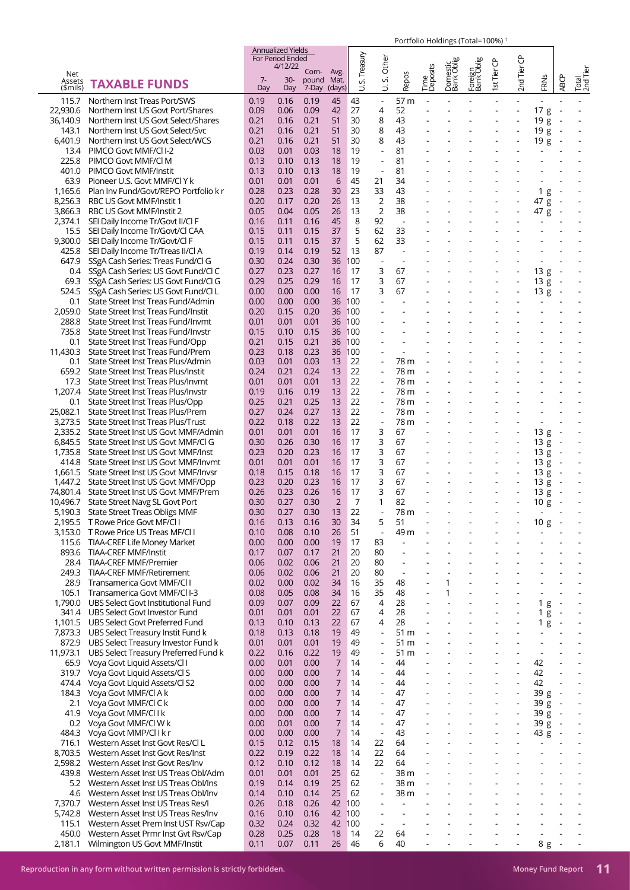|          |                                       |      | Annualized Yields                  |            |                |             |                          |                          |                          |                        |                        |                          |                          |                          |                          |                          |
|----------|---------------------------------------|------|------------------------------------|------------|----------------|-------------|--------------------------|--------------------------|--------------------------|------------------------|------------------------|--------------------------|--------------------------|--------------------------|--------------------------|--------------------------|
|          |                                       |      | <b>For Period Ended</b><br>4/12/22 |            |                |             | Other                    |                          |                          |                        |                        |                          |                          |                          |                          |                          |
| Net      |                                       |      |                                    | Com-       | Avg.           | S. Treasury |                          |                          | Time<br>Deposits         | Domestic<br>Bank Oblig | Foreign<br> Bank Oblig | 1st Tier CP              | 2nd Tier CP              |                          |                          | Total<br>2nd Tier        |
| Assets   | <b>TAXABLE FUNDS</b>                  | $7-$ | $30-$                              | pound Mat. |                |             | vi                       | Repos                    |                          |                        |                        |                          |                          | FRNS                     | <b>ABCP</b>              |                          |
| (\$mils) |                                       | Day  | Day                                | 7-Day      | (days)         | ゴ           | ゴ                        |                          |                          |                        |                        |                          |                          |                          |                          |                          |
| 115.7    | Northern Inst Treas Port/SWS          | 0.19 | 0.16                               | 0.19       | 45             | 43          | $\Box$                   | 57 m                     |                          |                        |                        |                          |                          |                          |                          |                          |
| 22,930.6 | Northern Inst US Govt Port/Shares     | 0.09 | 0.06                               | 0.09       | 42             | 27          | 4                        | 52                       |                          |                        |                        |                          | $\overline{a}$           | 17g                      | $\sim$                   |                          |
| 36,140.9 | Northern Inst US Govt Select/Shares   | 0.21 | 0.16                               | 0.21       | 51             | 30          | 8                        | 43                       |                          |                        |                        |                          |                          | 19g                      |                          |                          |
|          |                                       | 0.21 |                                    |            |                | 30          | 8                        |                          |                          |                        |                        |                          |                          |                          |                          |                          |
| 143.1    | Northern Inst US Govt Select/Svc      |      | 0.16                               | 0.21       | 51             |             |                          | 43                       |                          |                        |                        |                          |                          | 19g                      |                          |                          |
| 6,401.9  | Northern Inst US Govt Select/WCS      | 0.21 | 0.16                               | 0.21       | 51             | 30          | 8                        | 43                       | $\sim$                   |                        |                        | $\overline{\phantom{a}}$ | $\blacksquare$           | 19 g                     | $\sim$                   |                          |
| 13.4     | PIMCO Govt MMF/CII-2                  | 0.03 | 0.01                               | 0.03       | 18             | 19          | $\overline{\phantom{a}}$ | 81                       |                          |                        |                        |                          |                          | $\blacksquare$           |                          |                          |
| 225.8    | PIMCO Govt MMF/CI M                   | 0.13 | 0.10                               | 0.13       | 18             | 19          | $\sim$                   | 81                       |                          |                        |                        |                          |                          |                          |                          |                          |
| 401.0    | PIMCO Govt MMF/Instit                 | 0.13 | 0.10                               | 0.13       | 18             | 19          | $\blacksquare$           | 81                       |                          |                        |                        |                          |                          |                          |                          |                          |
| 63.9     | Pioneer U.S. Govt MMF/Cl Y k          | 0.01 | 0.01                               | 0.01       | 6              | 45          | 21                       | 34                       |                          |                        |                        |                          |                          |                          |                          |                          |
| 1,165.6  | Plan Inv Fund/Govt/REPO Portfolio k r | 0.28 | 0.23                               | 0.28       | 30             | 23          | 33                       | 43                       |                          |                        |                        |                          | $\blacksquare$           | 1 <sub>g</sub>           | $\overline{a}$           |                          |
| 8,256.3  |                                       | 0.20 |                                    |            |                | 13          | $\overline{2}$           |                          |                          |                        |                        |                          |                          |                          |                          |                          |
|          | RBC US Govt MMF/Instit 1              |      | 0.17                               | 0.20       | 26             |             |                          | 38                       |                          |                        |                        |                          |                          | 47 g                     |                          |                          |
| 3,866.3  | RBC US Govt MMF/Instit 2              | 0.05 | 0.04                               | 0.05       | 26             | 13          | $\overline{2}$           | 38                       |                          |                        |                        | $\overline{\phantom{a}}$ | $\overline{\phantom{a}}$ | 47 g                     |                          |                          |
| 2,374.1  | SEI Daily Income Tr/Govt II/Cl F      | 0.16 | 0.11                               | 0.16       | 45             | 8           | 92                       |                          |                          |                        |                        |                          |                          |                          |                          |                          |
| 15.5     | SEI Daily Income Tr/Govt/Cl CAA       | 0.15 | 0.11                               | 0.15       | 37             | 5           | 62                       | 33                       |                          |                        |                        |                          |                          |                          |                          |                          |
| 9,300.0  | SEI Daily Income Tr/Govt/Cl F         | 0.15 | 0.11                               | 0.15       | 37             | 5           | 62                       | 33                       |                          |                        |                        |                          |                          |                          |                          |                          |
| 425.8    | SEI Daily Income Tr/Treas II/Cl A     | 0.19 | 0.14                               | 0.19       | 52             | 13          | 87                       | $\sim$                   |                          |                        |                        |                          |                          |                          |                          |                          |
| 647.9    | SSgA Cash Series: Treas Fund/Cl G     | 0.30 | 0.24                               | 0.30       | 36             | 100         | $\sim$                   |                          |                          |                        |                        |                          |                          | $\mathbf{r}$             |                          |                          |
| 0.4      | SSgA Cash Series: US Govt Fund/Cl C   | 0.27 | 0.23                               | 0.27       | 16             | 17          | 3                        | 67                       |                          |                        |                        |                          |                          | 13g                      |                          |                          |
|          | SSgA Cash Series: US Govt Fund/Cl G   | 0.29 | 0.25                               | 0.29       | 16             | 17          | 3                        | 67                       |                          |                        |                        |                          | $\blacksquare$           |                          |                          |                          |
| 69.3     |                                       |      |                                    |            |                |             |                          |                          |                          |                        |                        |                          |                          | 13g                      | $\sim$                   |                          |
| 524.5    | SSgA Cash Series: US Govt Fund/Cl L   | 0.00 | 0.00                               | 0.00       | 16             | 17          | 3                        | 67                       |                          |                        |                        |                          | $\blacksquare$           | 13g                      | $\sim$                   |                          |
| 0.1      | State Street Inst Treas Fund/Admin    | 0.00 | 0.00                               | 0.00       | 36             | 100         |                          |                          |                          |                        |                        |                          |                          |                          |                          |                          |
| 2,059.0  | State Street Inst Treas Fund/Instit   | 0.20 | 0.15                               | 0.20       | 36             | 100         |                          |                          |                          |                        |                        |                          |                          |                          |                          |                          |
| 288.8    | State Street Inst Treas Fund/Invmt    | 0.01 | 0.01                               | 0.01       | 36             | 100         |                          |                          |                          |                        |                        |                          |                          |                          |                          |                          |
| 735.8    | State Street Inst Treas Fund/Invstr   | 0.15 | 0.10                               | 0.15       | 36             | 100         |                          |                          |                          |                        |                        |                          |                          |                          |                          |                          |
| 0.1      | State Street Inst Treas Fund/Opp      | 0.21 | 0.15                               | 0.21       | 36             | 100         |                          |                          |                          |                        |                        |                          |                          |                          |                          |                          |
| 11,430.3 | State Street Inst Treas Fund/Prem     | 0.23 | 0.18                               | 0.23       | 36             | 100         |                          |                          |                          |                        |                        |                          |                          |                          |                          |                          |
|          |                                       |      |                                    |            |                |             |                          |                          |                          |                        |                        |                          |                          |                          |                          |                          |
| 0.1      | State Street Inst Treas Plus/Admin    | 0.03 | 0.01                               | 0.03       | 13             | 22          | $\overline{\phantom{a}}$ | 78 m                     |                          |                        |                        |                          |                          |                          |                          |                          |
| 659.2    | State Street Inst Treas Plus/Instit   | 0.24 | 0.21                               | 0.24       | 13             | 22          |                          | 78 m                     |                          |                        |                        |                          |                          |                          |                          |                          |
| 17.3     | State Street Inst Treas Plus/Invmt    | 0.01 | 0.01                               | 0.01       | 13             | 22          | $\overline{\phantom{a}}$ | 78 m                     |                          |                        |                        |                          |                          |                          |                          |                          |
| 1,207.4  | State Street Inst Treas Plus/Invstr   | 0.19 | 0.16                               | 0.19       | 13             | 22          |                          | 78 m                     |                          |                        |                        |                          |                          |                          |                          |                          |
| 0.1      | State Street Inst Treas Plus/Opp      | 0.25 | 0.21                               | 0.25       | 13             | 22          |                          | 78 m                     |                          |                        |                        |                          |                          |                          |                          |                          |
| 25,082.1 | State Street Inst Treas Plus/Prem     | 0.27 | 0.24                               | 0.27       | 13             | 22          | $\overline{\phantom{a}}$ | 78 m                     |                          |                        |                        |                          |                          |                          |                          |                          |
| 3,273.5  | State Street Inst Treas Plus/Trust    | 0.22 | 0.18                               | 0.22       | 13             | 22          | $\overline{\phantom{a}}$ | 78 m                     |                          |                        |                        |                          |                          | $\overline{\phantom{a}}$ |                          |                          |
| 2,335.2  | State Street Inst US Govt MMF/Admin   | 0.01 | 0.01                               | 0.01       | 16             | 17          | 3                        | 67                       |                          |                        |                        | $\overline{\phantom{a}}$ | $\overline{\phantom{a}}$ | 13g                      | $\sim$                   |                          |
|          |                                       |      |                                    |            |                | 17          |                          | 67                       |                          |                        |                        |                          |                          | 13g                      |                          |                          |
| 6,845.5  | State Street Inst US Govt MMF/CI G    | 0.30 | 0.26                               | 0.30       | 16             |             | 3                        |                          |                          |                        |                        |                          |                          |                          |                          |                          |
| 1,735.8  | State Street Inst US Govt MMF/Inst    | 0.23 | 0.20                               | 0.23       | 16             | 17          | 3                        | 67                       |                          |                        |                        | $\overline{\phantom{a}}$ | ÷,                       | 13g                      | $\sim$                   |                          |
| 414.8    | State Street Inst US Govt MMF/Invmt   | 0.01 | 0.01                               | 0.01       | 16             | 17          | 3                        | 67                       |                          |                        |                        |                          | $\overline{\phantom{a}}$ | 13g                      |                          |                          |
| 1,661.5  | State Street Inst US Govt MMF/Invsr   | 0.18 | 0.15                               | 0.18       | 16             | 17          | 3                        | 67                       |                          |                        |                        |                          | $\overline{\phantom{a}}$ | 13g                      | $\sim$                   |                          |
| 1,447.2  | State Street Inst US Govt MMF/Opp     | 0.23 | 0.20                               | 0.23       | 16             | 17          | 3                        | 67                       |                          |                        |                        |                          | $\blacksquare$           | 13g                      |                          |                          |
| 74,801.4 | State Street Inst US Govt MMF/Prem    | 0.26 | 0.23                               | 0.26       | 16             | 17          | 3                        | 67                       |                          |                        |                        |                          |                          | 13g                      |                          |                          |
| 10.496.7 | State Street Navg SL Govt Port        | 0.30 | 0.27                               | 0.30       | $\overline{2}$ | 7           | 1                        | 82                       |                          |                        |                        |                          | $\blacksquare$           | 10g                      |                          |                          |
| 5,190.3  | <b>State Street Treas Obligs MMF</b>  | 0.30 | 0.27                               | 0.30       | 13             | 22          |                          | 78 m                     |                          |                        |                        |                          |                          |                          |                          |                          |
| 2,195.5  | T Rowe Price Govt MF/Cl I             | 0.16 | 0.13                               | 0.16       | 30             | 34          | 5                        | 51                       |                          |                        |                        |                          |                          | 10g                      | $\overline{\phantom{a}}$ |                          |
|          |                                       |      |                                    |            |                | 51          |                          |                          |                          |                        |                        |                          |                          |                          |                          |                          |
| 3,153.0  | T Rowe Price US Treas MF/CLI          | 0.10 | 0.08                               | 0.10       | 26             |             | $\Box$                   | 49 m                     |                          |                        |                        |                          |                          |                          |                          |                          |
| 115.6    | TIAA-CREF Life Money Market           | 0.00 | 0.00                               | 0.00       | 19             | 17          | 83                       | $\overline{a}$           |                          |                        |                        |                          |                          |                          |                          |                          |
| 893.6    | TIAA-CREF MMF/Instit                  | 0.17 | 0.07                               | 0.17       | 21             | 20          | 80                       | $\overline{\phantom{a}}$ |                          |                        |                        |                          |                          |                          |                          |                          |
| 28.4     | <b>TIAA-CREF MMF/Premier</b>          | 0.06 | 0.02                               | 0.06       | 21             | 20          | 80                       |                          |                          |                        |                        |                          |                          |                          |                          |                          |
| 249.3    | TIAA-CREF MMF/Retirement              | 0.06 | 0.02                               | 0.06       | 21             | 20          | 80                       |                          |                          |                        |                        |                          |                          |                          |                          |                          |
| 28.9     | Transamerica Govt MMF/Cl I            | 0.02 | 0.00                               | 0.02       | 34             | 16          | 35                       | 48                       |                          | 1                      |                        |                          |                          |                          |                          |                          |
| 105.1    | Transamerica Govt MMF/CII-3           | 0.08 | 0.05                               | 0.08       | 34             | 16          | 35                       | 48                       |                          | 1                      |                        |                          |                          |                          |                          |                          |
| 1,790.0  | UBS Select Govt Institutional Fund    | 0.09 | 0.07                               | 0.09       | 22             | 67          | 4                        | 28                       | $\overline{a}$           |                        |                        |                          |                          | 1 <sub>g</sub>           | $\overline{\phantom{a}}$ |                          |
| 341.4    | UBS Select Govt Investor Fund         | 0.01 | 0.01                               | 0.01       | 22             | 67          | 4                        | 28                       |                          |                        |                        |                          |                          | 1 <sub>g</sub>           | $\overline{\phantom{a}}$ |                          |
| 1,101.5  | UBS Select Govt Preferred Fund        | 0.13 | 0.10                               | 0.13       | 22             | 67          | 4                        | 28                       | ÷,                       |                        |                        |                          | $\overline{\phantom{a}}$ | 1 <sub>g</sub>           | $\overline{\phantom{a}}$ |                          |
|          |                                       |      |                                    |            |                |             |                          |                          |                          |                        |                        |                          |                          |                          |                          |                          |
| 7,873.3  | UBS Select Treasury Instit Fund k     | 0.18 | 0.13                               | 0.18       | 19             | 49          | $\overline{\phantom{a}}$ | 51 m                     |                          |                        |                        |                          |                          |                          |                          |                          |
| 872.9    | UBS Select Treasury Investor Fund k   | 0.01 | 0.01                               | 0.01       | 19             | 49          | $\overline{\phantom{a}}$ | 51 m                     |                          |                        |                        |                          |                          |                          |                          |                          |
| 11,973.1 | UBS Select Treasury Preferred Fund k  | 0.22 | 0.16                               | 0.22       | 19             | 49          | $\overline{\phantom{a}}$ | 51 m                     |                          |                        |                        |                          |                          | $\overline{a}$           |                          |                          |
| 65.9     | Voya Govt Liquid Assets/Cl I          | 0.00 | 0.01                               | 0.00       | 7              | 14          | $\overline{a}$           | 44                       |                          |                        |                        |                          | ÷,                       | 42                       |                          |                          |
| 319.7    | Voya Govt Liquid Assets/Cl S          | 0.00 | 0.00                               | 0.00       | 7              | 14          | $\overline{\phantom{a}}$ | 44                       |                          |                        |                        | ÷,                       | $\overline{\phantom{a}}$ | 42                       | ÷,                       | $\overline{\phantom{a}}$ |
| 474.4    | Voya Govt Liquid Assets/Cl S2         | 0.00 | 0.00                               | 0.00       | 7              | 14          | $\overline{\phantom{a}}$ | 44                       |                          |                        |                        |                          | ÷.                       | 42                       |                          |                          |
| 184.3    | Voya Govt MMF/CI A k                  | 0.00 | 0.00                               | 0.00       | 7              | 14          | $\blacksquare$           | 47                       |                          |                        |                        |                          | $\blacksquare$           | 39 g                     | $\sim$                   | $\overline{\phantom{a}}$ |
| 2.1      | Voya Govt MMF/CI C k                  | 0.00 | 0.00                               | 0.00       | 7              | 14          | $\overline{a}$           | 47                       |                          |                        |                        |                          | $\overline{a}$           | 39 g                     | $\sim$                   | $\overline{a}$           |
|          |                                       |      |                                    |            |                |             |                          |                          |                          |                        |                        |                          |                          |                          |                          |                          |
| 41.9     | Voya Govt MMF/Cl I k                  | 0.00 | 0.00                               | 0.00       | 7              | 14          | $\overline{\phantom{a}}$ | 47                       |                          |                        |                        |                          | $\overline{a}$           | 39 g -                   |                          |                          |
| 0.2      | Voya Govt MMF/CI W k                  | 0.00 | 0.01                               | 0.00       | 7              | 14          | $\overline{\phantom{a}}$ | 47                       |                          |                        |                        |                          | $\blacksquare$           | 39 g                     | $\sim$                   |                          |
| 484.3    | Voya Govt MMP/Cllkr                   | 0.00 | 0.00                               | 0.00       | $\overline{7}$ | 14          | $\overline{\phantom{a}}$ | 43                       |                          |                        |                        |                          | $\overline{\phantom{a}}$ | 43 g                     | $\sim$                   |                          |
| 716.1    | Western Asset Inst Govt Res/Cl L      | 0.15 | 0.12                               | 0.15       | 18             | 14          | 22                       | 64                       | $\overline{\phantom{a}}$ |                        |                        |                          | $\overline{\phantom{a}}$ |                          |                          | $\overline{\phantom{a}}$ |
| 8,703.5  | Western Asset Inst Govt Res/Inst      | 0.22 | 0.19                               | 0.22       | 18             | 14          | 22                       | 64                       |                          |                        |                        |                          |                          |                          |                          |                          |
| 2,598.2  | Western Asset Inst Govt Res/Inv       | 0.12 | 0.10                               | 0.12       | 18             | 14          | 22                       | 64                       |                          |                        |                        |                          |                          |                          |                          |                          |
| 439.8    | Western Asset Inst US Treas Obl/Adm   | 0.01 | 0.01                               | 0.01       | 25             | 62          | $\overline{\phantom{a}}$ | 38 m                     |                          |                        |                        |                          |                          |                          |                          |                          |
| 5.2      | Western Asset Inst US Treas Obl/Ins   | 0.19 | 0.14                               | 0.19       | 25             | 62          | $\overline{\phantom{a}}$ | 38 m                     |                          |                        |                        |                          |                          |                          |                          |                          |
|          | Western Asset Inst US Treas Obl/Inv   | 0.14 |                                    | 0.14       | 25             | 62          | $\blacksquare$           | 38 m                     | .,                       |                        |                        |                          |                          |                          |                          |                          |
| 4.6      |                                       |      | 0.10                               |            |                |             |                          |                          |                          |                        |                        |                          |                          |                          |                          |                          |
| 7,370.7  | Western Asset Inst US Treas Res/I     | 0.26 | 0.18                               | 0.26       | 42             | 100         | $\overline{\phantom{a}}$ |                          |                          |                        |                        |                          |                          |                          |                          |                          |
| 5,742.8  | Western Asset Inst US Treas Res/Inv   | 0.16 | 0.10                               | 0.16       | 42             | 100         | $\overline{a}$           |                          |                          |                        |                        |                          |                          |                          |                          |                          |
| 115.1    | Western Asset Prem Inst UST Rsv/Cap   | 0.32 | 0.24                               | 0.32       | 42             | 100         | $\overline{\phantom{a}}$ |                          |                          |                        |                        |                          |                          |                          |                          |                          |
| 450.0    | Western Asset Prmr Inst Gvt Rsv/Cap   | 0.28 | 0.25                               | 0.28       | 18             | 14          | 22                       | 64                       |                          |                        |                        |                          |                          |                          |                          |                          |
| 2,181.1  | Wilmington US Govt MMF/Instit         | 0.11 | 0.07                               | 0.11       | 26             | 46          | 6                        | 40                       | $\overline{a}$           |                        |                        | $\overline{a}$           | $\overline{\phantom{a}}$ | 8 g                      | $\sim$                   |                          |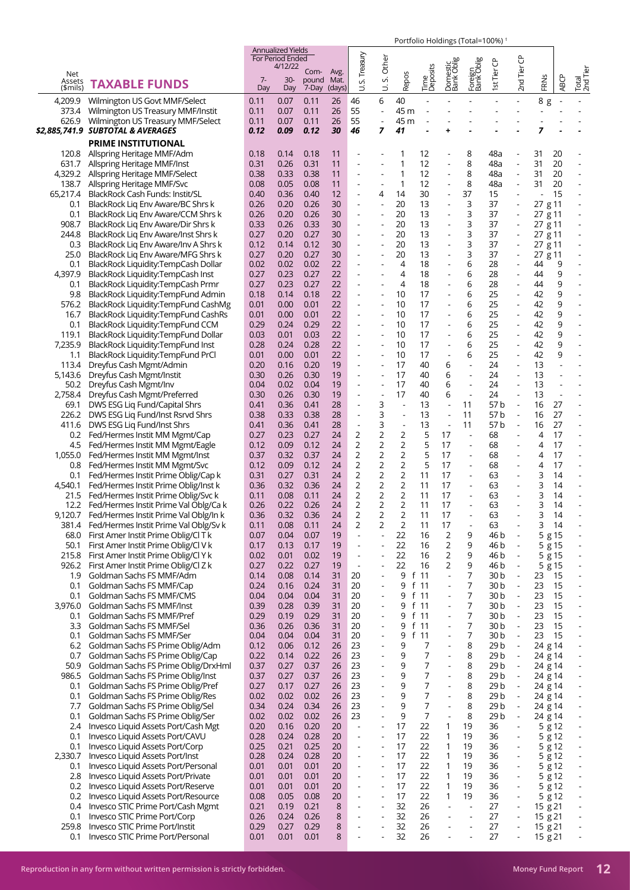|                           |                                                                                          |              | <b>Annualized Yields</b><br><b>For Period Ended</b> |                        |                        |                                                      | Other                                      |                          |                                  |                          | 10110101101011183110101110070                        |                         |                                                      |                    |                          |                                                      |
|---------------------------|------------------------------------------------------------------------------------------|--------------|-----------------------------------------------------|------------------------|------------------------|------------------------------------------------------|--------------------------------------------|--------------------------|----------------------------------|--------------------------|------------------------------------------------------|-------------------------|------------------------------------------------------|--------------------|--------------------------|------------------------------------------------------|
| Net<br>Assets<br>(\$mils) | <b>TAXABLE FUNDS</b>                                                                     | $7 -$<br>Day | 4/12/22<br>$30-$<br>Day                             | Com-<br>pound<br>7-Day | Avg.<br>Mat.<br>(days) | S. Treasury<br>ゴ                                     | vi<br>₿                                    | Repos                    | Time<br>Deposits                 | Domestic<br>Bank Oblig   | Foreign<br>  Bank Oblig                              | st Tier CP              | 2nd Tier CP                                          | FRNS               | <b>ABCP</b>              | Total<br>2nd Tier                                    |
| 4,209.9                   | Wilmington US Govt MMF/Select                                                            | 0.11         | 0.07                                                | 0.11                   | 26                     | 46                                                   | 6                                          | 40                       |                                  |                          |                                                      |                         |                                                      | 8 g                | $\overline{\phantom{a}}$ |                                                      |
| 373.4                     | Wilmington US Treasury MMF/Instit                                                        | 0.11         | 0.07                                                | 0.11                   | 26                     | 55                                                   |                                            | 45 m                     |                                  |                          |                                                      |                         |                                                      | $\overline{a}$     |                          |                                                      |
| 626.9                     | Wilmington US Treasury MMF/Select<br>\$2,885,741.9 SUBTOTAL & AVERAGES                   | 0.11<br>0.12 | 0.07<br>0.09                                        | 0.11<br>0.12           | 26<br>30               | 55<br>46                                             | $\blacksquare$<br>7                        | 45 m<br>41               |                                  | ٠                        |                                                      |                         |                                                      | 7                  |                          |                                                      |
|                           | <b>PRIME INSTITUTIONAL</b>                                                               |              |                                                     |                        |                        |                                                      |                                            |                          |                                  |                          |                                                      |                         |                                                      |                    |                          |                                                      |
|                           | 120.8 Allspring Heritage MMF/Adm                                                         | 0.18         | 0.14                                                | 0.18                   | 11                     |                                                      |                                            | 1                        | 12                               |                          | 8                                                    | 48a                     | ÷,                                                   | 31                 | 20                       |                                                      |
|                           | 631.7 Allspring Heritage MMF/Inst                                                        | 0.31         | 0.26                                                | 0.31                   | 11                     |                                                      |                                            | 1                        | 12                               |                          | 8                                                    | 48a                     | $\overline{a}$                                       | 31                 | 20                       |                                                      |
|                           | 4,329.2 Allspring Heritage MMF/Select                                                    | 0.38         | 0.33                                                | 0.38                   | 11                     |                                                      |                                            | 1                        | 12                               |                          | 8                                                    | 48a                     | $\overline{\phantom{a}}$                             | 31                 | 20                       | $\overline{a}$                                       |
|                           | 138.7 Allspring Heritage MMF/Svc<br>65,217.4 BlackRock Cash Funds: Instit/SL             | 0.08<br>0.40 | 0.05<br>0.36                                        | 0.08<br>0.40           | 11<br>12               |                                                      | $\overline{\phantom{a}}$<br>4              | 1<br>14                  | 12<br>30                         |                          | 8<br>37                                              | 48a<br>15               | $\blacksquare$<br>$\overline{a}$                     | 31                 | 20<br>15                 | $\blacksquare$                                       |
| 0.1                       | BlackRock Liq Env Aware/BC Shrs k                                                        | 0.26         | 0.20                                                | 0.26                   | 30                     | $\overline{\phantom{a}}$                             | $\blacksquare$                             | 20                       | 13                               | $\overline{\phantom{a}}$ | 3                                                    | 37                      | $\blacksquare$                                       | 27 g 11            |                          | $\overline{a}$                                       |
| 0.1                       | BlackRock Liq Env Aware/CCM Shrs k                                                       | 0.26         | 0.20                                                | 0.26                   | 30                     |                                                      |                                            | 20                       | 13                               |                          | 3                                                    | 37                      |                                                      | 27 g 11            |                          |                                                      |
| 908.7                     | BlackRock Lig Env Aware/Dir Shrs k                                                       | 0.33         | 0.26                                                | 0.33                   | 30                     |                                                      |                                            | 20                       | 13                               |                          | 3                                                    | 37                      | $\overline{\phantom{a}}$                             | 27 g 11            |                          | $\overline{a}$                                       |
| 244.8<br>0.3              | BlackRock Lig Env Aware/Inst Shrs k<br>BlackRock Liq Env Aware/Inv A Shrs k              | 0.27<br>0.12 | 0.20<br>0.14                                        | 0.27<br>0.12           | 30<br>30               |                                                      |                                            | 20<br>20                 | 13<br>13                         |                          | 3<br>3                                               | 37<br>37                | $\overline{a}$<br>$\blacksquare$                     | 27 g 11<br>27 g 11 |                          | $\blacksquare$                                       |
| 25.0                      | BlackRock Lig Env Aware/MFG Shrs k                                                       | 0.27         | 0.20                                                | 0.27                   | 30                     | $\overline{\phantom{a}}$                             | $\blacksquare$                             | 20                       | 13                               |                          | 3                                                    | 37                      | $\blacksquare$                                       | 27 g 11            |                          | $\overline{a}$                                       |
| 0.1                       | BlackRock Liquidity:TempCash Dollar                                                      | 0.02         | 0.02                                                | 0.02                   | 22                     |                                                      |                                            | 4                        | 18                               |                          | 6                                                    | 28                      | $\overline{a}$                                       | 44                 | 9                        |                                                      |
| 4,397.9                   | BlackRock Liquidity:TempCash Inst                                                        | 0.27         | 0.23                                                | 0.27                   | 22                     | ÷,                                                   |                                            | $\overline{4}$           | 18                               |                          | 6                                                    | 28                      | $\overline{a}$                                       | 44                 | 9                        |                                                      |
| 0.1                       | BlackRock Liquidity:TempCash Prmr<br>9.8 BlackRock Liquidity:TempFund Admin              | 0.27<br>0.18 | 0.23<br>0.14                                        | 0.27<br>0.18           | 22<br>22               |                                                      |                                            | $\overline{4}$<br>10     | 18<br>17                         |                          | 6<br>6                                               | 28<br>25                | $\overline{a}$<br>÷,                                 | 44<br>42           | 9<br>9                   |                                                      |
|                           | 576.2 BlackRock Liquidity:TempFund CashMg                                                | 0.01         | 0.00                                                | 0.01                   | 22                     | $\overline{a}$                                       | $\overline{\phantom{a}}$                   | 10                       | 17                               |                          | 6                                                    | 25                      | $\overline{a}$                                       | 42                 | 9                        | ÷,                                                   |
| 16.7                      | BlackRock Liquidity: TempFund CashRs                                                     | 0.01         | 0.00                                                | 0.01                   | 22                     |                                                      |                                            | 10                       | 17                               |                          | 6                                                    | 25                      | $\overline{a}$                                       | 42                 | 9                        |                                                      |
| 0.1                       | BlackRock Liquidity: TempFund CCM                                                        | 0.29         | 0.24                                                | 0.29                   | 22                     | $\overline{\phantom{a}}$                             | $\overline{\phantom{a}}$                   | 10                       | 17                               |                          | 6                                                    | 25                      | $\overline{\phantom{a}}$                             | 42                 | 9                        | ÷,                                                   |
| 119.1                     | BlackRock Liquidity:TempFund Dollar                                                      | 0.03         | 0.01                                                | 0.03                   | 22                     |                                                      |                                            | 10                       | 17                               |                          | 6                                                    | 25                      | $\overline{a}$                                       | 42                 | 9                        |                                                      |
| 7,235.9<br>1.1            | BlackRock Liquidity: TempFund Inst<br>BlackRock Liquidity:TempFund PrCl                  | 0.28<br>0.01 | 0.24<br>0.00                                        | 0.28<br>0.01           | 22<br>22               |                                                      |                                            | 10<br>10                 | 17<br>17                         |                          | 6<br>6                                               | 25<br>25                | $\overline{a}$<br>$\blacksquare$                     | 42<br>42           | 9<br>9                   | $\overline{\phantom{a}}$<br>÷,                       |
|                           | 113.4 Dreyfus Cash Mgmt/Admin                                                            | 0.20         | 0.16                                                | 0.20                   | 19                     |                                                      |                                            | 17                       | 40                               | 6                        |                                                      | 24                      |                                                      | 13                 |                          |                                                      |
|                           | 5,143.6 Dreyfus Cash Mgmt/Instit                                                         | 0.30         | 0.26                                                | 0.30                   | 19                     | $\overline{a}$                                       | ÷,                                         | 17                       | 40                               | 6                        | ÷,                                                   | 24                      | $\overline{\phantom{a}}$                             | 13                 |                          |                                                      |
|                           | 50.2 Dreyfus Cash Mgmt/Inv                                                               | 0.04         | 0.02                                                | 0.04                   | 19                     |                                                      |                                            | 17                       | 40                               | 6                        | $\blacksquare$                                       | 24                      | $\blacksquare$                                       | 13                 |                          |                                                      |
|                           | 2,758.4 Dreyfus Cash Mgmt/Preferred<br>69.1 DWS ESG Liq Fund/Capital Shrs                | 0.30<br>0.41 | 0.26<br>0.36                                        | 0.30<br>0.41           | 19<br>28               | ÷,                                                   | 3                                          | 17<br>$\sim$             | 40<br>13                         | 6                        | $\blacksquare$<br>11                                 | 24<br>57b               | $\Box$<br>$\blacksquare$                             | 13<br>16           | $\overline{a}$<br>27     |                                                      |
|                           | 226.2 DWS ESG Liq Fund/Inst Rsrvd Shrs                                                   | 0.38         | 0.33                                                | 0.38                   | 28                     | $\overline{a}$                                       | 3                                          | $\overline{a}$           | 13                               |                          | 11                                                   | 57b                     | $\blacksquare$                                       | 16                 | 27                       |                                                      |
| 411.6                     | DWS ESG Liq Fund/Inst Shrs                                                               | 0.41         | 0.36                                                | 0.41                   | 28                     | $\overline{a}$                                       | 3                                          | $\overline{\phantom{a}}$ | 13                               |                          | 11                                                   | 57 b                    | $\Box$                                               | 16                 | 27                       |                                                      |
|                           | 0.2 Fed/Hermes Instit MM Mgmt/Cap                                                        | 0.27         | 0.23                                                | 0.27                   | 24                     | $\overline{2}$                                       | $\overline{c}$                             | 2                        | 5                                | 17                       | $\overline{\phantom{a}}$                             | 68                      |                                                      | 4                  | 17                       |                                                      |
|                           | 4.5 Fed/Hermes Instit MM Mgmt/Eagle                                                      | 0.12<br>0.37 | 0.09<br>0.32                                        | 0.12<br>0.37           | 24                     | 2<br>2                                               | 2<br>2                                     | 2<br>2                   | 5<br>5                           | 17<br>17                 | $\blacksquare$<br>$\overline{a}$                     | 68<br>68                | $\overline{\phantom{a}}$                             | 4<br>4             | 17<br>17                 | $\blacksquare$<br>÷,                                 |
|                           | 1,055.0 Fed/Hermes Instit MM Mgmt/Inst<br>0.8 Fed/Hermes Instit MM Mgmt/Svc              | 0.12         | 0.09                                                | 0.12                   | 24<br>24               | 2                                                    | 2                                          | 2                        | 5                                | 17                       | $\blacksquare$                                       | 68                      |                                                      | 4                  | 17                       | $\overline{a}$                                       |
|                           | 0.1 Fed/Hermes Instit Prime Oblig/Cap k                                                  | 0.31         | 0.27                                                | 0.31                   | 24                     | 2                                                    | $\overline{2}$                             | 2                        | 11                               | 17                       | $\blacksquare$                                       | 63                      |                                                      | 3                  | 14                       | $\overline{\phantom{a}}$                             |
|                           | 4,540.1 Fed/Hermes Instit Prime Oblig/Inst k                                             | 0.36         | 0.32                                                | 0.36                   | 24                     | $\overline{2}$                                       | 2                                          | $\overline{2}$           | 11                               | 17                       | $\blacksquare$                                       | 63                      |                                                      | 3                  | 14                       |                                                      |
|                           | 21.5 Fed/Hermes Instit Prime Oblig/Svc k<br>12.2 Fed/Hermes Instit Prime Val Oblg/Ca k   | 0.11<br>0.26 | 0.08<br>0.22                                        | 0.11<br>0.26           | 24<br>24               | 2<br>$\overline{2}$                                  | 2<br>$\overline{2}$                        | 2<br>2                   | 11<br>11                         | 17<br>17                 | $\overline{\phantom{a}}$                             | 63<br>63                | $\blacksquare$                                       | 3<br>3             | 14<br>14                 | ÷,                                                   |
|                           | 9,120.7 Fed/Hermes Instit Prime Val Oblg/In k                                            | 0.36         | 0.32                                                | 0.36                   | 24                     | 2                                                    | 2                                          | 2                        | 11                               | 17                       |                                                      | 63                      |                                                      | 3                  | 14                       |                                                      |
|                           | 381.4 Fed/Hermes Instit Prime Val Oblg/Sv k                                              | 0.11         | 0.08                                                | 0.11                   | 24                     | 2                                                    | 2                                          | $\overline{2}$           | 11                               | 17                       |                                                      | 63                      |                                                      | 3                  | 14                       |                                                      |
|                           | 68.0 First Amer Instit Prime Oblig/Cl T k                                                | 0.07         | 0.04                                                | 0.07                   | 19                     | $\overline{\phantom{a}}$                             | ÷,                                         | 22                       | 16                               | $\overline{2}$           | 9                                                    | 46 b                    | $\overline{\phantom{a}}$                             | 5g15               |                          |                                                      |
| 50.1                      | First Amer Instit Prime Oblig/Cl V k                                                     | 0.17         | 0.13                                                | 0.17                   | 19                     | $\overline{\phantom{a}}$                             |                                            | 22<br>22                 | 16                               | 2                        | 9                                                    | 46 b                    | $\overline{\phantom{a}}$<br>$\overline{\phantom{a}}$ | 5 g 15             |                          | $\overline{\phantom{a}}$                             |
|                           | 215.8 First Amer Instit Prime Oblig/Cl Y k<br>926.2 First Amer Instit Prime Oblig/Cl Z k | 0.02<br>0.27 | 0.01<br>0.22                                        | 0.02<br>0.27           | 19<br>19               | $\overline{\phantom{a}}$<br>$\overline{\phantom{a}}$ |                                            | 22                       | 16<br>16                         | $\mathbf 2$<br>2         | 9<br>9                                               | 46 b<br>46 b            | $\blacksquare$                                       | 5g15<br>5 g 15     |                          | $\blacksquare$<br>$\overline{\phantom{a}}$           |
| 1.9                       | Goldman Sachs FS MMF/Adm                                                                 | 0.14         | 0.08                                                | 0.14                   | 31                     | 20                                                   |                                            | 9                        | f 11                             |                          | 7                                                    | 30 b                    | $\overline{a}$                                       | 23                 | 15                       |                                                      |
| 0.1                       | Goldman Sachs FS MMF/Cap                                                                 | 0.24         | 0.16                                                | 0.24                   | 31                     | 20                                                   |                                            | 9                        | f 11                             | $\blacksquare$           | 7                                                    | 30 b                    | $\blacksquare$                                       | 23                 | 15                       | $\blacksquare$                                       |
| 0.1                       | Goldman Sachs FS MMF/CMS                                                                 | 0.04         | 0.04                                                | 0.04                   | 31                     | 20<br>20                                             |                                            | 9<br>9                   | f 11<br>f 11                     | $\overline{\phantom{a}}$ | 7<br>7                                               | 30 <sub>b</sub>         | $\overline{a}$                                       | 23<br>23           | 15                       | $\overline{\phantom{a}}$                             |
| 3,976.0<br>0.1            | Goldman Sachs FS MMF/Inst<br>Goldman Sachs FS MMF/Pref                                   | 0.39<br>0.29 | 0.28<br>0.19                                        | 0.39<br>0.29           | 31<br>31               | 20                                                   | $\overline{\phantom{a}}$                   | 9 f 11                   |                                  | $\blacksquare$           | 7                                                    | 30 b<br>30 <sub>b</sub> | $\Box$<br>$\Box$                                     | 23                 | 15<br>15                 | $\blacksquare$<br>$\overline{\phantom{a}}$           |
| 3.3                       | Goldman Sachs FS MMF/Sel                                                                 | 0.36         | 0.26                                                | 0.36                   | 31                     | 20                                                   |                                            | 9                        | f 11                             |                          | 7                                                    | 30 b                    | $\Box$                                               | 23                 | 15                       | $\blacksquare$                                       |
| 0.1                       | Goldman Sachs FS MMF/Ser                                                                 | 0.04         | 0.04                                                | 0.04                   | 31                     | 20                                                   |                                            | 9                        | f 11                             | $\blacksquare$           | 7                                                    | 30 <sub>b</sub>         | $\overline{\phantom{a}}$                             | 23                 | 15                       | $\overline{\phantom{a}}$                             |
| 6.2                       | Goldman Sachs FS Prime Oblig/Adm                                                         | 0.12         | 0.06                                                | 0.12                   | 26                     | 23                                                   |                                            | 9                        | 7<br>7                           | $\blacksquare$           | 8                                                    | 29 b                    | $\overline{\phantom{a}}$                             | 24 g 14            |                          | $\blacksquare$                                       |
| 0.7<br>50.9               | Goldman Sachs FS Prime Oblig/Cap<br>Goldman Sachs FS Prime Oblig/DrxHml                  | 0.22<br>0.37 | 0.14<br>0.27                                        | 0.22<br>0.37           | 26<br>26               | 23<br>23                                             | $\overline{a}$                             | 9<br>9                   | 7                                | $\blacksquare$           | 8<br>8                                               | 29 b<br>29 b            | $\Box$<br>$\blacksquare$                             | 24 g 14<br>24 g 14 |                          | $\overline{\phantom{a}}$<br>$\overline{\phantom{a}}$ |
| 986.5                     | Goldman Sachs FS Prime Oblig/Inst                                                        | 0.37         | 0.27                                                | 0.37                   | 26                     | 23                                                   | $\overline{\phantom{a}}$                   | 9                        | 7                                |                          | 8                                                    | 29 b                    | $\Box$                                               | 24 g 14            |                          | $\qquad \qquad \blacksquare$                         |
| 0.1                       | Goldman Sachs FS Prime Oblig/Pref                                                        | 0.27         | 0.17                                                | 0.27                   | 26                     | 23                                                   | $\overline{\phantom{a}}$                   | 9                        | 7                                | $\sim$                   | 8                                                    | 29 b                    | $\blacksquare$                                       | 24 g 14            |                          | $\overline{\phantom{a}}$                             |
| 0.1                       | Goldman Sachs FS Prime Oblig/Res                                                         | 0.02         | 0.02                                                | 0.02                   | 26                     | 23                                                   |                                            | 9                        | 7                                |                          | 8                                                    | 29 b                    | $\Box$                                               | 24 g 14            |                          |                                                      |
| 7.7<br>0.1                | Goldman Sachs FS Prime Oblig/Sel<br>Goldman Sachs FS Prime Oblig/Ser                     | 0.34<br>0.02 | 0.24<br>0.02                                        | 0.34<br>0.02           | 26<br>26               | 23<br>23                                             | $\overline{\phantom{a}}$<br>$\blacksquare$ | 9<br>9                   | $\overline{7}$<br>$\overline{7}$ | ÷,                       | 8<br>8                                               | 29 b<br>29 b            | $\blacksquare$<br>$\Box$                             | 24 g 14<br>24 g 14 |                          | $\overline{\phantom{m}}$<br>$\overline{\phantom{a}}$ |
| 2.4                       | Invesco Liquid Assets Port/Cash Mgt                                                      | 0.20         | 0.16                                                | 0.20                   | 20                     | $\blacksquare$                                       | ÷,                                         | 17                       | 22                               | 1                        | 19                                                   | 36                      | $\blacksquare$                                       | 5 g 12             |                          |                                                      |
| 0.1                       | Invesco Liquid Assets Port/CAVU                                                          | 0.28         | 0.24                                                | 0.28                   | 20                     | $\blacksquare$                                       | $\blacksquare$                             | 17                       | 22                               | 1                        | 19                                                   | 36                      | $\blacksquare$                                       | 5 g 12             |                          | $\blacksquare$                                       |
| 0.1                       | Invesco Liquid Assets Port/Corp                                                          | 0.25         | 0.21                                                | 0.25                   | 20                     |                                                      |                                            | 17                       | 22                               | $\mathbf{1}$             | 19                                                   | 36                      | $\blacksquare$                                       | 5 g 12             |                          |                                                      |
| 2,330.7                   | Invesco Liquid Assets Port/Inst<br>Invesco Liquid Assets Port/Personal                   | 0.28<br>0.01 | 0.24<br>0.01                                        | 0.28<br>0.01           | 20<br>20               | $\overline{a}$<br>÷,                                 |                                            | 17<br>17                 | 22<br>22                         | 1<br>1                   | 19<br>19                                             | 36<br>36                | $\overline{\phantom{a}}$<br>$\overline{\phantom{a}}$ | 5 g 12<br>5 g 12   |                          | $\overline{\phantom{m}}$<br>$\overline{\phantom{a}}$ |
| 0.1<br>2.8                | Invesco Liquid Assets Port/Private                                                       | 0.01         | 0.01                                                | 0.01                   | 20                     | ÷,                                                   |                                            | 17                       | 22                               | 1                        | 19                                                   | 36                      | $\blacksquare$                                       | 5g12               |                          |                                                      |
|                           | 0.2 Invesco Liquid Assets Port/Reserve                                                   | 0.01         | 0.01                                                | 0.01                   | 20                     | $\overline{a}$                                       |                                            | 17                       | 22                               | 1                        | 19                                                   | 36                      | $\blacksquare$                                       | 5g12               |                          | $\overline{\phantom{m}}$                             |
| 0.2                       | Invesco Liquid Assets Port/Resource                                                      | 0.08         | 0.05                                                | 0.08                   | 20                     |                                                      |                                            | 17                       | 22                               | 1                        | 19                                                   | 36                      | $\overline{\phantom{a}}$                             | 5g12               |                          | $\blacksquare$                                       |
| 0.4                       | Invesco STIC Prime Port/Cash Mgmt<br>Invesco STIC Prime Port/Corp                        | 0.21<br>0.26 | 0.19<br>0.24                                        | 0.21<br>0.26           | 8<br>8                 | $\overline{\phantom{a}}$                             | $\overline{\phantom{a}}$                   | 32<br>32                 | 26<br>26                         |                          | $\overline{\phantom{a}}$<br>$\overline{\phantom{a}}$ | 27<br>27                | $\blacksquare$<br>$\overline{\phantom{a}}$           | 15 g 21<br>15g21   |                          | $\overline{\phantom{a}}$                             |
| 0.1<br>259.8              | Invesco STIC Prime Port/Instit                                                           | 0.29         | 0.27                                                | 0.29                   | 8                      |                                                      |                                            | 32                       | 26                               |                          |                                                      | 27                      | $\overline{\phantom{a}}$                             | 15 g 21            |                          |                                                      |
| 0.1                       | Invesco STIC Prime Port/Personal                                                         | 0.01         | 0.01                                                | 0.01                   | 8                      |                                                      |                                            | 32                       | 26                               |                          |                                                      | 27                      |                                                      | 15 g 21            |                          |                                                      |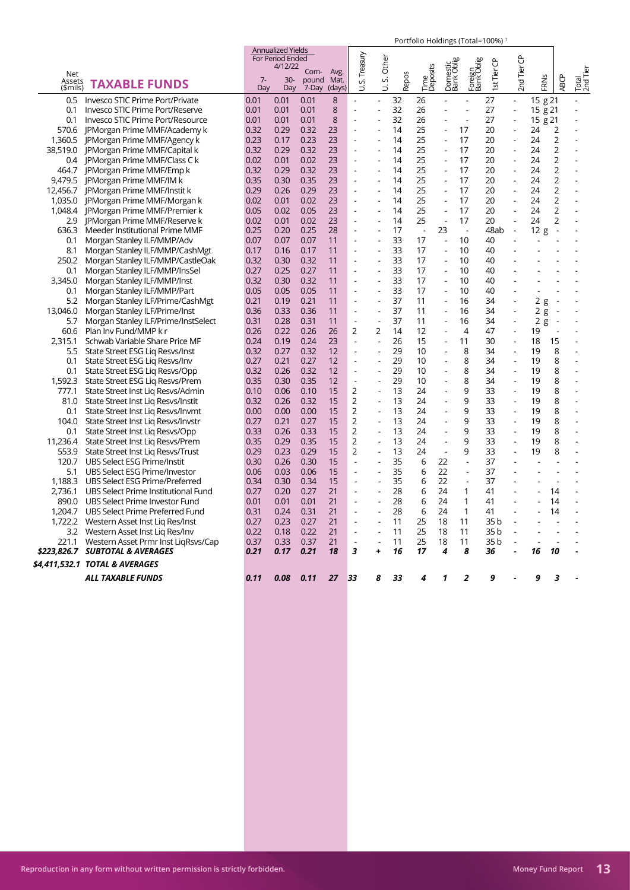|                           |                                                                                      |              |                                                         |                             |                |                          |                          |              | $\sim$ 0.000 moldings (1000 moldings) |                          |                       |             |                          |          |                          |                   |
|---------------------------|--------------------------------------------------------------------------------------|--------------|---------------------------------------------------------|-----------------------------|----------------|--------------------------|--------------------------|--------------|---------------------------------------|--------------------------|-----------------------|-------------|--------------------------|----------|--------------------------|-------------------|
|                           |                                                                                      |              | <b>Annualized Yields</b><br>For Period Ended<br>4/12/22 |                             |                | Treasury                 | Other                    |              |                                       |                          |                       |             | ප                        |          |                          |                   |
| Net<br>Assets<br>(\$mils) | <b>TAXABLE FUNDS</b>                                                                 | $7 -$<br>Dav | $30-$<br>Day                                            | Com- Avg.<br>pound<br>7-Day | Mat.<br>(days) | vi<br>₿                  | vi                       | <b>Repos</b> | Time<br>Deposits                      | Domestic<br>Bank Oblig   | Foreign<br>Bank Oblig | 1st Tier CP | 2nd Tier                 | FRNS     | <b>ABCP</b>              | Total<br>2nd Tier |
|                           | 0.5 Invesco STIC Prime Port/Private                                                  | 0.01         | 0.01                                                    | 0.01                        | 8              | ÷,                       | ä,                       | 32           | 26                                    |                          | $\overline{a}$        | 27          | $\overline{\phantom{a}}$ | 15 g 21  |                          |                   |
| 0.1                       | Invesco STIC Prime Port/Reserve                                                      | 0.01         | 0.01                                                    | 0.01                        | 8              | ÷,                       | ÷,                       | 32           | 26                                    |                          | ÷                     | 27          | $\overline{a}$           | 15 g 21  |                          |                   |
| 0.1                       | Invesco STIC Prime Port/Resource                                                     | 0.01         | 0.01                                                    | 0.01                        | 8              |                          |                          | 32           | 26                                    |                          | L,                    | 27          | $\overline{a}$           | 15 g 21  |                          |                   |
|                           | 570.6 JPMorgan Prime MMF/Academy k                                                   | 0.32         | 0.29                                                    | 0.32                        | 23             | L,                       |                          | 14           | 25                                    |                          | 17                    | 20          | .,                       | 24       | $\overline{2}$           |                   |
|                           | 1,360.5 JPMorgan Prime MMF/Agency k                                                  | 0.23         | 0.17                                                    | 0.23                        | 23             | $\overline{a}$           | ÷,                       | 14           | 25                                    |                          | 17                    | 20          | ÷,                       | 24       | $\overline{2}$           |                   |
|                           | 38,519.0 JPMorgan Prime MMF/Capital k                                                | 0.32         | 0.29                                                    | 0.32                        | 23             | ÷.                       | ÷                        | 14           | 25                                    |                          | 17                    | 20          | ÷.                       | 24       | $\overline{2}$           |                   |
|                           | 0.4 JPMorgan Prime MMF/Class C k                                                     | 0.02         | 0.01                                                    | 0.02                        | 23             | L,                       |                          | 14           | 25                                    |                          | 17                    | 20          | ÷,                       | 24       | $\overline{2}$           |                   |
| 464.7                     | JPMorgan Prime MMF/Emp k                                                             | 0.32         | 0.29                                                    | 0.32                        | 23             | $\overline{\phantom{a}}$ | ÷                        | 14           | 25                                    | $\overline{\phantom{a}}$ | 17                    | 20          | $\overline{\phantom{a}}$ | 24       | $\overline{2}$           |                   |
|                           | 9,479.5 JPMorgan Prime MMF/IM k                                                      | 0.35         | 0.30                                                    | 0.35                        | 23             |                          | ÷,                       | 14           | 25                                    |                          | 17                    | 20          | L,                       | 24       | $\overline{2}$           |                   |
|                           | 12,456.7 JPMorgan Prime MMF/Instit k                                                 | 0.29         | 0.26                                                    | 0.29                        | 23             | $\overline{a}$           | ÷,                       | 14           | 25                                    | $\overline{\phantom{a}}$ | 17                    | 20          | ÷,                       | 24       | $\overline{2}$           |                   |
|                           | 1,035.0 JPMorgan Prime MMF/Morgan k                                                  | 0.02         | 0.01                                                    | 0.02                        | 23             | L,                       |                          | 14           | 25                                    |                          | 17                    | 20          |                          | 24       | $\overline{2}$           |                   |
|                           | 1,048.4 JPMorgan Prime MMF/Premier k                                                 | 0.05         | 0.02                                                    | 0.05                        | 23             | L,                       | ÷.                       | 14           | 25                                    |                          | 17                    | 20          | ÷,                       | 24       | $\overline{2}$           |                   |
|                           | 2.9   PMorgan Prime MMF/Reserve k                                                    | 0.02         | 0.01                                                    | 0.02                        | 23             | $\overline{a}$           | $\overline{a}$           | 14           | 25                                    | $\overline{a}$           | 17                    | 20          | Ĭ.                       | 24       | $\overline{2}$           |                   |
| 636.3                     | Meeder Institutional Prime MMF                                                       | 0.25         | 0.20                                                    | 0.25                        | 28             | ÷,                       | ÷.                       | 17           | $\overline{\phantom{a}}$              | 23                       | $\sim$                | 48ab        | $\overline{\phantom{a}}$ | 12g      | $\overline{\phantom{a}}$ |                   |
| 0.1                       | Morgan Stanley ILF/MMP/Adv                                                           | 0.07         | 0.07                                                    | 0.07                        | 11             | L,                       | L,                       | 33           | 17                                    | $\overline{a}$           | 10                    | 40          |                          |          |                          |                   |
| 8.1                       | Morgan Stanley ILF/MMP/CashMgt                                                       | 0.17         | 0.16                                                    | 0.17                        | 11             | $\overline{a}$           | $\overline{a}$           | 33           | 17                                    | $\blacksquare$           | 10                    | 40          |                          |          |                          |                   |
| 250.2                     | Morgan Stanley ILF/MMP/CastleOak                                                     | 0.32         | 0.30                                                    | 0.32                        | 11             | ÷,                       | $\blacksquare$           | 33           | 17                                    | $\overline{a}$           | 10                    | 40          |                          |          |                          |                   |
| 0.1                       | Morgan Stanley ILF/MMP/InsSel                                                        | 0.27         | 0.25                                                    | 0.27                        | 11             | $\blacksquare$           | $\blacksquare$           | 33           | 17                                    | $\blacksquare$           | 10                    | 40          |                          |          |                          |                   |
| 3,345.0                   | Morgan Stanley ILF/MMP/Inst                                                          | 0.32         | 0.30                                                    | 0.32                        | 11             | L.                       | L.                       | 33           | 17                                    | J.                       | 10                    | 40          |                          |          |                          |                   |
| 0.1                       | Morgan Stanley ILF/MMP/Part                                                          | 0.05         | 0.05                                                    | 0.05                        | 11             | Ĭ.                       | L,                       | 33           | 17                                    | L,                       | 10                    | 40          |                          |          |                          |                   |
| 5.2                       | Morgan Stanley ILF/Prime/CashMgt                                                     | 0.21         | 0.19                                                    | 0.21                        | 11             | $\blacksquare$           | L,                       | 37           | 11                                    | $\overline{\phantom{a}}$ | 16                    | 34          | ÷,                       | 2g       | $\overline{\phantom{a}}$ |                   |
| 13,046.0                  | Morgan Stanley ILF/Prime/Inst                                                        | 0.36         | 0.33                                                    | 0.36                        | 11             | $\overline{a}$           | L,                       | 37           | 11                                    | L,                       | 16                    | 34          | ÷,                       | 2g       | ÷,                       |                   |
| 5.7                       | Morgan Stanley ILF/Prime/InstSelect                                                  | 0.31         | 0.28                                                    | 0.31                        | 11             | $\overline{\phantom{a}}$ | $\overline{\phantom{a}}$ | 37           | 11                                    | ÷,                       | 16                    | 34          | ÷,                       | 2<br>g   | $\overline{\phantom{a}}$ |                   |
| 60.6                      | Plan Inv Fund/MMP k r                                                                | 0.26         | 0.22                                                    | 0.26                        | 26             | 2                        | 2                        | 14           | 12                                    | ÷,                       | $\overline{4}$        | 47          | $\overline{\phantom{a}}$ | 19       |                          |                   |
| 2,315.1                   | Schwab Variable Share Price MF                                                       | 0.24         | 0.19                                                    | 0.24                        | 23             | ÷,                       | ÷,                       | 26           | 15                                    | ÷,                       | 11                    | 30          | ÷,                       | 18       | 15                       |                   |
| 5.5                       | State Street ESG Lig Resvs/Inst                                                      | 0.32         | 0.27                                                    | 0.32                        | 12             | $\overline{a}$           | $\blacksquare$           | 29           | 10                                    | ÷,                       | 8                     | 34          | $\overline{a}$           | 19       | 8                        |                   |
| 0.1                       | State Street ESG Lig Resvs/Inv                                                       | 0.27         | 0.21                                                    | 0.27                        | 12             | L,                       | L,                       | 29           | 10                                    |                          | 8                     | 34          | L,                       | 19       | 8                        |                   |
| 0.1                       | State Street ESG Lig Resvs/Opp                                                       | 0.32         | 0.26                                                    | 0.32                        | 12             | $\overline{a}$           | $\overline{a}$           | 29           | 10                                    |                          | 8                     | 34          | $\overline{a}$           | 19       | 8                        |                   |
|                           | 1,592.3 State Street ESG Lig Resvs/Prem                                              | 0.35         | 0.30                                                    | 0.35                        | 12             | $\Box$                   | ÷,                       | 29           | 10                                    | L.                       | 8                     | 34          | $\overline{\phantom{a}}$ | 19       | 8                        |                   |
| 777.1                     | State Street Inst Lig Resvs/Admin                                                    | 0.10         | 0.06                                                    | 0.10                        | 15             | 2                        | $\overline{a}$           | 13           | 24                                    |                          | 9                     | 33          | $\overline{a}$           | 19       | 8                        |                   |
| 81.0                      | State Street Inst Lig Resvs/Instit                                                   | 0.32         | 0.26                                                    | 0.32                        | 15             | 2                        | ÷,                       | 13<br>13     | 24<br>24                              |                          | 9<br>9                | 33<br>33    | ÷,                       | 19       | 8                        | ٠                 |
| 0.1                       | State Street Inst Lig Resys/Invmt                                                    | 0.00         | 0.00                                                    | 0.00                        | 15             | 2                        | $\overline{a}$<br>÷,     |              |                                       |                          | 9                     |             | $\overline{a}$<br>÷,     | 19       | 8                        |                   |
| 104.0                     | State Street Inst Lig Resvs/Invstr                                                   | 0.27<br>0.33 | 0.21<br>0.26                                            | 0.27<br>0.33                | 15<br>15       | 2<br>$\overline{2}$      | $\overline{a}$           | 13<br>13     | 24<br>24                              |                          | 9                     | 33<br>33    |                          | 19<br>19 | 8<br>8                   |                   |
| 0.1                       | State Street Inst Lig Resvs/Opp                                                      | 0.35         | 0.29                                                    | 0.35                        | 15             | 2                        | ä,                       | 13           | 24                                    |                          | 9                     | 33          | $\overline{a}$<br>L.     | 19       | 8                        |                   |
|                           | 11,236.4 State Street Inst Liq Resvs/Prem<br>553.9 State Street Inst Lig Resvs/Trust | 0.29         | 0.23                                                    | 0.29                        | 15             | 2                        | ÷,                       | 13           | 24                                    | J.                       | 9                     | 33          | L,                       | 19       | 8                        |                   |
|                           | 120.7 UBS Select ESG Prime/Instit                                                    | 0.30         | 0.26                                                    | 0.30                        | 15             | $\overline{\phantom{a}}$ | $\overline{a}$           | 35           | 6                                     | 22                       | $\blacksquare$        | 37          | $\overline{a}$           |          |                          |                   |
| 5.1                       | <b>UBS Select ESG Prime/Investor</b>                                                 | 0.06         | 0.03                                                    | 0.06                        | 15             | $\overline{a}$           |                          | 35           | 6                                     | 22                       | $\overline{a}$        | 37          |                          |          |                          |                   |
|                           | 1,188.3 UBS Select ESG Prime/Preferred                                               | 0.34         | 0.30                                                    | 0.34                        | 15             | ÷,                       | ÷,                       | 35           | 6                                     | 22                       | $\overline{a}$        | 37          |                          |          |                          |                   |
| 2.736.1                   | UBS Select Prime Institutional Fund                                                  | 0.27         | 0.20                                                    | 0.27                        | 21             | ÷,                       | L,                       | 28           | 6                                     | 24                       | 1                     | 41          |                          |          | 14                       |                   |
| 890.0                     | UBS Select Prime Investor Fund                                                       | 0.01         | 0.01                                                    | 0.01                        | 21             | ÷                        | ٠                        | 28           | 6                                     | 24                       | 1                     | 41          |                          |          | 14                       |                   |
|                           | 1.204.7 UBS Select Prime Preferred Fund                                              | 0.31         | 0.24                                                    | 0.31                        | 21             | $\overline{a}$           | $\overline{a}$           | 28           | 6                                     | 24                       | $\mathbf{1}$          | 41          | $\overline{a}$           |          | 14                       |                   |
| 1,722.2                   | Western Asset Inst Lig Res/Inst                                                      | 0.27         | 0.23                                                    | 0.27                        | 21             | ÷                        | ÷                        | 11           | 25                                    | 18                       | 11                    | 35 b        |                          |          |                          |                   |
|                           | 3.2 Western Asset Inst Lig Res/Inv                                                   | 0.22         | 0.18                                                    | 0.22                        | 21             | Ĭ.                       | $\overline{a}$           | 11           | 25                                    | 18                       | 11                    | 35 b        |                          |          |                          |                   |
|                           | 221.1 Western Asset Prmr Inst LigRsvs/Cap                                            | 0.37         | 0.33                                                    | 0.37                        | 21             | $\overline{\phantom{a}}$ | $\overline{\phantom{a}}$ | 11           | 25                                    | 18                       | 11                    | 35 b        | ÷,                       |          |                          |                   |
|                           | \$223,826.7 SUBTOTAL & AVERAGES                                                      | 0.21         | 0.17                                                    | 0.21                        | 18             | 3                        | +                        | 16           | 17                                    | 4                        | 8                     | 36          |                          | 16       | 10                       |                   |
|                           |                                                                                      |              |                                                         |                             |                |                          |                          |              |                                       |                          |                       |             |                          |          |                          |                   |
|                           | \$4,411,532.1 TOTAL & AVERAGES                                                       |              |                                                         |                             |                |                          |                          |              |                                       |                          |                       |             |                          |          |                          |                   |
|                           | ALL TAXABLE FUNDS                                                                    | 0.11         | 0.08                                                    | 0.11                        | 27             | 33                       | 8                        | 33           | 4                                     | 1                        | 2                     | 9           |                          | q        | 3                        |                   |
|                           |                                                                                      |              |                                                         |                             |                |                          |                          |              |                                       |                          |                       |             |                          |          |                          |                   |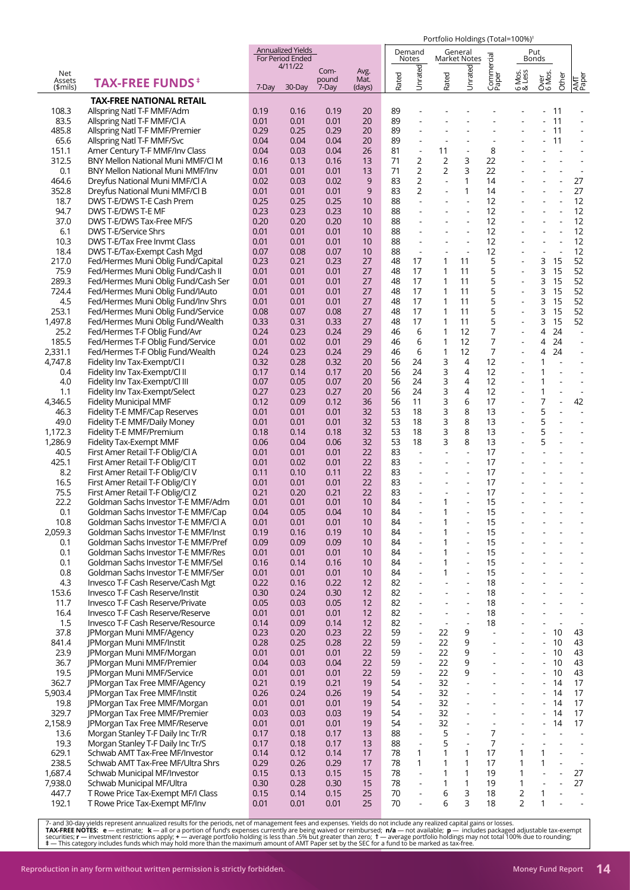|                  |                                                                           |              |                                              |              |          |          |                                            |                                            | Portfolio Holdings (Total=100%) <sup>+</sup> |                                           |                          |                                                      |                      |                                        |
|------------------|---------------------------------------------------------------------------|--------------|----------------------------------------------|--------------|----------|----------|--------------------------------------------|--------------------------------------------|----------------------------------------------|-------------------------------------------|--------------------------|------------------------------------------------------|----------------------|----------------------------------------|
|                  |                                                                           |              | <b>Annualized Yields</b><br>For Period Ended |              |          |          | Demand<br>Notes                            |                                            | General<br><b>Market Notes</b>               |                                           |                          | Put<br>Bonds                                         |                      |                                        |
|                  |                                                                           |              | 4/11/22                                      | Com-         | Avg.     |          |                                            |                                            |                                              | Commercial<br>Paper                       |                          |                                                      |                      |                                        |
| Net<br>Assets    | <b>TAX-FREE FUNDS</b> <sup>#</sup>                                        |              |                                              | pound        | Mat.     | Rated    | Unrated                                    | Rated                                      | Unrated                                      |                                           | 6 Mos.<br>& Less         | Over<br>6 Mos.                                       | Other                | AMT<br>Paper                           |
| \$mils)          |                                                                           | 7-Day        | 30-Day                                       | 7-Day        | (days)   |          |                                            |                                            |                                              |                                           |                          |                                                      |                      |                                        |
| 108.3            | <b>TAX-FREE NATIONAL RETAIL</b><br>Allspring Natl T-F MMF/Adm             | 0.19         | 0.16                                         | 0.19         | 20       | 89       | L.                                         |                                            |                                              |                                           |                          |                                                      | - 11                 |                                        |
| 83.5             | Allspring Natl T-F MMF/Cl A                                               | 0.01         | 0.01                                         | 0.01         | 20       | 89       |                                            |                                            |                                              |                                           |                          |                                                      | 11                   |                                        |
| 485.8            | Allspring Natl T-F MMF/Premier                                            | 0.29         | 0.25                                         | 0.29         | 20       | 89       | ÷,                                         | L,                                         | L,                                           | ÷,                                        | ÷,                       | $\overline{\phantom{a}}$                             | 11                   | $\blacksquare$                         |
| 65.6             | Allspring Natl T-F MMF/Svc                                                | 0.04         | 0.04                                         | 0.04         | 20       | 89       | $\overline{a}$                             |                                            |                                              |                                           |                          |                                                      | 11                   |                                        |
| 151.1<br>312.5   | Amer Century T-F MMF/Inv Class<br>BNY Mellon National Muni MMF/Cl M       | 0.04<br>0.16 | 0.03<br>0.13                                 | 0.04<br>0.16 | 26<br>13 | 81<br>71 | $\blacksquare$<br>2                        | 11<br>2                                    | $\overline{\phantom{a}}$<br>3                | 8<br>22                                   |                          |                                                      |                      |                                        |
| 0.1              | BNY Mellon National Muni MMF/Inv                                          | 0.01         | 0.01                                         | 0.01         | 13       | 71       | $\overline{2}$                             | $\overline{2}$                             | 3                                            | 22                                        |                          |                                                      |                      | $\overline{\phantom{a}}$               |
| 464.6            | Dreyfus National Muni MMF/Cl A                                            | 0.02         | 0.03                                         | 0.02         | 9        | 83       | 2                                          | $\blacksquare$                             | 1                                            | 14                                        |                          |                                                      | $\overline{a}$       | 27                                     |
| 352.8            | Dreyfus National Muni MMF/Cl B                                            | 0.01         | 0.01                                         | 0.01         | 9        | 83       | 2                                          |                                            | 1                                            | 14                                        |                          |                                                      |                      | 27                                     |
| 18.7<br>94.7     | DWS T-E/DWS T-E Cash Prem<br>DWS T-E/DWS T-E MF                           | 0.25<br>0.23 | 0.25<br>0.23                                 | 0.25<br>0.23 | 10<br>10 | 88<br>88 | ÷,<br>÷,                                   | ÷,                                         | $\overline{\phantom{a}}$                     | 12<br>12                                  |                          | $\blacksquare$                                       | L,                   | 12<br>12                               |
| 37.0             | DWS T-E/DWS Tax-Free MF/S                                                 | 0.20         | 0.20                                         | 0.20         | 10       | 88       | ä,                                         | L,                                         | ÷,                                           | 12                                        |                          |                                                      |                      | 12                                     |
| 6.1              | <b>DWS T-E/Service Shrs</b>                                               | 0.01         | 0.01                                         | 0.01         | 10       | 88       | $\qquad \qquad \blacksquare$               | $\qquad \qquad \blacksquare$               | $\overline{\phantom{a}}$                     | 12                                        |                          | $\blacksquare$                                       | $\overline{a}$       | 12                                     |
| 10.3             | <b>DWS T-E/Tax Free Invmt Class</b>                                       | 0.01         | 0.01                                         | 0.01         | 10       | 88       | ÷,                                         |                                            | ÷,                                           | 12                                        |                          | $\overline{\phantom{a}}$                             | L,                   | 12                                     |
| 18.4<br>217.0    | DWS T-E/Tax-Exempt Cash Mgd<br>Fed/Hermes Muni Oblig Fund/Capital         | 0.07<br>0.23 | 0.08<br>0.21                                 | 0.07<br>0.23 | 10<br>27 | 88<br>48 | $\blacksquare$<br>17                       | ÷,<br>1                                    | $\overline{\phantom{a}}$<br>11               | 12<br>5                                   |                          | $\blacksquare$<br>3                                  | $\overline{a}$<br>15 | 12<br>52                               |
| 75.9             | Fed/Hermes Muni Oblig Fund/Cash II                                        | 0.01         | 0.01                                         | 0.01         | 27       | 48       | 17                                         | 1                                          | 11                                           | 5                                         |                          | 3                                                    | 15                   | 52                                     |
| 289.3            | Fed/Hermes Muni Oblig Fund/Cash Ser                                       | 0.01         | 0.01                                         | 0.01         | 27       | 48       | 17                                         | 1                                          | 11                                           | 5                                         |                          | 3                                                    | 15                   | 52                                     |
| 724.4            | Fed/Hermes Muni Oblig Fund/IAuto                                          | 0.01         | 0.01                                         | 0.01         | 27       | 48       | 17                                         | 1                                          | 11                                           | 5                                         |                          | 3                                                    | 15                   | 52                                     |
| 4.5<br>253.1     | Fed/Hermes Muni Oblig Fund/Inv Shrs<br>Fed/Hermes Muni Oblig Fund/Service | 0.01<br>0.08 | 0.01<br>0.07                                 | 0.01<br>0.08 | 27<br>27 | 48<br>48 | 17<br>17                                   | 1<br>$\mathbf{1}$                          | 11<br>11                                     | 5<br>5                                    |                          | 3<br>3                                               | 15<br>15             | 52<br>52                               |
| 1,497.8          | Fed/Hermes Muni Oblig Fund/Wealth                                         | 0.33         | 0.31                                         | 0.33         | 27       | 48       | 17                                         | $\mathbf{1}$                               | 11                                           | 5                                         | $\overline{a}$           | 3                                                    | 15                   | 52                                     |
| 25.2             | Fed/Hermes T-F Oblig Fund/Avr                                             | 0.24         | 0.23                                         | 0.24         | 29       | 46       | 6                                          | 1                                          | 12                                           | 7                                         |                          | 4                                                    | 24                   | $\blacksquare$                         |
| 185.5            | Fed/Hermes T-F Oblig Fund/Service                                         | 0.01         | 0.02                                         | 0.01         | 29       | 46       | 6                                          | $\mathbf{1}$                               | 12                                           | 7                                         |                          | 4                                                    | 24                   | $\overline{\phantom{a}}$               |
| 2,331.1          | Fed/Hermes T-F Oblig Fund/Wealth                                          | 0.24         | 0.23                                         | 0.24         | 29<br>20 | 46       | 6<br>24                                    | 1                                          | 12<br>4                                      | 7<br>12                                   |                          | 4<br>1                                               | 24<br>$\overline{a}$ | $\blacksquare$<br>÷,                   |
| 4,747.8<br>0.4   | Fidelity Inv Tax-Exempt/Cl I<br>Fidelity Inv Tax-Exempt/Cl II             | 0.32<br>0.17 | 0.28<br>0.14                                 | 0.32<br>0.17 | 20       | 56<br>56 | 24                                         | 3<br>3                                     | 4                                            | 12                                        |                          | 1                                                    | $\overline{a}$       | ÷,                                     |
| 4.0              | Fidelity Inv Tax-Exempt/Cl III                                            | 0.07         | 0.05                                         | 0.07         | 20       | 56       | 24                                         | 3                                          | 4                                            | 12                                        |                          | 1                                                    |                      | ÷.                                     |
| 1.1              | Fidelity Inv Tax-Exempt/Select                                            | 0.27         | 0.23                                         | 0.27         | 20       | 56       | 24                                         | 3                                          | 4                                            | 12                                        |                          | 1                                                    | ÷,                   | $\overline{\phantom{a}}$               |
| 4,346.5          | Fidelity Municipal MMF                                                    | 0.12         | 0.09                                         | 0.12         | 36       | 56       | 11                                         | 3                                          | 6                                            | 17                                        |                          | 7                                                    | $\overline{a}$       | 42                                     |
| 46.3<br>49.0     | Fidelity T-E MMF/Cap Reserves<br>Fidelity T-E MMF/Daily Money             | 0.01<br>0.01 | 0.01<br>0.01                                 | 0.01<br>0.01 | 32<br>32 | 53<br>53 | 18<br>18                                   | 3<br>3                                     | 8<br>8                                       | 13<br>13                                  | ÷.                       | 5<br>5                                               | ÷.<br>$\overline{a}$ | $\blacksquare$<br>$\ddot{\phantom{1}}$ |
| 1,172.3          | Fidelity T-E MMF/Premium                                                  | 0.18         | 0.14                                         | 0.18         | 32       | 53       | 18                                         | 3                                          | 8                                            | 13                                        |                          | 5                                                    |                      |                                        |
| 1,286.9          | Fidelity Tax-Exempt MMF                                                   | 0.06         | 0.04                                         | 0.06         | 32       | 53       | 18                                         | 3                                          | 8                                            | 13                                        |                          | 5                                                    | $\overline{a}$       | ÷,                                     |
| 40.5             | First Amer Retail T-F Oblig/Cl A                                          | 0.01         | 0.01                                         | 0.01         | 22       | 83       | $\overline{a}$                             | ÷,                                         | ÷,                                           | 17                                        |                          |                                                      |                      |                                        |
| 425.1<br>8.2     | First Amer Retail T-F Oblig/Cl T<br>First Amer Retail T-F Oblig/Cl V      | 0.01<br>0.11 | 0.02<br>0.10                                 | 0.01<br>0.11 | 22<br>22 | 83<br>83 | ÷,<br>L.                                   | ÷,<br>$\overline{\phantom{a}}$             | ÷,<br>$\overline{\phantom{a}}$               | 17<br>17                                  |                          |                                                      |                      | ÷                                      |
| 16.5             | First Amer Retail T-F Oblig/Cl Y                                          | 0.01         | 0.01                                         | 0.01         | 22       | 83       |                                            |                                            |                                              | 17                                        |                          |                                                      |                      |                                        |
| 75.5             | First Amer Retail T-F Oblig/Cl Z                                          | 0.21         | 0.20                                         | 0.21         | 22       | 83       | L.                                         |                                            | $\overline{a}$                               | 17                                        |                          |                                                      |                      |                                        |
| 22.2             | Goldman Sachs Investor T-E MMF/Adm                                        | 0.01         | 0.01                                         | 0.01         | 10       | 84       |                                            | 1                                          |                                              | 15                                        |                          |                                                      |                      |                                        |
| 0.1<br>10.8      | Goldman Sachs Investor T-E MMF/Cap<br>Goldman Sachs Investor T-E MMF/CI A | 0.04<br>0.01 | 0.05<br>0.01                                 | 0.04<br>0.01 | 10<br>10 | 84<br>84 | ÷,<br>÷,                                   | 1<br>1                                     | $\overline{a}$<br>÷,                         | 15<br>15                                  |                          |                                                      |                      |                                        |
| 2,059.3          | Goldman Sachs Investor T-E MMF/Inst                                       | 0.19         | 0.16                                         | 0.19         | 10       | 84       | $\overline{a}$                             | 1                                          | $\overline{\phantom{a}}$                     | 15                                        |                          |                                                      |                      | $\sim$                                 |
| 0.1              | Goldman Sachs Investor T-E MMF/Pref                                       | 0.09         | 0.09                                         | 0.09         | 10       | 84       | $\overline{\phantom{a}}$                   | 1                                          | $\overline{\phantom{a}}$                     | 15                                        |                          |                                                      |                      | $\overline{\phantom{a}}$               |
| 0.1              | Goldman Sachs Investor T-E MMF/Res                                        | 0.01         | 0.01                                         | 0.01         | 10       | 84       | ÷,                                         | 1                                          | $\overline{a}$                               | 15                                        |                          |                                                      |                      | $\mathbf{r}$                           |
| 0.1<br>0.8       | Goldman Sachs Investor T-E MMF/Sel<br>Goldman Sachs Investor T-E MMF/Ser  | 0.16<br>0.01 | 0.14<br>0.01                                 | 0.16<br>0.01 | 10<br>10 | 84<br>84 | $\blacksquare$<br>÷,                       | 1<br>1                                     | $\Box$<br>÷,                                 | 15<br>15                                  |                          |                                                      |                      | $\blacksquare$                         |
| 4.3              | Invesco T-F Cash Reserve/Cash Mgt                                         | 0.22         | 0.16                                         | 0.22         | 12       | 82       | $\overline{a}$                             | $\overline{a}$                             | ÷,                                           | 18                                        |                          |                                                      |                      | $\overline{\phantom{a}}$               |
| 153.6            | Invesco T-F Cash Reserve/Instit                                           | 0.30         | 0.24                                         | 0.30         | 12       | 82       | $\overline{\phantom{a}}$                   | $\overline{\phantom{a}}$                   | $\blacksquare$                               | 18                                        |                          |                                                      |                      | $\overline{\phantom{a}}$               |
| 11.7             | Invesco T-F Cash Reserve/Private                                          | 0.05         | 0.03                                         | 0.05         | 12       | 82       | ÷,                                         |                                            | ÷,                                           | 18                                        |                          |                                                      |                      | $\blacksquare$                         |
| 16.4<br>1.5      | Invesco T-F Cash Reserve/Reserve<br>Invesco T-F Cash Reserve/Resource     | 0.01<br>0.14 | 0.01<br>0.09                                 | 0.01<br>0.14 | 12<br>12 | 82<br>82 | $\frac{1}{2}$<br>$\overline{\phantom{a}}$  | $\blacksquare$<br>$\overline{\phantom{a}}$ | $\blacksquare$<br>$\sim$                     | 18<br>18                                  |                          | $\overline{\phantom{a}}$                             | $\blacksquare$<br>L, | $\blacksquare$<br>÷.                   |
| 37.8             | <b>IPMorgan Muni MMF/Agency</b>                                           | 0.23         | 0.20                                         | 0.23         | 22       | 59       | $\blacksquare$                             | 22                                         | 9                                            | $\overline{a}$                            |                          | $-10$                                                |                      | 43                                     |
| 841.4            | JPMorgan Muni MMF/Instit                                                  | 0.28         | 0.25                                         | 0.28         | 22       | 59       | $\frac{1}{2}$                              | 22                                         | 9                                            |                                           |                          | $-10$                                                |                      | 43                                     |
| 23.9             | JPMorgan Muni MMF/Morgan                                                  | 0.01         | 0.01                                         | 0.01         | 22       | 59       | $\blacksquare$                             | 22                                         | 9                                            | ÷,                                        |                          | $-10$                                                |                      | 43                                     |
| 36.7<br>19.5     | JPMorgan Muni MMF/Premier<br>JPMorgan Muni MMF/Service                    | 0.04<br>0.01 | 0.03<br>0.01                                 | 0.04<br>0.01 | 22<br>22 | 59<br>59 | $\blacksquare$<br>$\frac{1}{2}$            | 22<br>22                                   | 9<br>9                                       | ÷,                                        | $\overline{\phantom{a}}$ | $\sim$<br>$\overline{\phantom{a}}$                   | 10<br>10             | 43<br>43                               |
| 362.7            | JPMorgan Tax Free MMF/Agency                                              | 0.21         | 0.19                                         | 0.21         | 19       | 54       | $\blacksquare$                             | 32                                         | $\sim$                                       | ÷.                                        | $\sim$                   | $-14$                                                |                      | 17                                     |
| 5,903.4          | JPMorgan Tax Free MMF/Instit                                              | 0.26         | 0.24                                         | 0.26         | 19       | 54       | $\overline{\phantom{a}}$                   | 32                                         |                                              |                                           |                          | $\overline{\phantom{a}}$                             | - 14                 | 17                                     |
| 19.8             | JPMorgan Tax Free MMF/Morgan                                              | 0.01         | 0.01                                         | 0.01         | 19       | 54       | $\overline{a}$                             | 32                                         | $\overline{a}$                               | $\overline{a}$                            |                          |                                                      | 14                   | 17                                     |
| 329.7<br>2,158.9 | JPMorgan Tax Free MMF/Premier<br>JPMorgan Tax Free MMF/Reserve            | 0.03<br>0.01 | 0.03<br>0.01                                 | 0.03<br>0.01 | 19<br>19 | 54<br>54 | $\overline{\phantom{a}}$<br>$\overline{a}$ | 32<br>32                                   | $\blacksquare$<br>$\blacksquare$             | $\overline{\phantom{0}}$<br>$\frac{1}{2}$ | ä,                       | $\overline{\phantom{a}}$<br>$\overline{\phantom{a}}$ | 14<br>14             | 17<br>17                               |
| 13.6             | Morgan Stanley T-F Daily Inc Tr/R                                         | 0.17         | 0.18                                         | 0.17         | 13       | 88       | $\overline{\phantom{a}}$                   | 5                                          | $\overline{\phantom{a}}$                     | 7                                         | $\sim$                   | $\blacksquare$                                       | $\Box$               | $\blacksquare$                         |
| 19.3             | Morgan Stanley T-F Daily Inc Tr/S                                         | 0.17         | 0.18                                         | 0.17         | 13       | 88       | $\blacksquare$                             | 5                                          | $\overline{\phantom{a}}$                     | $\overline{7}$                            |                          |                                                      | $\overline{a}$       | $\sim$                                 |
| 629.1            | Schwab AMT Tax-Free MF/Investor                                           | 0.14         | 0.12                                         | 0.14         | 17       | 78       | 1                                          | 1                                          | $\mathbf{1}$                                 | 17                                        | 1                        | 1                                                    | $\blacksquare$       | $\blacksquare$                         |
| 238.5<br>1,687.4 | Schwab AMT Tax-Free MF/Ultra Shrs                                         | 0.29<br>0.15 | 0.26<br>0.13                                 | 0.29<br>0.15 | 17<br>15 | 78<br>78 | 1<br>$\blacksquare$                        | 1<br>1                                     | 1<br>1                                       | 17<br>19                                  | 1<br>1                   | 1<br>$\overline{a}$                                  | ÷,<br>$\overline{a}$ | $\sim$<br>27                           |
| 7,938.0          | Schwab Municipal MF/Investor<br>Schwab Municipal MF/Ultra                 | 0.30         | 0.28                                         | 0.30         | 15       | 78       | $\blacksquare$                             | 1                                          | 1                                            | 19                                        | 1                        | $\overline{\phantom{a}}$                             | ÷,                   | 27                                     |
| 447.7            | T Rowe Price Tax-Exempt MF/I Class                                        | 0.15         | 0.14                                         | 0.15         | 25       | 70       | $\frac{1}{2}$                              | 6                                          | 3                                            | 18                                        | 2                        | 1                                                    | ÷,                   | $\overline{\phantom{a}}$               |
| 192.1            | T Rowe Price Tax-Exempt MF/Inv                                            | 0.01         | 0.01                                         | 0.01         | 25       | 70       | $\overline{\phantom{a}}$                   | 6                                          | 3                                            | 18                                        | $\overline{2}$           | 1                                                    | $\overline{a}$       | $\Box$                                 |

7- and 30-day yields represent annualized results for the periods, net of management fees and expenses. Yields do not include any realized capital gains or losses.<br>**TAX-FREE NOTES: e** — estimate; **k** — all or a portion of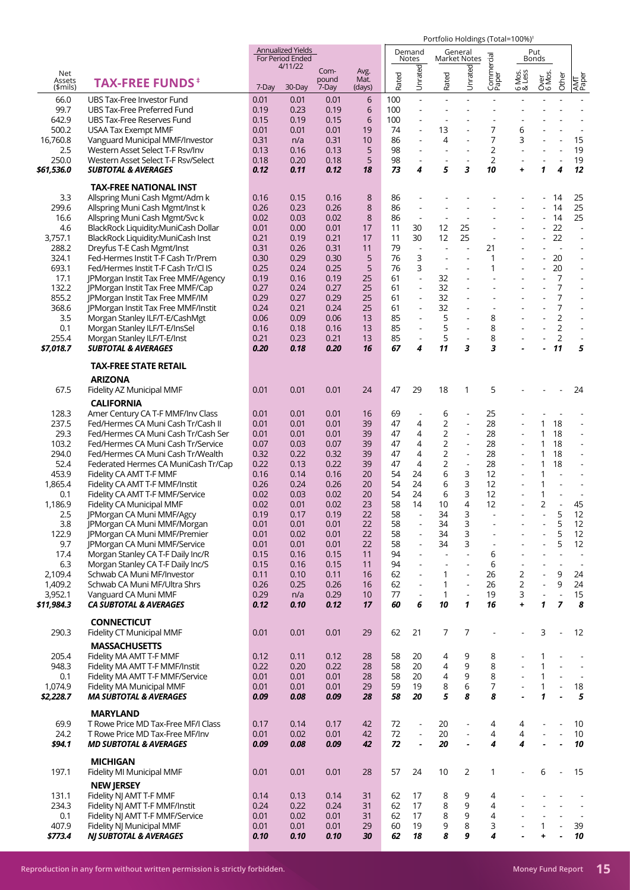|                           |                                                                         |              | <b>Annualized Yields</b><br>For Period Ended |                        |                        |            | Demand<br>Notes               |                          | General<br><b>Market Notes</b> |                      |                          | Put<br>Bonds                                         |                                  |                                    |
|---------------------------|-------------------------------------------------------------------------|--------------|----------------------------------------------|------------------------|------------------------|------------|-------------------------------|--------------------------|--------------------------------|----------------------|--------------------------|------------------------------------------------------|----------------------------------|------------------------------------|
| Net<br>Assets<br>(\$mils) | <b>TAX-FREE FUNDS</b> <sup>#</sup>                                      | 7-Day        | 4/11/22<br>30-Day                            | Com-<br>pound<br>7-Day | Avg.<br>Mat.<br>(days) | Rated      | Unrated                       | Rated                    | Unrated                        | Commercial<br>Paper  | 6 Mos.<br>& Less         | Over<br>6 Mos.                                       | Other                            | AMT<br>Paper                       |
| 66.0                      | UBS Tax-Free Investor Fund                                              | 0.01         | 0.01                                         | 0.01                   | 6                      | 100        | $\overline{a}$                | $\sim$                   |                                |                      |                          |                                                      | L,                               |                                    |
| 99.7                      | UBS Tax-Free Preferred Fund                                             | 0.19         | 0.23<br>0.19                                 | 0.19                   | 6<br>6                 | 100<br>100 | ÷,                            |                          |                                |                      |                          |                                                      |                                  |                                    |
| 642.9<br>500.2            | UBS Tax-Free Reserves Fund<br><b>USAA Tax Exempt MMF</b>                | 0.15<br>0.01 | 0.01                                         | 0.15<br>0.01           | 19                     | 74         |                               | 13                       |                                | 7                    | 6                        |                                                      |                                  |                                    |
| 16,760.8                  | Vanguard Municipal MMF/Investor                                         | 0.31         | n/a                                          | 0.31                   | 10                     | 86         | $\overline{\phantom{a}}$      | 4                        | $\blacksquare$                 | 7                    | 3                        |                                                      | $\overline{a}$                   | 15                                 |
| 2.5                       | Western Asset Select T-F Rsv/Inv                                        | 0.13         | 0.16                                         | 0.13                   | 5                      | 98         |                               |                          |                                | 2                    |                          |                                                      |                                  | 19                                 |
| 250.0                     | Western Asset Select T-F Rsv/Select                                     | 0.18         | 0.20                                         | 0.18                   | 5                      | 98<br>73   | $\blacksquare$<br>4           | 5                        | $\blacksquare$<br>3            | $\overline{2}$<br>10 | +                        | 1                                                    | $\overline{a}$<br>4              | 19<br>12                           |
| \$61,536.0                | <b>SUBTOTAL &amp; AVERAGES</b>                                          | 0.12         | 0.11                                         | 0.12                   | 18                     |            |                               |                          |                                |                      |                          |                                                      |                                  |                                    |
| 3.3                       | <b>TAX-FREE NATIONAL INST</b>                                           |              |                                              |                        |                        |            |                               |                          |                                |                      |                          |                                                      | 14                               |                                    |
| 299.6                     | Allspring Muni Cash Mgmt/Adm k<br>Allspring Muni Cash Mgmt/Inst k       | 0.16<br>0.26 | 0.15<br>0.23                                 | 0.16<br>0.26           | 8<br>8                 | 86<br>86   | $\blacksquare$                |                          |                                |                      |                          |                                                      | 14                               | 25<br>25                           |
| 16.6                      | Allspring Muni Cash Mgmt/Svc k                                          | 0.02         | 0.03                                         | 0.02                   | 8                      | 86         | $\blacksquare$                |                          |                                |                      |                          |                                                      | 14                               | 25                                 |
| 4.6                       | BlackRock Liquidity: MuniCash Dollar                                    | 0.01         | 0.00                                         | 0.01                   | 17                     | 11         | 30                            | 12                       | 25                             |                      | ÷,                       |                                                      | 22                               | $\Box$                             |
| 3,757.1                   | BlackRock Liquidity:MuniCash Inst                                       | 0.21         | 0.19                                         | 0.21                   | 17                     | 11         | 30                            | 12                       | 25                             |                      |                          |                                                      | 22                               | $\overline{\phantom{a}}$           |
| 288.2                     | Dreyfus T-E Cash Mgmt/Inst                                              | 0.31         | 0.26                                         | 0.31                   | 11                     | 79         | $\Box$                        | $\overline{\phantom{a}}$ | ÷,                             | 21                   |                          | $\blacksquare$                                       | $\blacksquare$                   | $\overline{\phantom{a}}$           |
| 324.1                     | Fed-Hermes Instit T-F Cash Tr/Prem                                      | 0.30         | 0.29                                         | 0.30                   | 5                      | 76         | 3                             | $\overline{\phantom{a}}$ |                                | 1                    |                          |                                                      | 20                               |                                    |
| 693.1                     | Fed/Hermes Instit T-F Cash Tr/Cl IS                                     | 0.25         | 0.24                                         | 0.25                   | 5<br>25                | 76<br>61   | 3<br>$\overline{\phantom{a}}$ | $\overline{\phantom{a}}$ | $\overline{a}$                 | 1                    |                          |                                                      | 20<br>7                          | $\overline{a}$                     |
| 17.1<br>132.2             | JPMorgan Instit Tax Free MMF/Agency<br>JPMorgan Instit Tax Free MMF/Cap | 0.19<br>0.27 | 0.16<br>0.24                                 | 0.19<br>0.27           | 25                     | 61         | $\blacksquare$                | 32<br>32                 |                                |                      |                          |                                                      | 7                                | $\overline{\phantom{a}}$           |
| 855.2                     | JPMorgan Instit Tax Free MMF/IM                                         | 0.29         | 0.27                                         | 0.29                   | 25                     | 61         | ÷,                            | 32                       | $\blacksquare$                 | $\overline{a}$       |                          | $\blacksquare$                                       | 7                                |                                    |
| 368.6                     | <b>IPMorgan Instit Tax Free MMF/Instit</b>                              | 0.24         | 0.21                                         | 0.24                   | 25                     | 61         | $\blacksquare$                | 32                       |                                |                      |                          |                                                      | 7                                |                                    |
| 3.5                       | Morgan Stanley ILF/T-E/CashMgt                                          | 0.06         | 0.09                                         | 0.06                   | 13                     | 85         | $\overline{\phantom{a}}$      | 5                        | $\overline{\phantom{a}}$       | 8                    |                          | $\mathbf{r}$                                         | $\overline{2}$                   | $\overline{\phantom{a}}$           |
| 0.1                       | Morgan Stanley ILF/T-E/InsSel                                           | 0.16         | 0.18                                         | 0.16                   | 13                     | 85         | ÷,                            | 5                        | $\blacksquare$                 | 8                    |                          |                                                      | $\overline{2}$                   |                                    |
| 255.4                     | Morgan Stanley ILF/T-E/Inst                                             | 0.21         | 0.23                                         | 0.21                   | 13                     | 85         | $\blacksquare$                | 5                        | $\blacksquare$                 | 8                    |                          | $\blacksquare$                                       | $\overline{2}$                   | $\blacksquare$                     |
| \$7,018.7                 | <b>SUBTOTAL &amp; AVERAGES</b>                                          | 0.20         | 0.18                                         | 0.20                   | 16                     | 67         | 4                             | 11                       | 3                              | 3                    |                          |                                                      | 11                               | 5                                  |
|                           | <b>TAX-FREE STATE RETAIL</b>                                            |              |                                              |                        |                        |            |                               |                          |                                |                      |                          |                                                      |                                  |                                    |
| 67.5                      | <b>ARIZONA</b><br>Fidelity AZ Municipal MMF                             | 0.01         | 0.01                                         | 0.01                   | 24                     | 47         | 29                            | 18                       | 1                              | 5                    |                          |                                                      |                                  | 24                                 |
|                           | <b>CALIFORNIA</b>                                                       |              |                                              |                        |                        |            |                               |                          |                                |                      |                          |                                                      |                                  |                                    |
| 128.3                     | Amer Century CA T-F MMF/Inv Class                                       | 0.01         | 0.01                                         | 0.01                   | 16                     | 69         | $\blacksquare$                | 6                        | ÷,                             | 25                   |                          |                                                      |                                  |                                    |
| 237.5                     | Fed/Hermes CA Muni Cash Tr/Cash II                                      | 0.01         | 0.01                                         | 0.01                   | 39                     | 47         | 4                             | 2                        | $\blacksquare$                 | 28                   |                          | $\mathbf{1}$                                         | 18                               |                                    |
| 29.3                      | Fed/Hermes CA Muni Cash Tr/Cash Ser                                     | 0.01         | 0.01                                         | 0.01                   | 39                     | 47         | 4                             | $\overline{2}$           | $\overline{a}$                 | 28                   |                          | $\mathbf{1}$                                         | 18                               | $\overline{a}$                     |
| 103.2                     | Fed/Hermes CA Muni Cash Tr/Service                                      | 0.07         | 0.03                                         | 0.07                   | 39                     | 47         | 4                             | 2                        | $\blacksquare$                 | 28                   | $\overline{\phantom{a}}$ | $\mathbf{1}$                                         | 18                               | $\blacksquare$                     |
| 294.0                     | Fed/Hermes CA Muni Cash Tr/Wealth                                       | 0.32         | 0.22                                         | 0.32                   | 39                     | 47         | 4                             | $\overline{2}$           | $\blacksquare$                 | 28                   | ÷                        | 1                                                    | 18                               | $\overline{\phantom{a}}$           |
| 52.4                      | Federated Hermes CA MuniCash Tr/Cap                                     | 0.22         | 0.13                                         | 0.22                   | 39                     | 47         | 4                             | 2                        | $\overline{\phantom{a}}$       | 28                   | ÷,                       | $\mathbf{1}$                                         | 18                               | $\overline{a}$                     |
| 453.9                     | Fidelity CA AMT T-F MMF                                                 | 0.16         | 0.14                                         | 0.16                   | 20<br>20               | 54<br>54   | 24<br>24                      | 6<br>6                   | 3<br>3                         | 12<br>12             |                          | $\mathbf{1}$<br>$\mathbf{1}$                         | L,                               | $\overline{\phantom{a}}$           |
| 1,865.4<br>0.1            | Fidelity CA AMT T-F MMF/Instit<br>Fidelity CA AMT T-F MMF/Service       | 0.26<br>0.02 | 0.24<br>0.03                                 | 0.26<br>0.02           | 20                     | 54         | 24                            | 6                        | 3                              | 12                   | ÷,                       | 1                                                    | $\overline{a}$                   | $\overline{\phantom{a}}$           |
| 1,186.9                   | Fidelity CA Municipal MMF                                               | 0.02         | 0.01                                         | 0.02                   | 23                     | 58         | 14                            | 10                       | 4                              | 12                   |                          | $\overline{2}$                                       |                                  | 45                                 |
| 2.5                       | JPMorgan CA Muni MMF/Agcy                                               | 0.19         | 0.17                                         | 0.19                   | 22                     | 58         | $\overline{a}$                | 34                       | 3                              |                      |                          |                                                      | 5                                | 12                                 |
| 3.8                       | JPMorgan CA Muni MMF/Morgan                                             | 0.01         | 0.01                                         | 0.01                   | 22                     | 58         |                               | 34                       | 3                              |                      |                          |                                                      | 5                                | 12                                 |
| 122.9                     | JPMorgan CA Muni MMF/Premier                                            | 0.01         | 0.02                                         | 0.01                   | 22                     | 58         | $\blacksquare$                | 34                       | 3                              |                      |                          |                                                      | 5                                | 12                                 |
| 9.7                       | <b>IPMorgan CA Muni MMF/Service</b>                                     | 0.01         | 0.01                                         | 0.01                   | 22                     | 58         | $\overline{\phantom{a}}$      | 34                       | 3                              | ÷,                   |                          |                                                      | 5                                | 12                                 |
| 17.4                      | Morgan Stanley CA T-F Daily Inc/R                                       | 0.15         | 0.16                                         | 0.15                   | 11                     | 94<br>94   | $\blacksquare$<br>÷,          | $\blacksquare$<br>÷,     | $\blacksquare$<br>$\mathbf{r}$ | 6                    |                          |                                                      | $\overline{a}$<br>$\overline{a}$ | $\overline{\phantom{a}}$<br>$\sim$ |
| 6.3<br>2,109.4            | Morgan Stanley CA T-F Daily Inc/S<br>Schwab CA Muni MF/Investor         | 0.15<br>0.11 | 0.16<br>0.10                                 | 0.15<br>0.11           | 11<br>16               | 62         | $\blacksquare$                | 1                        | $\overline{\phantom{a}}$       | 6<br>26              | 2                        | $\overline{\phantom{a}}$<br>$\overline{\phantom{a}}$ | 9                                | 24                                 |
| 1,409.2                   | Schwab CA Muni MF/Ultra Shrs                                            | 0.26         | 0.25                                         | 0.26                   | 16                     | 62         | $\blacksquare$                | 1                        | $\Box$                         | 26                   | $\overline{2}$           | $\blacksquare$                                       | 9                                | 24                                 |
| 3,952.1                   | Vanguard CA Muni MMF                                                    | 0.29         | n/a                                          | 0.29                   | 10                     | 77         | $\blacksquare$                | 1                        | $\overline{\phantom{a}}$       | 19                   | 3                        | $\Box$                                               | $\overline{a}$                   | 15                                 |
| \$11,984.3                | <b>CA SUBTOTAL &amp; AVERAGES</b>                                       | 0.12         | 0.10                                         | 0.12                   | 17                     | 60         | 6                             | 10                       | 1                              | 16                   | $\ddot{}$                | $\mathbf{1}$                                         | $\overline{z}$                   | 8                                  |
|                           | <b>CONNECTICUT</b>                                                      |              |                                              |                        |                        |            |                               |                          |                                |                      |                          |                                                      |                                  |                                    |
| 290.3                     | Fidelity CT Municipal MMF                                               | 0.01         | 0.01                                         | 0.01                   | 29                     | 62         | 21                            | 7                        | 7                              |                      |                          | 3                                                    | $\overline{a}$                   | 12                                 |
|                           | <b>MASSACHUSETTS</b>                                                    |              |                                              |                        |                        |            |                               |                          |                                |                      |                          |                                                      |                                  |                                    |
| 205.4                     | Fidelity MA AMT T-F MMF                                                 | 0.12         | 0.11                                         | 0.12                   | 28                     | 58         | 20                            | 4                        | 9                              | 8                    |                          | 1                                                    |                                  |                                    |
| 948.3                     | Fidelity MA AMT T-F MMF/Instit                                          | 0.22         | 0.20                                         | 0.22                   | 28                     | 58         | 20                            | 4                        | 9                              | 8                    |                          | $\mathbf{1}$                                         | L,                               | $\blacksquare$                     |
| 0.1<br>1,074.9            | Fidelity MA AMT T-F MMF/Service                                         | 0.01<br>0.01 | 0.01<br>0.01                                 | 0.01<br>0.01           | 28<br>29               | 58<br>59   | 20<br>19                      | 4<br>8                   | 9<br>6                         | 8<br>7               | $\overline{a}$           | $\mathbf{1}$<br>$\mathbf{1}$                         | L,<br>$\overline{a}$             | $\blacksquare$<br>$18\,$           |
| \$2,228.7                 | Fidelity MA Municipal MMF<br><b>MA SUBTOTAL &amp; AVERAGES</b>          | 0.09         | 0.08                                         | 0.09                   | 28                     | 58         | 20                            | 5                        | 8                              | 8                    |                          | $\mathbf{1}$                                         |                                  | ${\bf 5}$                          |
|                           | <b>MARYLAND</b>                                                         |              |                                              |                        |                        |            |                               |                          |                                |                      |                          |                                                      |                                  |                                    |
| 69.9                      | T Rowe Price MD Tax-Free MF/I Class                                     | 0.17         | 0.14                                         | 0.17                   | 42                     | 72         | $\blacksquare$                | 20                       | $\blacksquare$                 | 4                    | 4                        |                                                      |                                  | 10                                 |
| 24.2                      | T Rowe Price MD Tax-Free MF/Inv                                         | 0.01         | 0.02                                         | 0.01                   | 42                     | 72         | $\overline{\phantom{a}}$      | 20                       | $\blacksquare$                 | 4                    | 4                        |                                                      | L,                               | 10                                 |
| \$94.1                    | <b>MD SUBTOTAL &amp; AVERAGES</b>                                       | 0.09         | 0.08                                         | 0.09                   | 42                     | 72         | ä,                            | 20                       | $\overline{\phantom{a}}$       | 4                    | 4                        |                                                      | L,                               | 10                                 |
|                           | <b>MICHIGAN</b>                                                         |              |                                              |                        |                        |            |                               |                          |                                |                      |                          |                                                      |                                  |                                    |
| 197.1                     | Fidelity MI Municipal MMF                                               | 0.01         | 0.01                                         | 0.01                   | 28                     | 57         | 24                            | 10                       | 2                              | 1                    |                          | 6                                                    | $\overline{a}$                   | 15                                 |
|                           | <b>NEW JERSEY</b>                                                       |              |                                              |                        |                        |            |                               |                          |                                |                      |                          |                                                      |                                  |                                    |
| 131.1<br>234.3            | Fidelity NJ AMT T-F MMF<br>Fidelity NJ AMT T-F MMF/Instit               | 0.14<br>0.24 | 0.13<br>0.22                                 | 0.14<br>0.24           | 31<br>31               | 62<br>62   | 17<br>17                      | 8<br>8                   | 9<br>9                         | 4<br>4               |                          |                                                      |                                  | $\overline{\phantom{a}}$           |
| 0.1                       | Fidelity NJ AMT T-F MMF/Service                                         | 0.01         | 0.02                                         | 0.01                   | 31                     | 62         | 17                            | 8                        | 9                              | 4                    |                          |                                                      | $\overline{a}$                   |                                    |
| 407.9                     | Fidelity NJ Municipal MMF                                               | 0.01         | 0.01                                         | 0.01                   | 29                     | 60         | 19                            | 9                        | 8                              | 3                    |                          | $\mathbf{1}$                                         | $\overline{a}$                   | 39                                 |
| \$773.4                   | <b>NJ SUBTOTAL &amp; AVERAGES</b>                                       | 0.10         | 0.10                                         | 0.10                   | 30                     | 62         | 18                            | 8                        | 9                              | 4                    |                          | $\ddot{}$                                            | $\blacksquare$                   | 10                                 |